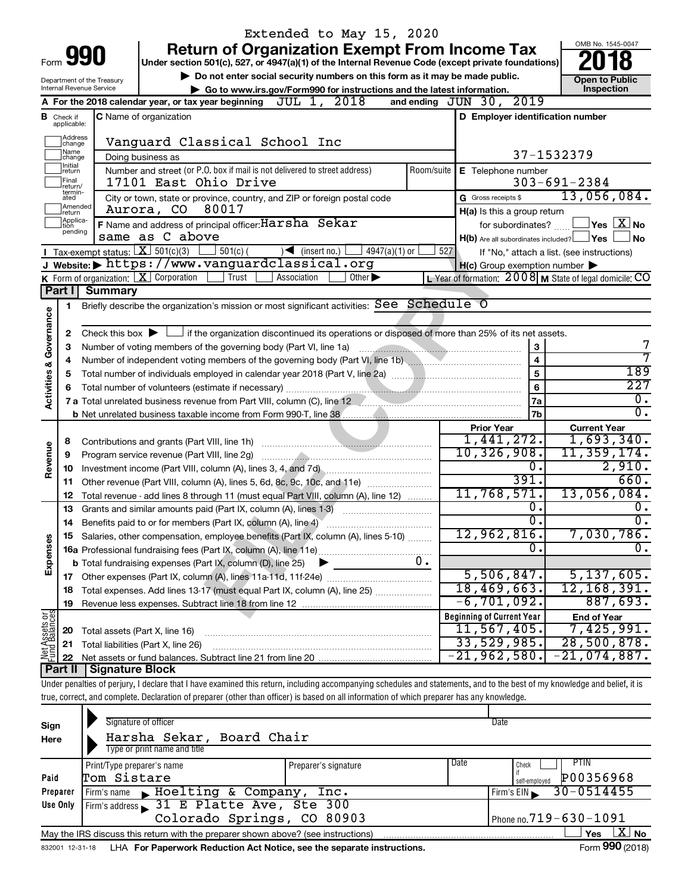|                                    |                               |                                        | Extended to May 15, 2020                                                                                                                                                   |            |                                                     |                                                             |
|------------------------------------|-------------------------------|----------------------------------------|----------------------------------------------------------------------------------------------------------------------------------------------------------------------------|------------|-----------------------------------------------------|-------------------------------------------------------------|
|                                    |                               |                                        | <b>Return of Organization Exempt From Income Tax</b>                                                                                                                       |            |                                                     | OMB No. 1545-0047                                           |
|                                    |                               | Form 990                               | Under section 501(c), 527, or 4947(a)(1) of the Internal Revenue Code (except private foundations)                                                                         |            |                                                     |                                                             |
|                                    |                               | Department of the Treasury             | Do not enter social security numbers on this form as it may be made public.                                                                                                |            |                                                     | <b>Open to Public</b>                                       |
|                                    |                               | Internal Revenue Service               | Go to www.irs.gov/Form990 for instructions and the latest information.                                                                                                     |            |                                                     | <b>Inspection</b>                                           |
|                                    |                               |                                        | JUL 1, 2018<br>A For the 2018 calendar year, or tax year beginning                                                                                                         |            | and ending $JUN$ $30$ , $2019$                      |                                                             |
|                                    | <b>B</b> Check if applicable: |                                        | <b>C</b> Name of organization                                                                                                                                              |            | D Employer identification number                    |                                                             |
|                                    | Address                       |                                        |                                                                                                                                                                            |            |                                                     |                                                             |
|                                    | change<br> Name               |                                        | Vanguard Classical School Inc                                                                                                                                              |            |                                                     |                                                             |
|                                    | change<br>Initial             |                                        | Doing business as                                                                                                                                                          |            |                                                     | 37-1532379                                                  |
|                                    | return                        |                                        | Number and street (or P.O. box if mail is not delivered to street address)                                                                                                 | Room/suite | E Telephone number                                  |                                                             |
|                                    | Final<br>return/<br>termin-   |                                        | 17101 East Ohio Drive                                                                                                                                                      |            |                                                     | $303 - 691 - 2384$                                          |
|                                    | ated<br>Amended               |                                        | City or town, state or province, country, and ZIP or foreign postal code                                                                                                   |            | G Gross receipts \$                                 | 13,056,084.                                                 |
|                                    | Ireturn<br>Applica-           |                                        | 80017<br>Aurora, CO                                                                                                                                                        |            | H(a) Is this a group return                         |                                                             |
|                                    | ltion<br>pending              |                                        | F Name and address of principal officer: Harsha Sekar                                                                                                                      |            | for subordinates?                                   | $\Box$ Yes $\Box X$ No                                      |
|                                    |                               |                                        | same as C above                                                                                                                                                            |            | $H(b)$ Are all subordinates included? $\Box$ Yes    | ∣No                                                         |
|                                    |                               | Tax-exempt status: $X \over 301(c)(3)$ | $501(c)$ (<br>$\sqrt{\bullet}$ (insert no.)<br>$4947(a)(1)$ or                                                                                                             | 527        |                                                     | If "No," attach a list. (see instructions)                  |
|                                    |                               |                                        | J Website: https://www.vanguardclassical.org<br>Other $\blacktriangleright$<br>Trust<br>Association                                                                        |            | $H(c)$ Group exemption number $\blacktriangleright$ |                                                             |
|                                    | Part I                        | <b>Summary</b>                         | K Form of organization: $X$ Corporation                                                                                                                                    |            |                                                     | L Year of formation: $2008$ M State of legal domicile: $CO$ |
|                                    |                               |                                        |                                                                                                                                                                            |            |                                                     |                                                             |
|                                    | 1                             |                                        | Briefly describe the organization's mission or most significant activities: See Schedule O                                                                                 |            |                                                     |                                                             |
| <b>Activities &amp; Governance</b> |                               |                                        |                                                                                                                                                                            |            |                                                     |                                                             |
|                                    | 2                             |                                        | Check this box $\blacktriangleright$ $\Box$ if the organization discontinued its operations or disposed of more than 25% of its net assets.                                |            |                                                     | 7                                                           |
|                                    | 3                             |                                        | Number of voting members of the governing body (Part VI, line 1a)                                                                                                          |            | 3<br>$\overline{4}$                                 | 7                                                           |
|                                    | 4                             |                                        |                                                                                                                                                                            |            | 5                                                   | 189                                                         |
|                                    | 5                             |                                        |                                                                                                                                                                            |            | 6                                                   | 227                                                         |
|                                    |                               |                                        |                                                                                                                                                                            |            | 7a                                                  | $\overline{0}$ .                                            |
|                                    |                               |                                        |                                                                                                                                                                            |            | 7b                                                  | $\overline{0}$ .                                            |
|                                    |                               |                                        |                                                                                                                                                                            |            | <b>Prior Year</b>                                   | <b>Current Year</b>                                         |
|                                    | 8                             |                                        |                                                                                                                                                                            |            | 1,441,272.                                          | 1,693,340.                                                  |
| Revenue                            | 9                             |                                        | Program service revenue (Part VIII, line 2g)                                                                                                                               |            | 10,326,908.                                         | 11,359,174.                                                 |
|                                    | 10                            |                                        |                                                                                                                                                                            |            | 0.                                                  | 2,910.                                                      |
|                                    | 11                            |                                        | Other revenue (Part VIII, column (A), lines 5, 6d, 8c, 9c, 10c, and 11e)                                                                                                   |            | 391.                                                | 660.                                                        |
|                                    | 12                            |                                        | Total revenue - add lines 8 through 11 (must equal Part VIII, column (A), line 12)                                                                                         |            | 11,768,571.                                         | 13,056,084.                                                 |
|                                    | 13                            |                                        | Grants and similar amounts paid (Part IX, column (A), lines 1-3)                                                                                                           |            | 0.                                                  | 0.                                                          |
|                                    | 14                            |                                        | Benefits paid to or for members (Part IX, column (A), line 4)                                                                                                              |            | σ.                                                  | $\overline{0}$ .                                            |
|                                    |                               |                                        | Salaries, other compensation, employee benefits (Part IX, column (A), lines 5-10)                                                                                          |            | 12,962,816.                                         | 7,030,786.                                                  |
|                                    |                               |                                        |                                                                                                                                                                            |            | О.                                                  | $\overline{0}$ .                                            |
| Expenses                           |                               |                                        | <b>b</b> Total fundraising expenses (Part IX, column (D), line 25)                                                                                                         | $0$ .      |                                                     |                                                             |
|                                    |                               |                                        | 17 Other expenses (Part IX, column (A), lines 11a-11d, 11f-24e)                                                                                                            |            | 5,506,847.                                          | 5,137,605.                                                  |
|                                    | 18                            |                                        | Total expenses. Add lines 13-17 (must equal Part IX, column (A), line 25) [                                                                                                |            | 18,469,663.                                         | 12, 168, 391.                                               |
|                                    | 19                            |                                        |                                                                                                                                                                            |            | $-6, 701, 092.$                                     | 887,693.                                                    |
| Net Assets or<br>Fund Balances     |                               |                                        |                                                                                                                                                                            |            | <b>Beginning of Current Year</b>                    | <b>End of Year</b>                                          |
|                                    | 20                            | Total assets (Part X, line 16)         |                                                                                                                                                                            |            | 11, 567, 405.                                       | 7,425,991.                                                  |
|                                    | 21                            |                                        | Total liabilities (Part X, line 26)                                                                                                                                        |            | 33,529,985.                                         | 28,500,878.                                                 |
|                                    | 22                            |                                        |                                                                                                                                                                            |            | $-21,962,580.$                                      | 21,074,887.                                                 |
|                                    |                               | <b>Part II   Signature Block</b>       |                                                                                                                                                                            |            |                                                     |                                                             |
|                                    |                               |                                        | Under penalties of perjury, I declare that I have examined this return, including accompanying schedules and statements, and to the best of my knowledge and belief, it is |            |                                                     |                                                             |
|                                    |                               |                                        | true, correct, and complete. Declaration of preparer (other than officer) is based on all information of which preparer has any knowledge.                                 |            |                                                     |                                                             |
|                                    |                               |                                        | Signature of officer                                                                                                                                                       |            |                                                     |                                                             |
| Sign                               |                               |                                        |                                                                                                                                                                            |            | Date                                                |                                                             |
| Here                               |                               |                                        | Harsha Sekar, Board Chair<br>Type or print name and title                                                                                                                  |            |                                                     |                                                             |
|                                    |                               |                                        |                                                                                                                                                                            |            |                                                     |                                                             |

|                                                                                                       | Type or print name and title                               |                              |      |                            |  |  |  |  |  |  |
|-------------------------------------------------------------------------------------------------------|------------------------------------------------------------|------------------------------|------|----------------------------|--|--|--|--|--|--|
|                                                                                                       | Print/Type preparer's name                                 | Preparer's signature         | Date | PTIN<br>Check              |  |  |  |  |  |  |
| Paid                                                                                                  | Tom Sistare                                                |                              |      | P00356968<br>self-emploved |  |  |  |  |  |  |
| Preparer                                                                                              | E Hoelting & Company, Inc.<br>Firm's name                  | $30 - 0514455$<br>Firm's EIN |      |                            |  |  |  |  |  |  |
| Use Only                                                                                              | $Firm's address \rightarrow 31$ E Platte Ave, Ste 300      |                              |      |                            |  |  |  |  |  |  |
|                                                                                                       | Colorado Springs, CO 80903<br>Phone no. $719 - 630 - 1091$ |                              |      |                            |  |  |  |  |  |  |
| <b>No</b><br>Yes<br>May the IRS discuss this return with the preparer shown above? (see instructions) |                                                            |                              |      |                            |  |  |  |  |  |  |
|                                                                                                       |                                                            |                              |      | $\sim$                     |  |  |  |  |  |  |

832001 12-31-18 **For Paperwork Reduction Act Notice, see the separate instructions.** LHA Form (2018)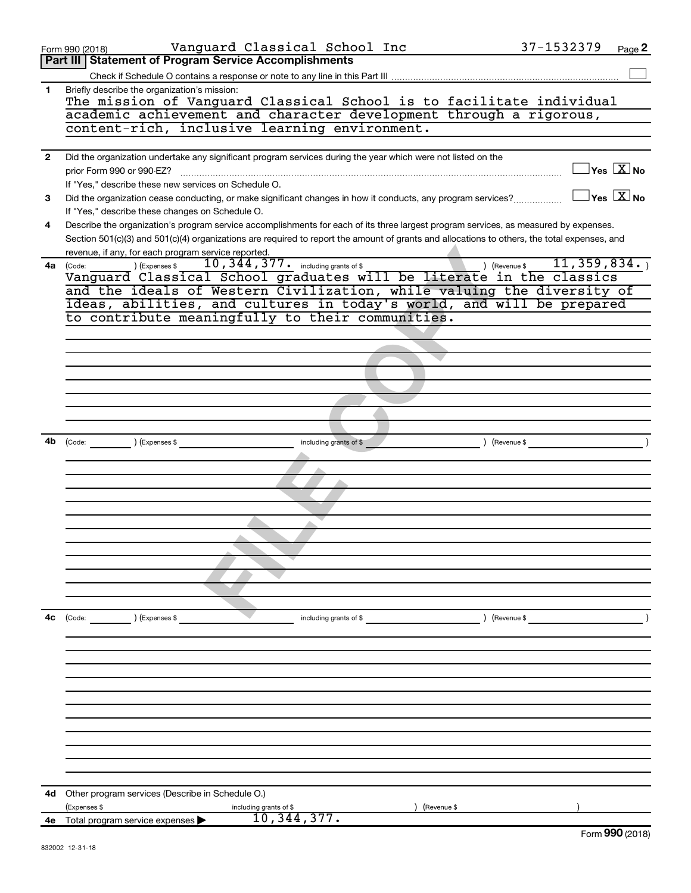|                | Vanguard Classical School Inc<br>Form 990 (2018)                                                                                             | 37-1532379                     | Page 2                                  |
|----------------|----------------------------------------------------------------------------------------------------------------------------------------------|--------------------------------|-----------------------------------------|
|                | <b>Part III Statement of Program Service Accomplishments</b>                                                                                 |                                |                                         |
|                |                                                                                                                                              |                                |                                         |
| 1.             | Briefly describe the organization's mission:                                                                                                 |                                |                                         |
|                | The mission of Vanguard Classical School is to facilitate individual                                                                         |                                |                                         |
|                | academic achievement and character development through a rigorous,<br>content-rich, inclusive learning environment.                          |                                |                                         |
|                |                                                                                                                                              |                                |                                         |
| $\overline{2}$ | Did the organization undertake any significant program services during the year which were not listed on the                                 |                                |                                         |
|                | prior Form 990 or 990-EZ?                                                                                                                    |                                | $\Box$ Yes $[\overline{\mathrm{X}}]$ No |
|                | If "Yes," describe these new services on Schedule O.                                                                                         |                                |                                         |
| 3              | Did the organization cease conducting, or make significant changes in how it conducts, any program services?                                 |                                | $\Box$ Yes $[\overline{\mathrm{X}}]$ No |
|                | If "Yes," describe these changes on Schedule O.                                                                                              |                                |                                         |
| 4              | Describe the organization's program service accomplishments for each of its three largest program services, as measured by expenses.         |                                |                                         |
|                | Section 501(c)(3) and 501(c)(4) organizations are required to report the amount of grants and allocations to others, the total expenses, and |                                |                                         |
|                | revenue, if any, for each program service reported.                                                                                          |                                |                                         |
| 4a             | 10, 344, 377. including grants of \$<br>(Code: ) (Expenses \$<br>Vanguard Classical School graduates will be literate in the classics        | 11, 359, 834.<br>) (Revenue \$ |                                         |
|                | and the ideals of Western Civilization, while valuing the diversity of                                                                       |                                |                                         |
|                | ideas, abilities, and cultures in today's world, and will be prepared                                                                        |                                |                                         |
|                | to contribute meaningfully to their communities.                                                                                             |                                |                                         |
|                |                                                                                                                                              |                                |                                         |
|                |                                                                                                                                              |                                |                                         |
|                |                                                                                                                                              |                                |                                         |
|                |                                                                                                                                              |                                |                                         |
|                |                                                                                                                                              |                                |                                         |
|                |                                                                                                                                              |                                |                                         |
|                |                                                                                                                                              |                                |                                         |
| 4b             | (Code: ) (Expenses \$                                                                                                                        |                                |                                         |
|                | including grants of \$                                                                                                                       | ) (Revenue \$                  |                                         |
|                |                                                                                                                                              |                                |                                         |
|                |                                                                                                                                              |                                |                                         |
|                |                                                                                                                                              |                                |                                         |
|                |                                                                                                                                              |                                |                                         |
|                |                                                                                                                                              |                                |                                         |
|                |                                                                                                                                              |                                |                                         |
|                |                                                                                                                                              |                                |                                         |
|                |                                                                                                                                              |                                |                                         |
|                |                                                                                                                                              |                                |                                         |
|                |                                                                                                                                              |                                |                                         |
| 4с             | (Code:<br>(Expenses \$<br>including grants of \$                                                                                             | ) (Revenue \$                  |                                         |
|                |                                                                                                                                              |                                |                                         |
|                |                                                                                                                                              |                                |                                         |
|                |                                                                                                                                              |                                |                                         |
|                |                                                                                                                                              |                                |                                         |
|                |                                                                                                                                              |                                |                                         |
|                |                                                                                                                                              |                                |                                         |
|                |                                                                                                                                              |                                |                                         |
|                |                                                                                                                                              |                                |                                         |
|                |                                                                                                                                              |                                |                                         |
|                |                                                                                                                                              |                                |                                         |
|                |                                                                                                                                              |                                |                                         |
| 4d             | Other program services (Describe in Schedule O.)                                                                                             |                                |                                         |
|                | (Expenses \$<br>(Revenue \$<br>including grants of \$                                                                                        |                                |                                         |
| 4е             | 10, 344, 377.<br>Total program service expenses                                                                                              |                                | Form 990 (2018)                         |
|                | 832002 12-31-18                                                                                                                              |                                |                                         |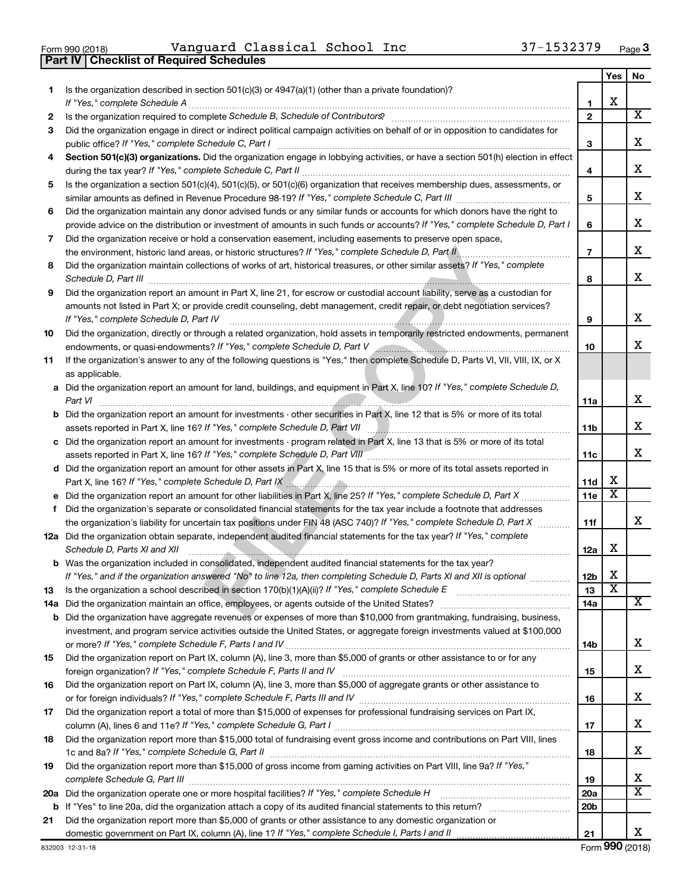|  | Form 990 (2018) |
|--|-----------------|
|  |                 |

 $\frac{1}{100}$   $\frac{1}{2018}$   $\frac{1}{309}$   $\frac{1}{2018}$   $\frac{1}{2018}$   $\frac{1}{2018}$   $\frac{1}{2018}$   $\frac{1}{2018}$   $\frac{1}{2018}$   $\frac{1}{2018}$   $\frac{1}{2018}$   $\frac{1}{2018}$   $\frac{1}{2018}$   $\frac{1}{2018}$   $\frac{1}{2018}$   $\frac{1}{2018}$   $\frac{1}{2018}$   $\$ Vanguard Classical School Inc 37-1532379

|     | Vanquard Classical School Inc<br>37-1532379<br>Form 990 (2018)                                                                                                                                                                                             |                 |                         | Page 3                  |
|-----|------------------------------------------------------------------------------------------------------------------------------------------------------------------------------------------------------------------------------------------------------------|-----------------|-------------------------|-------------------------|
|     | <b>Checklist of Required Schedules</b><br>Part IV                                                                                                                                                                                                          |                 |                         |                         |
|     |                                                                                                                                                                                                                                                            |                 | Yes                     | No                      |
| 1.  | Is the organization described in section $501(c)(3)$ or $4947(a)(1)$ (other than a private foundation)?                                                                                                                                                    |                 |                         |                         |
|     | If "Yes," complete Schedule A                                                                                                                                                                                                                              | 1               | х                       | $\overline{\texttt{X}}$ |
| 2   |                                                                                                                                                                                                                                                            | $\overline{2}$  |                         |                         |
| 3   | Did the organization engage in direct or indirect political campaign activities on behalf of or in opposition to candidates for                                                                                                                            | 3               |                         | х                       |
| 4   | public office? If "Yes," complete Schedule C, Part I<br>Section 501(c)(3) organizations. Did the organization engage in lobbying activities, or have a section 501(h) election in effect                                                                   |                 |                         |                         |
|     |                                                                                                                                                                                                                                                            | 4               |                         | x                       |
| 5   | Is the organization a section 501(c)(4), 501(c)(5), or 501(c)(6) organization that receives membership dues, assessments, or                                                                                                                               |                 |                         |                         |
|     |                                                                                                                                                                                                                                                            | 5               |                         | x                       |
| 6   | Did the organization maintain any donor advised funds or any similar funds or accounts for which donors have the right to                                                                                                                                  |                 |                         |                         |
|     | provide advice on the distribution or investment of amounts in such funds or accounts? If "Yes," complete Schedule D, Part I                                                                                                                               | 6               |                         | х                       |
| 7   | Did the organization receive or hold a conservation easement, including easements to preserve open space,                                                                                                                                                  |                 |                         |                         |
|     | the environment, historic land areas, or historic structures? If "Yes," complete Schedule D, Part II,<br>.                                                                                                                                                 | $\overline{7}$  |                         | х                       |
| 8   | Did the organization maintain collections of works of art, historical treasures, or other similar assets? If "Yes," complete                                                                                                                               |                 |                         |                         |
|     | Schedule D, Part III <b>www.communications.communications.communications.communications.communications.communications</b>                                                                                                                                  | 8               |                         | x                       |
| 9   | Did the organization report an amount in Part X, line 21, for escrow or custodial account liability, serve as a custodian for                                                                                                                              |                 |                         |                         |
|     | amounts not listed in Part X; or provide credit counseling, debt management, credit repair, or debt negotiation services?                                                                                                                                  |                 |                         |                         |
|     | If "Yes." complete Schedule D, Part IV                                                                                                                                                                                                                     | 9               |                         | х                       |
| 10  | Did the organization, directly or through a related organization, hold assets in temporarily restricted endowments, permanent                                                                                                                              |                 |                         | x                       |
|     |                                                                                                                                                                                                                                                            | 10              |                         |                         |
| 11  | If the organization's answer to any of the following questions is "Yes," then complete Schedule D, Parts VI, VII, VIII, IX, or X<br>as applicable.                                                                                                         |                 |                         |                         |
|     | a Did the organization report an amount for land, buildings, and equipment in Part X, line 10? If "Yes," complete Schedule D,                                                                                                                              |                 |                         |                         |
|     | Part VI                                                                                                                                                                                                                                                    | 11a             |                         | х                       |
|     | <b>b</b> Did the organization report an amount for investments - other securities in Part X, line 12 that is 5% or more of its total                                                                                                                       |                 |                         |                         |
|     |                                                                                                                                                                                                                                                            | 11 <sub>b</sub> |                         | x                       |
|     | c Did the organization report an amount for investments - program related in Part X, line 13 that is 5% or more of its total                                                                                                                               |                 |                         |                         |
|     |                                                                                                                                                                                                                                                            | 11c             |                         | x                       |
|     | d Did the organization report an amount for other assets in Part X, line 15 that is 5% or more of its total assets reported in                                                                                                                             |                 |                         |                         |
|     | Part X, line 16? If "Yes," complete Schedule D, Part IX [10] Marting Manuscritt, Martin Martin Martin Martin M                                                                                                                                             | 11d             | x                       |                         |
|     |                                                                                                                                                                                                                                                            | 11e             | х                       |                         |
| f.  | Did the organization's separate or consolidated financial statements for the tax year include a footnote that addresses                                                                                                                                    |                 |                         |                         |
|     | the organization's liability for uncertain tax positions under FIN 48 (ASC 740)? If "Yes," complete Schedule D, Part X                                                                                                                                     | 11f             |                         | х                       |
|     | 12a Did the organization obtain separate, independent audited financial statements for the tax year? If "Yes," complete                                                                                                                                    |                 | X                       |                         |
|     | Schedule D, Parts XI and XII <b>continuum and Construction Construction</b> and Construction Construction Construction                                                                                                                                     | 12a             |                         |                         |
|     | <b>b</b> Was the organization included in consolidated, independent audited financial statements for the tax year?<br>If "Yes," and if the organization answered "No" to line 12a, then completing Schedule D, Parts XI and XII is optional <i>manumum</i> | 12 <sub>b</sub> | x                       |                         |
| 13  |                                                                                                                                                                                                                                                            | 13              | $\overline{\textbf{x}}$ |                         |
| 14a | Did the organization maintain an office, employees, or agents outside of the United States?                                                                                                                                                                | 14a             |                         | x                       |
|     | <b>b</b> Did the organization have aggregate revenues or expenses of more than \$10,000 from grantmaking, fundraising, business,                                                                                                                           |                 |                         |                         |
|     | investment, and program service activities outside the United States, or aggregate foreign investments valued at \$100,000                                                                                                                                 |                 |                         |                         |
|     |                                                                                                                                                                                                                                                            | 14b             |                         | x                       |
| 15  | Did the organization report on Part IX, column (A), line 3, more than \$5,000 of grants or other assistance to or for any                                                                                                                                  |                 |                         |                         |
|     |                                                                                                                                                                                                                                                            | 15              |                         | x                       |
| 16  | Did the organization report on Part IX, column (A), line 3, more than \$5,000 of aggregate grants or other assistance to                                                                                                                                   |                 |                         |                         |
|     |                                                                                                                                                                                                                                                            | 16              |                         | x                       |
| 17  | Did the organization report a total of more than \$15,000 of expenses for professional fundraising services on Part IX,                                                                                                                                    |                 |                         |                         |
|     |                                                                                                                                                                                                                                                            | 17              |                         | x                       |
| 18  | Did the organization report more than \$15,000 total of fundraising event gross income and contributions on Part VIII, lines                                                                                                                               |                 |                         | x                       |
|     |                                                                                                                                                                                                                                                            | 18              |                         |                         |
| 19  | Did the organization report more than \$15,000 of gross income from gaming activities on Part VIII, line 9a? If "Yes,"                                                                                                                                     | 19              |                         | x                       |
|     | 20a Did the organization operate one or more hospital facilities? If "Yes," complete Schedule H                                                                                                                                                            | 20a             |                         | x                       |
|     |                                                                                                                                                                                                                                                            | 20 <sub>b</sub> |                         |                         |
| 21  | Did the organization report more than \$5,000 of grants or other assistance to any domestic organization or                                                                                                                                                |                 |                         |                         |
|     |                                                                                                                                                                                                                                                            | 21              |                         | x                       |
|     | 332003 12-31-18                                                                                                                                                                                                                                            |                 |                         | Form 990 (2018)         |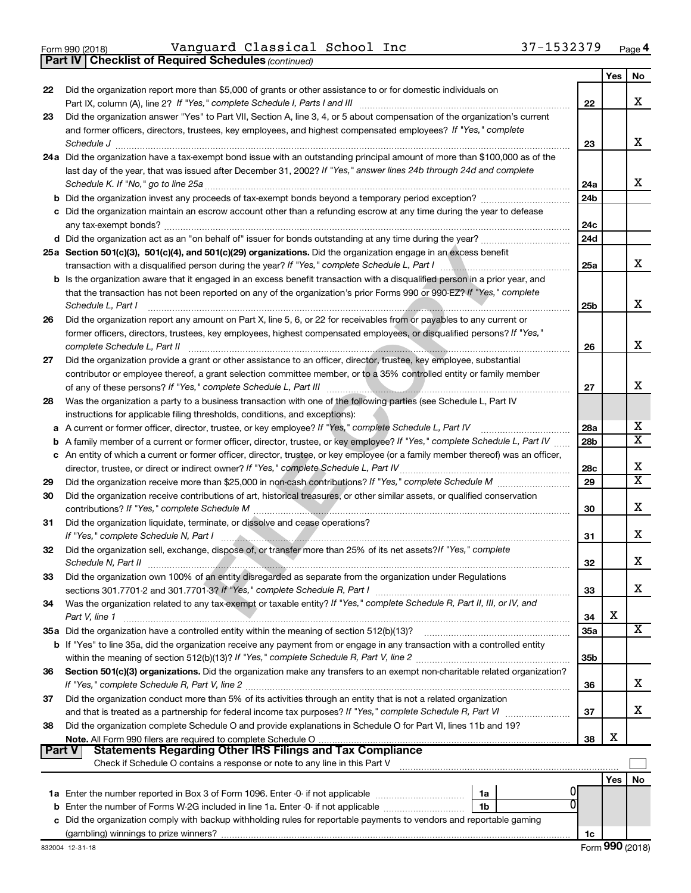$\frac{1}{100}$   $\frac{1}{2018}$   $\frac{1}{309}$   $\frac{1}{2018}$   $\frac{1}{2018}$   $\frac{1}{2018}$   $\frac{1}{2018}$   $\frac{1}{2018}$   $\frac{1}{2018}$   $\frac{1}{2018}$   $\frac{1}{2018}$   $\frac{1}{2018}$   $\frac{1}{2018}$   $\frac{1}{2018}$   $\frac{1}{2018}$   $\frac{1}{2018}$   $\frac{1}{2018}$   $\$ Vanguard Classical School Inc 37-1532379

|               | 37-1532379<br>Vanquard Classical School Inc<br>Form 990 (2018)                                                                    |                 |     | Page 4                  |
|---------------|-----------------------------------------------------------------------------------------------------------------------------------|-----------------|-----|-------------------------|
|               | <b>Part IV   Checklist of Required Schedules (continued)</b>                                                                      |                 |     |                         |
|               |                                                                                                                                   |                 | Yes | No                      |
| 22            | Did the organization report more than \$5,000 of grants or other assistance to or for domestic individuals on                     |                 |     |                         |
|               |                                                                                                                                   | 22              |     | х                       |
| 23            | Did the organization answer "Yes" to Part VII, Section A, line 3, 4, or 5 about compensation of the organization's current        |                 |     |                         |
|               | and former officers, directors, trustees, key employees, and highest compensated employees? If "Yes," complete                    |                 |     |                         |
|               | Schedule J <b>Execute Schedule J Execute Schedule J</b>                                                                           | 23              |     | х                       |
|               | 24a Did the organization have a tax-exempt bond issue with an outstanding principal amount of more than \$100,000 as of the       |                 |     |                         |
|               | last day of the year, that was issued after December 31, 2002? If "Yes," answer lines 24b through 24d and complete                |                 |     |                         |
|               |                                                                                                                                   | 24a             |     | x                       |
|               |                                                                                                                                   | 24 <sub>b</sub> |     |                         |
|               | c Did the organization maintain an escrow account other than a refunding escrow at any time during the year to defease            |                 |     |                         |
|               | any tax-exempt bonds?                                                                                                             | 24c             |     |                         |
|               |                                                                                                                                   | 24d             |     |                         |
|               | 25a Section 501(c)(3), 501(c)(4), and 501(c)(29) organizations. Did the organization engage in an excess benefit                  |                 |     |                         |
|               |                                                                                                                                   | 25a             |     | х                       |
|               | b Is the organization aware that it engaged in an excess benefit transaction with a disqualified person in a prior year, and      |                 |     |                         |
|               | that the transaction has not been reported on any of the organization's prior Forms 990 or 990-EZ? If "Yes," complete             |                 |     |                         |
|               | Schedule L, Part I                                                                                                                | 25b             |     | x                       |
| 26            | Did the organization report any amount on Part X, line 5, 6, or 22 for receivables from or payables to any current or             |                 |     |                         |
|               | former officers, directors, trustees, key employees, highest compensated employees, or disqualified persons? If "Yes,"            |                 |     |                         |
|               | complete Schedule L, Part II                                                                                                      | 26              |     | x                       |
| 27            | Did the organization provide a grant or other assistance to an officer, director, trustee, key employee, substantial              |                 |     |                         |
|               | contributor or employee thereof, a grant selection committee member, or to a 35% controlled entity or family member               |                 |     |                         |
|               |                                                                                                                                   | 27              |     | х                       |
| 28            | Was the organization a party to a business transaction with one of the following parties (see Schedule L, Part IV                 |                 |     |                         |
|               | instructions for applicable filing thresholds, conditions, and exceptions):                                                       |                 |     |                         |
| а             | A current or former officer, director, trustee, or key employee? If "Yes," complete Schedule L, Part IV                           | 28a             |     | х                       |
| b             | A family member of a current or former officer, director, trustee, or key employee? If "Yes," complete Schedule L, Part IV        | 28 <sub>b</sub> |     | $\overline{\mathbf{X}}$ |
|               | c An entity of which a current or former officer, director, trustee, or key employee (or a family member thereof) was an officer, |                 |     |                         |
|               | director, trustee, or direct or indirect owner? If "Yes," complete Schedule L, Part IV                                            | 28c             |     | х                       |
| 29            |                                                                                                                                   | 29              |     | $\overline{\mathbf{X}}$ |
| 30            | Did the organization receive contributions of art, historical treasures, or other similar assets, or qualified conservation       |                 |     |                         |
|               | contributions? If "Yes," complete Schedule M                                                                                      | 30              |     | х                       |
| 31            | Did the organization liquidate, terminate, or dissolve and cease operations?                                                      |                 |     |                         |
|               |                                                                                                                                   | 31              |     | х                       |
| 32            | Did the organization sell, exchange, dispose of, or transfer more than 25% of its net assets?/f "Yes," complete                   |                 |     |                         |
|               | Schedule N, Part II                                                                                                               | 32              |     | х                       |
| 33            | Did the organization own 100% of an entity disregarded as separate from the organization under Regulations                        |                 |     |                         |
|               |                                                                                                                                   | 33              |     | х                       |
| 34            | Was the organization related to any tax-exempt or taxable entity? If "Yes," complete Schedule R, Part II, III, or IV, and         |                 |     |                         |
|               | Part V, line 1                                                                                                                    | 34              | х   |                         |
|               | 35a Did the organization have a controlled entity within the meaning of section 512(b)(13)?                                       | <b>35a</b>      |     | x                       |
|               | b If "Yes" to line 35a, did the organization receive any payment from or engage in any transaction with a controlled entity       |                 |     |                         |
|               |                                                                                                                                   | 35b             |     |                         |
| 36            | Section 501(c)(3) organizations. Did the organization make any transfers to an exempt non-charitable related organization?        |                 |     |                         |
|               |                                                                                                                                   | 36              |     | х                       |
| 37            | Did the organization conduct more than 5% of its activities through an entity that is not a related organization                  |                 |     |                         |
|               |                                                                                                                                   | 37              |     | х                       |
| 38            | Did the organization complete Schedule O and provide explanations in Schedule O for Part VI, lines 11b and 19?                    |                 |     |                         |
|               |                                                                                                                                   | 38              | х   |                         |
| <b>Part V</b> | <b>Statements Regarding Other IRS Filings and Tax Compliance</b>                                                                  |                 |     |                         |
|               | Check if Schedule O contains a response or note to any line in this Part V                                                        |                 |     |                         |
|               |                                                                                                                                   |                 | Yes | No                      |
|               | 1a Enter the number reported in Box 3 of Form 1096. Enter -0- if not applicable <i>manumeraness</i><br>1a                         |                 |     |                         |
|               | 0<br><b>b</b> Enter the number of Forms W-2G included in line 1a. Enter -0- if not applicable<br>1b                               |                 |     |                         |
|               | c Did the organization comply with backup withholding rules for reportable payments to vendors and reportable gaming              |                 |     |                         |
|               |                                                                                                                                   | 1c              |     |                         |
|               | 832004 12-31-18                                                                                                                   |                 |     | Form 990 (2018)         |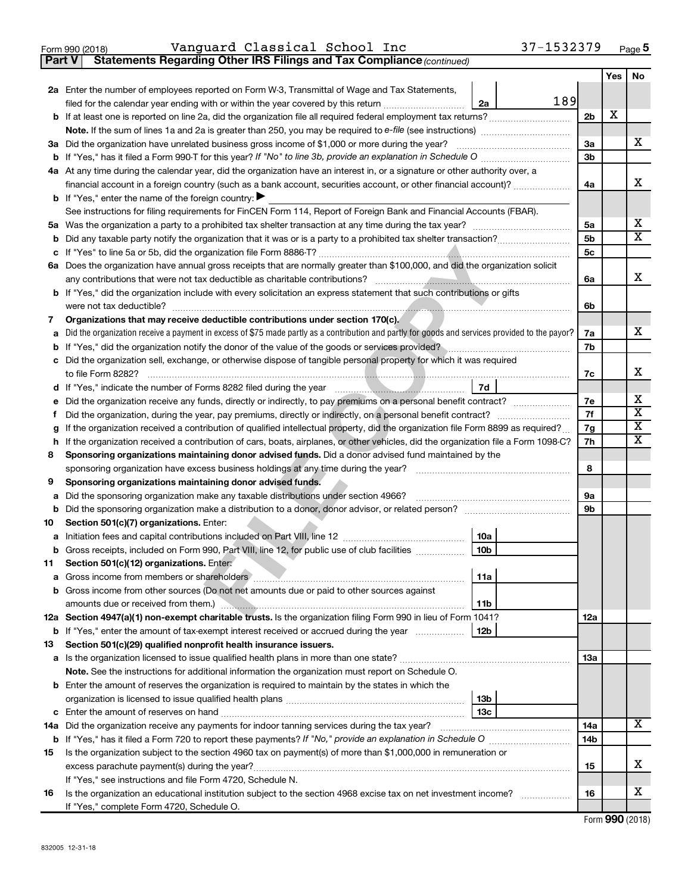|  | Form 990 (2018) |  |
|--|-----------------|--|
|  |                 |  |

**Part V Statements Regarding Other IRS Filings and Tax Compliance**

*(continued)*

|     |                                                                                                                                                 |     | Yes | No                           |  |  |  |  |  |  |
|-----|-------------------------------------------------------------------------------------------------------------------------------------------------|-----|-----|------------------------------|--|--|--|--|--|--|
|     | 2a Enter the number of employees reported on Form W-3, Transmittal of Wage and Tax Statements,                                                  |     |     |                              |  |  |  |  |  |  |
|     | 189<br>filed for the calendar year ending with or within the year covered by this return<br>2a                                                  |     |     |                              |  |  |  |  |  |  |
|     |                                                                                                                                                 | 2b  | x   |                              |  |  |  |  |  |  |
|     |                                                                                                                                                 |     |     |                              |  |  |  |  |  |  |
|     | 3a Did the organization have unrelated business gross income of \$1,000 or more during the year?                                                | За  |     | x.                           |  |  |  |  |  |  |
|     |                                                                                                                                                 | 3b  |     |                              |  |  |  |  |  |  |
|     | 4a At any time during the calendar year, did the organization have an interest in, or a signature or other authority over, a                    |     |     |                              |  |  |  |  |  |  |
|     | financial account in a foreign country (such as a bank account, securities account, or other financial account)?                                | 4a  |     | х                            |  |  |  |  |  |  |
|     | <b>b</b> If "Yes," enter the name of the foreign country: $\blacktriangleright$                                                                 |     |     |                              |  |  |  |  |  |  |
|     | See instructions for filing requirements for FinCEN Form 114, Report of Foreign Bank and Financial Accounts (FBAR).                             |     |     |                              |  |  |  |  |  |  |
|     |                                                                                                                                                 | 5a  |     | х<br>$\overline{\textbf{X}}$ |  |  |  |  |  |  |
| b   |                                                                                                                                                 | 5b  |     |                              |  |  |  |  |  |  |
|     |                                                                                                                                                 | 5c  |     |                              |  |  |  |  |  |  |
|     | 6a Does the organization have annual gross receipts that are normally greater than \$100,000, and did the organization solicit                  | 6a  |     | X.                           |  |  |  |  |  |  |
|     | <b>b</b> If "Yes," did the organization include with every solicitation an express statement that such contributions or gifts                   |     |     |                              |  |  |  |  |  |  |
|     | were not tax deductible?                                                                                                                        | 6b  |     |                              |  |  |  |  |  |  |
| 7   | Organizations that may receive deductible contributions under section 170(c).                                                                   |     |     |                              |  |  |  |  |  |  |
| a   | Did the organization receive a payment in excess of \$75 made partly as a contribution and partly for goods and services provided to the payor? | 7a  |     | x.                           |  |  |  |  |  |  |
|     | b If "Yes," did the organization notify the donor of the value of the goods or services provided?                                               | 7b  |     |                              |  |  |  |  |  |  |
|     | c Did the organization sell, exchange, or otherwise dispose of tangible personal property for which it was required                             |     |     |                              |  |  |  |  |  |  |
|     |                                                                                                                                                 | 7c  |     | х                            |  |  |  |  |  |  |
|     |                                                                                                                                                 |     |     |                              |  |  |  |  |  |  |
| е   | Did the organization receive any funds, directly or indirectly, to pay premiums on a personal benefit contract?                                 | 7е  |     | х<br>$\overline{\textbf{x}}$ |  |  |  |  |  |  |
| Ť.  |                                                                                                                                                 |     |     |                              |  |  |  |  |  |  |
| g   | If the organization received a contribution of qualified intellectual property, did the organization file Form 8899 as required?                | 7g  |     | $\overline{\textbf{X}}$      |  |  |  |  |  |  |
| h.  | If the organization received a contribution of cars, boats, airplanes, or other vehicles, did the organization file a Form 1098-C?              | 7h  |     | х                            |  |  |  |  |  |  |
| 8   | Sponsoring organizations maintaining donor advised funds. Did a donor advised fund maintained by the                                            |     |     |                              |  |  |  |  |  |  |
|     |                                                                                                                                                 | 8   |     |                              |  |  |  |  |  |  |
| 9   | Sponsoring organizations maintaining donor advised funds.                                                                                       |     |     |                              |  |  |  |  |  |  |
| а   | Did the sponsoring organization make any taxable distributions under section 4966?                                                              | 9а  |     |                              |  |  |  |  |  |  |
| b   |                                                                                                                                                 | 9b  |     |                              |  |  |  |  |  |  |
| 10  | Section 501(c)(7) organizations. Enter:                                                                                                         |     |     |                              |  |  |  |  |  |  |
|     | 10a                                                                                                                                             |     |     |                              |  |  |  |  |  |  |
|     | 10 <sub>b</sub><br><b>b</b> Gross receipts, included on Form 990, Part VIII, line 12, for public use of club facilities                         |     |     |                              |  |  |  |  |  |  |
| 11. | Section 501(c)(12) organizations. Enter:<br>  11a                                                                                               |     |     |                              |  |  |  |  |  |  |
|     | <b>b</b> Gross income from other sources (Do not net amounts due or paid to other sources against                                               |     |     |                              |  |  |  |  |  |  |
|     | 11 <sub>b</sub>                                                                                                                                 |     |     |                              |  |  |  |  |  |  |
|     | 12a Section 4947(a)(1) non-exempt charitable trusts. Is the organization filing Form 990 in lieu of Form 1041?                                  | 12a |     |                              |  |  |  |  |  |  |
|     | 12b<br><b>b</b> If "Yes," enter the amount of tax-exempt interest received or accrued during the year                                           |     |     |                              |  |  |  |  |  |  |
| 13  | Section 501(c)(29) qualified nonprofit health insurance issuers.                                                                                |     |     |                              |  |  |  |  |  |  |
|     |                                                                                                                                                 | 13a |     |                              |  |  |  |  |  |  |
|     | Note. See the instructions for additional information the organization must report on Schedule O.                                               |     |     |                              |  |  |  |  |  |  |
|     | <b>b</b> Enter the amount of reserves the organization is required to maintain by the states in which the                                       |     |     |                              |  |  |  |  |  |  |
|     | 13 <sub>b</sub>                                                                                                                                 |     |     |                              |  |  |  |  |  |  |
|     | 13с                                                                                                                                             |     |     | х                            |  |  |  |  |  |  |
|     | 14a Did the organization receive any payments for indoor tanning services during the tax year?                                                  |     |     |                              |  |  |  |  |  |  |
|     |                                                                                                                                                 |     |     |                              |  |  |  |  |  |  |
| 15  | Is the organization subject to the section 4960 tax on payment(s) of more than \$1,000,000 in remuneration or                                   |     |     | x.                           |  |  |  |  |  |  |
|     |                                                                                                                                                 |     |     |                              |  |  |  |  |  |  |
|     | If "Yes," see instructions and file Form 4720, Schedule N.                                                                                      |     |     |                              |  |  |  |  |  |  |
| 16  | Is the organization an educational institution subject to the section 4968 excise tax on net investment income?                                 | 16  |     | х                            |  |  |  |  |  |  |
|     | If "Yes," complete Form 4720, Schedule O.                                                                                                       |     |     |                              |  |  |  |  |  |  |

Form (2018) **990**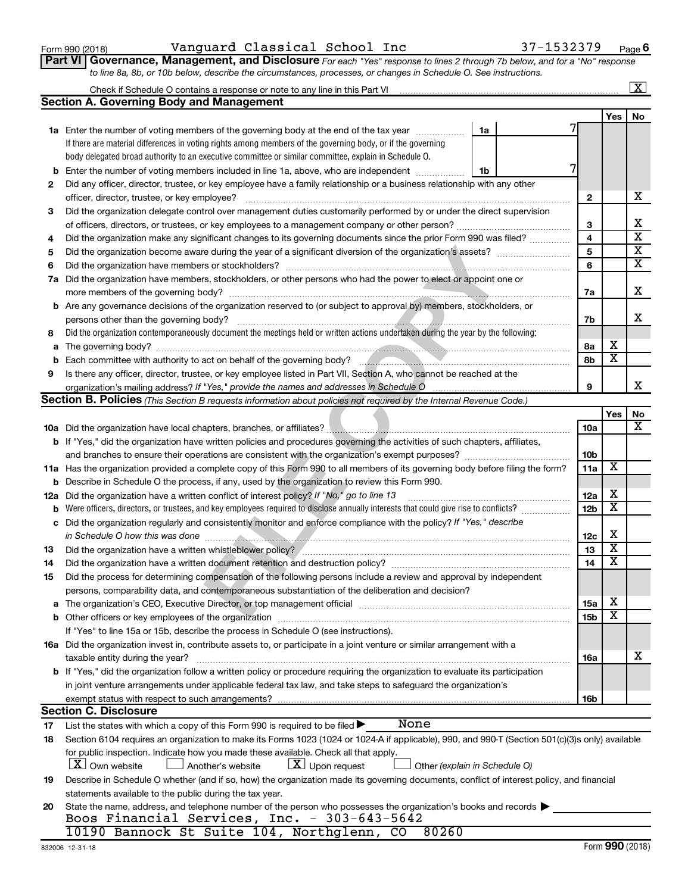|    | <b>Section A. Governing Body and Management</b>                                                                                                                                                                                      |                 |                         |                         |  |  |  |  |  |  |
|----|--------------------------------------------------------------------------------------------------------------------------------------------------------------------------------------------------------------------------------------|-----------------|-------------------------|-------------------------|--|--|--|--|--|--|
|    |                                                                                                                                                                                                                                      |                 | Yes                     | No.                     |  |  |  |  |  |  |
|    | 1a Enter the number of voting members of the governing body at the end of the tax year<br>1a                                                                                                                                         |                 |                         |                         |  |  |  |  |  |  |
|    | If there are material differences in voting rights among members of the governing body, or if the governing                                                                                                                          |                 |                         |                         |  |  |  |  |  |  |
|    | body delegated broad authority to an executive committee or similar committee, explain in Schedule O.                                                                                                                                |                 |                         |                         |  |  |  |  |  |  |
|    | 7<br><b>b</b> Enter the number of voting members included in line 1a, above, who are independent <i>manumum</i><br>1b                                                                                                                |                 |                         |                         |  |  |  |  |  |  |
| 2  | Did any officer, director, trustee, or key employee have a family relationship or a business relationship with any other                                                                                                             |                 |                         |                         |  |  |  |  |  |  |
|    | .                                                                                                                                                                                                                                    | $\mathbf{2}$    |                         | x                       |  |  |  |  |  |  |
| 3  | Did the organization delegate control over management duties customarily performed by or under the direct supervision                                                                                                                |                 |                         |                         |  |  |  |  |  |  |
|    |                                                                                                                                                                                                                                      |                 |                         |                         |  |  |  |  |  |  |
| 4  | Did the organization make any significant changes to its governing documents since the prior Form 990 was filed?                                                                                                                     | 3<br>4          |                         | $\overline{\textbf{x}}$ |  |  |  |  |  |  |
| 5  |                                                                                                                                                                                                                                      | $\sqrt{5}$      |                         | $\overline{\mathbf{x}}$ |  |  |  |  |  |  |
| 6  |                                                                                                                                                                                                                                      | 6               |                         | $\overline{\texttt{x}}$ |  |  |  |  |  |  |
|    | 7a Did the organization have members, stockholders, or other persons who had the power to elect or appoint one or                                                                                                                    |                 |                         |                         |  |  |  |  |  |  |
|    |                                                                                                                                                                                                                                      | 7a              |                         | х                       |  |  |  |  |  |  |
|    | <b>b</b> Are any governance decisions of the organization reserved to (or subject to approval by) members, stockholders, or                                                                                                          |                 |                         |                         |  |  |  |  |  |  |
|    | persons other than the governing body?                                                                                                                                                                                               | 7b              |                         | X.                      |  |  |  |  |  |  |
| 8  | Did the organization contemporaneously document the meetings held or written actions undertaken during the year by the following:                                                                                                    |                 |                         |                         |  |  |  |  |  |  |
|    |                                                                                                                                                                                                                                      | 8а              | X                       |                         |  |  |  |  |  |  |
|    | b Each committee with authority to act on behalf of the governing body?<br>management of the statement of the statement of the statement of the statement of the statement of the statement of the statement of the statement of     | 8b              | $\overline{\mathbf{x}}$ |                         |  |  |  |  |  |  |
|    |                                                                                                                                                                                                                                      |                 |                         |                         |  |  |  |  |  |  |
| 9  | Is there any officer, director, trustee, or key employee listed in Part VII, Section A, who cannot be reached at the                                                                                                                 | 9               |                         | x                       |  |  |  |  |  |  |
|    | organization's mailing address? If "Yes," provide the names and addresses in Schedule O<br>Section B. Policies (This Section B requests information about policies not required by the Internal Revenue Code.)                       |                 |                         |                         |  |  |  |  |  |  |
|    |                                                                                                                                                                                                                                      |                 |                         |                         |  |  |  |  |  |  |
|    |                                                                                                                                                                                                                                      |                 | Yes                     | No<br>$\mathbf x$       |  |  |  |  |  |  |
|    |                                                                                                                                                                                                                                      | <b>10a</b>      |                         |                         |  |  |  |  |  |  |
|    | b If "Yes," did the organization have written policies and procedures governing the activities of such chapters, affiliates,                                                                                                         |                 |                         |                         |  |  |  |  |  |  |
|    | and branches to ensure their operations are consistent with the organization's exempt purposes?                                                                                                                                      | 10b             | х                       |                         |  |  |  |  |  |  |
|    | 11a Has the organization provided a complete copy of this Form 990 to all members of its governing body before filing the form?                                                                                                      | 11a             |                         |                         |  |  |  |  |  |  |
|    | <b>b</b> Describe in Schedule O the process, if any, used by the organization to review this Form 990.                                                                                                                               |                 | х                       |                         |  |  |  |  |  |  |
|    | 12a Did the organization have a written conflict of interest policy? If "No," go to line 13                                                                                                                                          | 12a             | $\overline{\textbf{x}}$ |                         |  |  |  |  |  |  |
|    |                                                                                                                                                                                                                                      | 12 <sub>b</sub> |                         |                         |  |  |  |  |  |  |
|    | c Did the organization regularly and consistently monitor and enforce compliance with the policy? If "Yes," describe                                                                                                                 |                 | х                       |                         |  |  |  |  |  |  |
|    | in Schedule O how this was done <i>manufactured and continuum continuum continuum continuum continuum continuum continuum continuum continuum continuum continuum continuum continuum continuum continuum continuum continuum co</i> | 12c             | $\overline{\textbf{x}}$ |                         |  |  |  |  |  |  |
| 13 |                                                                                                                                                                                                                                      | 13              | $\overline{\mathbf{X}}$ |                         |  |  |  |  |  |  |
| 14 | Did the organization have a written document retention and destruction policy? [11] manufaction manufaction in                                                                                                                       | 14              |                         |                         |  |  |  |  |  |  |
| 15 | Did the process for determining compensation of the following persons include a review and approval by independent                                                                                                                   |                 |                         |                         |  |  |  |  |  |  |
|    | persons, comparability data, and contemporaneous substantiation of the deliberation and decision?                                                                                                                                    |                 |                         |                         |  |  |  |  |  |  |
|    |                                                                                                                                                                                                                                      | 15a             | $\mathbf X$             |                         |  |  |  |  |  |  |
|    | <b>b</b> Other officers or key employees of the organization                                                                                                                                                                         | 15b             | х                       |                         |  |  |  |  |  |  |
|    | If "Yes" to line 15a or 15b, describe the process in Schedule O (see instructions).                                                                                                                                                  |                 |                         |                         |  |  |  |  |  |  |
|    | 16a Did the organization invest in, contribute assets to, or participate in a joint venture or similar arrangement with a                                                                                                            |                 |                         |                         |  |  |  |  |  |  |
|    | taxable entity during the year?                                                                                                                                                                                                      | 16a             |                         | X.                      |  |  |  |  |  |  |
|    | b If "Yes," did the organization follow a written policy or procedure requiring the organization to evaluate its participation                                                                                                       |                 |                         |                         |  |  |  |  |  |  |
|    | in joint venture arrangements under applicable federal tax law, and take steps to safeguard the organization's                                                                                                                       |                 |                         |                         |  |  |  |  |  |  |
|    | exempt status with respect to such arrangements?                                                                                                                                                                                     | 16b             |                         |                         |  |  |  |  |  |  |
|    | <b>Section C. Disclosure</b>                                                                                                                                                                                                         |                 |                         |                         |  |  |  |  |  |  |
| 17 | None<br>List the states with which a copy of this Form 990 is required to be filed $\blacktriangleright$                                                                                                                             |                 |                         |                         |  |  |  |  |  |  |
| 18 | Section 6104 requires an organization to make its Forms 1023 (1024 or 1024-A if applicable), 990, and 990-T (Section 501(c)(3)s only) available                                                                                      |                 |                         |                         |  |  |  |  |  |  |
|    | for public inspection. Indicate how you made these available. Check all that apply.                                                                                                                                                  |                 |                         |                         |  |  |  |  |  |  |
|    | <b>X</b> Own website<br>$ \underline{X} $ Upon request<br>Another's website<br>Other (explain in Schedule O)                                                                                                                         |                 |                         |                         |  |  |  |  |  |  |
| 19 | Describe in Schedule O whether (and if so, how) the organization made its governing documents, conflict of interest policy, and financial                                                                                            |                 |                         |                         |  |  |  |  |  |  |
|    | statements available to the public during the tax year.                                                                                                                                                                              |                 |                         |                         |  |  |  |  |  |  |
| 20 | State the name, address, and telephone number of the person who possesses the organization's books and records                                                                                                                       |                 |                         |                         |  |  |  |  |  |  |
|    | Boos Financial Services, Inc. - 303-643-5642                                                                                                                                                                                         |                 |                         |                         |  |  |  |  |  |  |
|    | 10190 Bannock St Suite 104, Northglenn, CO<br>80260                                                                                                                                                                                  |                 |                         |                         |  |  |  |  |  |  |

#### Form 990 (2018) Vanguard Classical School Inc 37-1532379 <sub>Page</sub>

Check if Schedule O contains a response or note to any line in this Part VI

**Part VI** Governance, Management, and Disclosure For each "Yes" response to lines 2 through 7b below, and for a "No" response *to line 8a, 8b, or 10b below, describe the circumstances, processes, or changes in Schedule O. See instructions.*

 $\boxed{\text{X}}$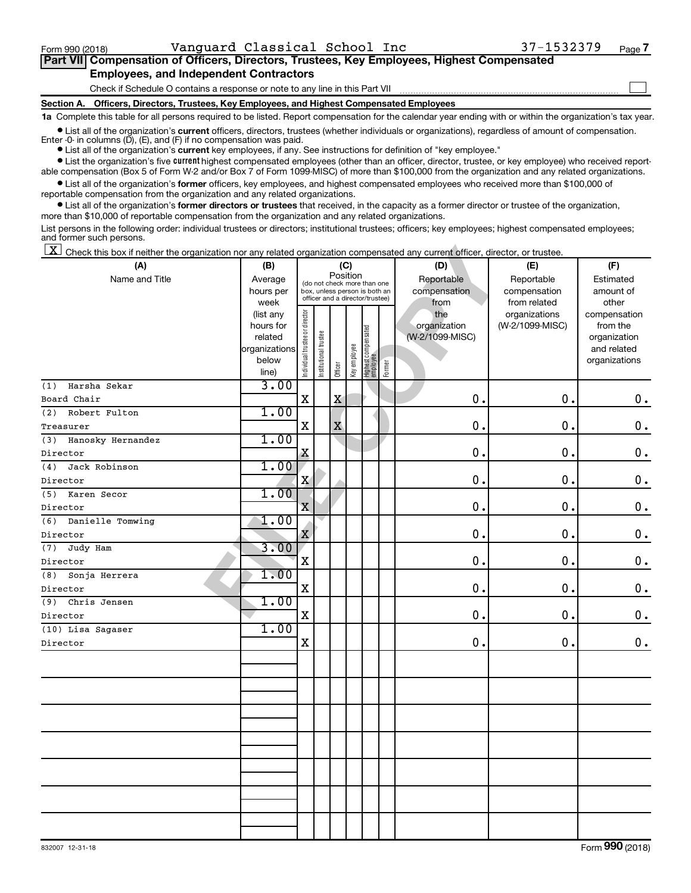| Part VII Compensation of Officers, Directors, Trustees, Key Employees, Highest Compensated |  |  |  |  |
|--------------------------------------------------------------------------------------------|--|--|--|--|
| <b>Employees, and Independent Contractors</b>                                              |  |  |  |  |

| Vanguard Classical School Inc<br>Form 990 (2018)                                                                                                                                                                                                                                           |                          |                                |                       |          |              |                                                              |        |                                 | 37-1532379      | Page 7                      |
|--------------------------------------------------------------------------------------------------------------------------------------------------------------------------------------------------------------------------------------------------------------------------------------------|--------------------------|--------------------------------|-----------------------|----------|--------------|--------------------------------------------------------------|--------|---------------------------------|-----------------|-----------------------------|
| Part VII Compensation of Officers, Directors, Trustees, Key Employees, Highest Compensated                                                                                                                                                                                                 |                          |                                |                       |          |              |                                                              |        |                                 |                 |                             |
| <b>Employees, and Independent Contractors</b>                                                                                                                                                                                                                                              |                          |                                |                       |          |              |                                                              |        |                                 |                 |                             |
| Check if Schedule O contains a response or note to any line in this Part VII                                                                                                                                                                                                               |                          |                                |                       |          |              |                                                              |        |                                 |                 |                             |
| Section A. Officers, Directors, Trustees, Key Employees, and Highest Compensated Employees                                                                                                                                                                                                 |                          |                                |                       |          |              |                                                              |        |                                 |                 |                             |
| 1a Complete this table for all persons required to be listed. Report compensation for the calendar year ending with or within the organization's tax year                                                                                                                                  |                          |                                |                       |          |              |                                                              |        |                                 |                 |                             |
| • List all of the organization's current officers, directors, trustees (whether individuals or organizations), regardless of amount of compensation.<br>Enter $-0$ in columns $(D)$ , $(E)$ , and $(F)$ if no compensation was paid.                                                       |                          |                                |                       |          |              |                                                              |        |                                 |                 |                             |
| • List all of the organization's current key employees, if any. See instructions for definition of "key employee."                                                                                                                                                                         |                          |                                |                       |          |              |                                                              |        |                                 |                 |                             |
| • List the organization's five current highest compensated employees (other than an officer, director, trustee, or key employee) who received report-                                                                                                                                      |                          |                                |                       |          |              |                                                              |        |                                 |                 |                             |
| able compensation (Box 5 of Form W-2 and/or Box 7 of Form 1099-MISC) of more than \$100,000 from the organization and any related organizations.<br>• List all of the organization's former officers, key employees, and highest compensated employees who received more than \$100,000 of |                          |                                |                       |          |              |                                                              |        |                                 |                 |                             |
| reportable compensation from the organization and any related organizations.                                                                                                                                                                                                               |                          |                                |                       |          |              |                                                              |        |                                 |                 |                             |
| • List all of the organization's former directors or trustees that received, in the capacity as a former director or trustee of the organization,                                                                                                                                          |                          |                                |                       |          |              |                                                              |        |                                 |                 |                             |
| more than \$10,000 of reportable compensation from the organization and any related organizations.                                                                                                                                                                                         |                          |                                |                       |          |              |                                                              |        |                                 |                 |                             |
| List persons in the following order: individual trustees or directors; institutional trustees; officers; key employees; highest compensated employees;<br>and former such persons.                                                                                                         |                          |                                |                       |          |              |                                                              |        |                                 |                 |                             |
| $\mathbf{X}$<br>Check this box if neither the organization nor any related organization compensated any current officer, director, or trustee.                                                                                                                                             |                          |                                |                       |          |              |                                                              |        |                                 |                 |                             |
| (A)                                                                                                                                                                                                                                                                                        | (B)                      |                                |                       |          | (C)          |                                                              |        | (D)                             | (E)             | (F)                         |
| Name and Title                                                                                                                                                                                                                                                                             | Average                  |                                |                       | Position |              |                                                              |        | Reportable                      | Reportable      | Estimated                   |
|                                                                                                                                                                                                                                                                                            | hours per                |                                |                       |          |              | (do not check more than one<br>box, unless person is both an |        | compensation                    | compensation    | amount of                   |
|                                                                                                                                                                                                                                                                                            | week                     |                                |                       |          |              | officer and a director/trustee)                              |        | from                            | from related    | other                       |
|                                                                                                                                                                                                                                                                                            | (list any                |                                |                       |          |              |                                                              |        | the                             | organizations   | compensation                |
|                                                                                                                                                                                                                                                                                            | hours for                |                                |                       |          |              |                                                              |        | organization<br>(W-2/1099-MISC) | (W-2/1099-MISC) | from the                    |
|                                                                                                                                                                                                                                                                                            | related<br>organizations |                                |                       |          |              |                                                              |        |                                 |                 | organization<br>and related |
|                                                                                                                                                                                                                                                                                            | below                    | Individual trustee or director | Institutional trustee |          | Key employee |                                                              |        |                                 |                 | organizations               |
|                                                                                                                                                                                                                                                                                            | line)                    |                                |                       | Officer  |              | Highest compensated<br> employee                             | Former |                                 |                 |                             |
| Harsha Sekar<br>(1)                                                                                                                                                                                                                                                                        | 3.00                     |                                |                       |          |              |                                                              |        |                                 |                 |                             |
| Board Chair                                                                                                                                                                                                                                                                                |                          | Χ                              |                       | X        |              |                                                              |        | 0                               | $\mathbf 0$     | 0.                          |
| Robert Fulton<br>(2)                                                                                                                                                                                                                                                                       | 1.00                     |                                |                       |          |              |                                                              |        |                                 |                 |                             |
| Treasurer                                                                                                                                                                                                                                                                                  |                          | Χ                              |                       | X        |              |                                                              |        | 0                               | $\mathbf 0$ .   | 0.                          |
| Hanosky Hernandez<br>(3)                                                                                                                                                                                                                                                                   | 1.00                     |                                |                       |          |              |                                                              |        |                                 |                 |                             |
| Director                                                                                                                                                                                                                                                                                   |                          | X                              |                       |          |              |                                                              |        | 0                               | $\mathbf 0$     | 0.                          |
| Jack Robinson<br>(4)                                                                                                                                                                                                                                                                       | 1.00                     |                                |                       |          |              |                                                              |        |                                 |                 |                             |
| Director                                                                                                                                                                                                                                                                                   |                          | X                              |                       |          |              |                                                              |        | 0                               | $\mathbf 0$     | 0.                          |
| Karen Secor<br>(5)                                                                                                                                                                                                                                                                         | 1.00                     |                                |                       |          |              |                                                              |        |                                 |                 |                             |
| Director                                                                                                                                                                                                                                                                                   |                          | X                              |                       |          |              |                                                              |        | 0                               | $\mathbf 0$     | 0.                          |
| Danielle Tomwing<br>(6)                                                                                                                                                                                                                                                                    | 1.00                     |                                |                       |          |              |                                                              |        | 0                               |                 |                             |
| Director                                                                                                                                                                                                                                                                                   | 3.00                     | X                              |                       |          |              |                                                              |        |                                 | 0.              | 0.                          |
| (7) Judy Ham<br>Director                                                                                                                                                                                                                                                                   |                          | $\mathbf X$                    |                       |          |              |                                                              |        | 0.                              | 0.              | $\mathbf 0$ .               |
| (8) Sonja Herrera                                                                                                                                                                                                                                                                          | 1.00                     |                                |                       |          |              |                                                              |        |                                 |                 |                             |
| Director                                                                                                                                                                                                                                                                                   |                          | X                              |                       |          |              |                                                              |        | 0.                              | 0.              | 0.                          |
| (9) Chris Jensen                                                                                                                                                                                                                                                                           | 1.00                     |                                |                       |          |              |                                                              |        |                                 |                 |                             |
| Director                                                                                                                                                                                                                                                                                   |                          | X                              |                       |          |              |                                                              |        | О.                              | 0.              | 0.                          |
| (10) Lisa Sagaser                                                                                                                                                                                                                                                                          | 1.00                     |                                |                       |          |              |                                                              |        |                                 |                 |                             |
| Director                                                                                                                                                                                                                                                                                   |                          | X                              |                       |          |              |                                                              |        | 0.                              | 0.              | 0.                          |
|                                                                                                                                                                                                                                                                                            |                          |                                |                       |          |              |                                                              |        |                                 |                 |                             |
|                                                                                                                                                                                                                                                                                            |                          |                                |                       |          |              |                                                              |        |                                 |                 |                             |
|                                                                                                                                                                                                                                                                                            |                          |                                |                       |          |              |                                                              |        |                                 |                 |                             |
|                                                                                                                                                                                                                                                                                            |                          |                                |                       |          |              |                                                              |        |                                 |                 |                             |
|                                                                                                                                                                                                                                                                                            |                          |                                |                       |          |              |                                                              |        |                                 |                 |                             |
|                                                                                                                                                                                                                                                                                            |                          |                                |                       |          |              |                                                              |        |                                 |                 |                             |
|                                                                                                                                                                                                                                                                                            |                          |                                |                       |          |              |                                                              |        |                                 |                 |                             |
|                                                                                                                                                                                                                                                                                            |                          |                                |                       |          |              |                                                              |        |                                 |                 |                             |
|                                                                                                                                                                                                                                                                                            |                          |                                |                       |          |              |                                                              |        |                                 |                 |                             |
|                                                                                                                                                                                                                                                                                            |                          |                                |                       |          |              |                                                              |        |                                 |                 |                             |
|                                                                                                                                                                                                                                                                                            |                          |                                |                       |          |              |                                                              |        |                                 |                 |                             |
|                                                                                                                                                                                                                                                                                            |                          |                                |                       |          |              |                                                              |        |                                 |                 |                             |
|                                                                                                                                                                                                                                                                                            |                          |                                |                       |          |              |                                                              |        |                                 |                 |                             |
|                                                                                                                                                                                                                                                                                            |                          |                                |                       |          |              |                                                              |        |                                 |                 | Form 990 (2018)             |
| 832007 12-31-18                                                                                                                                                                                                                                                                            |                          |                                |                       |          |              |                                                              |        |                                 |                 |                             |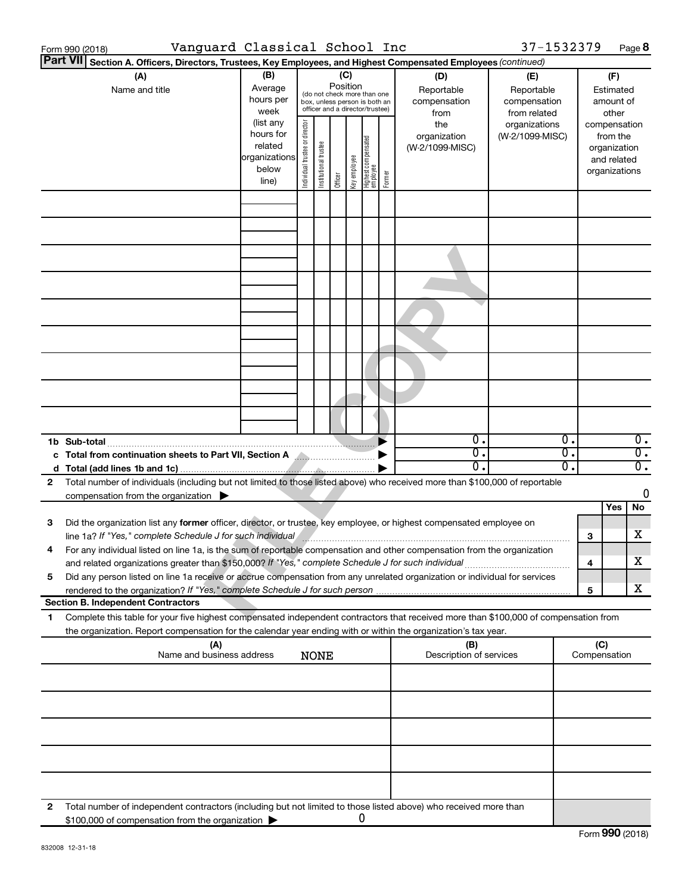|              | Form 990 (2018)                                                             |                                                                                                                                                                                                                                                         | Vanguard Classical School Inc |                                |                                                                                                                          |                            |              |                                 |        |                                                                                     | 37-1532379                                                                            |    |                                                                                                                    | Page 8           |
|--------------|-----------------------------------------------------------------------------|---------------------------------------------------------------------------------------------------------------------------------------------------------------------------------------------------------------------------------------------------------|-------------------------------|--------------------------------|--------------------------------------------------------------------------------------------------------------------------|----------------------------|--------------|---------------------------------|--------|-------------------------------------------------------------------------------------|---------------------------------------------------------------------------------------|----|--------------------------------------------------------------------------------------------------------------------|------------------|
|              | <b>Part VII</b>                                                             | Section A. Officers, Directors, Trustees, Key Employees, and Highest Compensated Employees (continued)                                                                                                                                                  |                               |                                |                                                                                                                          |                            |              |                                 |        |                                                                                     |                                                                                       |    |                                                                                                                    |                  |
|              | (A)<br>Average<br>Name and title<br>hours per<br>hours for<br>organizations |                                                                                                                                                                                                                                                         |                               | Individual trustee or director | (do not check more than one<br>box, unless person is both an<br>officer and a director/trustee)<br>Institutional trustee | (C)<br>Position<br>Officer | Key employee | Highest compensated<br>employee | Former | (D)<br>Reportable<br>compensation<br>from<br>the<br>organization<br>(W-2/1099-MISC) | (E)<br>Reportable<br>compensation<br>from related<br>organizations<br>(W-2/1099-MISC) |    | (F)<br>Estimated<br>amount of<br>other<br>compensation<br>from the<br>organization<br>and related<br>organizations |                  |
|              |                                                                             |                                                                                                                                                                                                                                                         |                               |                                |                                                                                                                          |                            |              |                                 |        |                                                                                     |                                                                                       |    |                                                                                                                    |                  |
|              |                                                                             |                                                                                                                                                                                                                                                         |                               |                                |                                                                                                                          |                            |              |                                 |        |                                                                                     |                                                                                       |    |                                                                                                                    |                  |
|              |                                                                             |                                                                                                                                                                                                                                                         |                               |                                |                                                                                                                          |                            |              |                                 |        |                                                                                     |                                                                                       |    |                                                                                                                    |                  |
|              |                                                                             |                                                                                                                                                                                                                                                         |                               |                                |                                                                                                                          |                            |              |                                 |        |                                                                                     |                                                                                       |    |                                                                                                                    |                  |
|              |                                                                             |                                                                                                                                                                                                                                                         |                               |                                |                                                                                                                          |                            |              |                                 |        |                                                                                     |                                                                                       |    |                                                                                                                    |                  |
|              |                                                                             |                                                                                                                                                                                                                                                         |                               |                                |                                                                                                                          |                            |              |                                 |        |                                                                                     |                                                                                       |    |                                                                                                                    |                  |
|              |                                                                             |                                                                                                                                                                                                                                                         |                               |                                |                                                                                                                          |                            |              |                                 |        |                                                                                     |                                                                                       |    |                                                                                                                    |                  |
|              |                                                                             |                                                                                                                                                                                                                                                         |                               |                                |                                                                                                                          |                            |              |                                 |        |                                                                                     |                                                                                       |    |                                                                                                                    |                  |
|              | 1b Sub-total                                                                |                                                                                                                                                                                                                                                         |                               |                                |                                                                                                                          |                            |              |                                 |        | О.                                                                                  |                                                                                       | о. |                                                                                                                    | $\overline{0}$ . |
|              |                                                                             | c Total from continuation sheets to Part VII, Section A <b>Allection</b>                                                                                                                                                                                |                               |                                |                                                                                                                          |                            |              |                                 |        | О.                                                                                  |                                                                                       | σ. |                                                                                                                    | $\overline{0}$ . |
|              |                                                                             |                                                                                                                                                                                                                                                         |                               |                                |                                                                                                                          |                            |              |                                 |        | 0.                                                                                  |                                                                                       | σ. |                                                                                                                    | $\overline{0}$ . |
| 2            |                                                                             | Total number of individuals (including but not limited to those listed above) who received more than \$100,000 of reportable                                                                                                                            |                               |                                |                                                                                                                          |                            |              |                                 |        |                                                                                     |                                                                                       |    |                                                                                                                    |                  |
|              |                                                                             | compensation from the organization $\blacktriangleright$                                                                                                                                                                                                |                               |                                |                                                                                                                          |                            |              |                                 |        |                                                                                     |                                                                                       |    |                                                                                                                    | 0                |
| 3            |                                                                             | Did the organization list any former officer, director, or trustee, key employee, or highest compensated employee on                                                                                                                                    |                               |                                |                                                                                                                          |                            |              |                                 |        |                                                                                     |                                                                                       |    | Yes                                                                                                                | No               |
|              |                                                                             | line 1a? If "Yes," complete Schedule J for such individual manufacture communication and the schedule J for such individual<br>For any individual listed on line 1a, is the sum of reportable compensation and other compensation from the organization |                               |                                |                                                                                                                          |                            |              |                                 |        |                                                                                     |                                                                                       |    | 3                                                                                                                  | х                |
|              |                                                                             | and related organizations greater than \$150,000? If "Yes," complete Schedule J for such individual                                                                                                                                                     |                               |                                |                                                                                                                          |                            |              |                                 |        |                                                                                     |                                                                                       |    | 4                                                                                                                  | X                |
| 5            |                                                                             | Did any person listed on line 1a receive or accrue compensation from any unrelated organization or individual for services                                                                                                                              |                               |                                |                                                                                                                          |                            |              |                                 |        |                                                                                     |                                                                                       |    |                                                                                                                    | x                |
|              |                                                                             | <b>Section B. Independent Contractors</b>                                                                                                                                                                                                               |                               |                                |                                                                                                                          |                            |              |                                 |        |                                                                                     |                                                                                       |    | 5                                                                                                                  |                  |
| 1            |                                                                             | Complete this table for your five highest compensated independent contractors that received more than \$100,000 of compensation from<br>the organization. Report compensation for the calendar year ending with or within the organization's tax year.  |                               |                                |                                                                                                                          |                            |              |                                 |        |                                                                                     |                                                                                       |    |                                                                                                                    |                  |
|              |                                                                             | (A)                                                                                                                                                                                                                                                     |                               |                                |                                                                                                                          |                            |              |                                 |        | (B)                                                                                 |                                                                                       |    | (C)                                                                                                                |                  |
|              |                                                                             | Name and business address                                                                                                                                                                                                                               |                               |                                | <b>NONE</b>                                                                                                              |                            |              |                                 |        | Description of services                                                             |                                                                                       |    | Compensation                                                                                                       |                  |
|              |                                                                             |                                                                                                                                                                                                                                                         |                               |                                |                                                                                                                          |                            |              |                                 |        |                                                                                     |                                                                                       |    |                                                                                                                    |                  |
|              |                                                                             |                                                                                                                                                                                                                                                         |                               |                                |                                                                                                                          |                            |              |                                 |        |                                                                                     |                                                                                       |    |                                                                                                                    |                  |
|              |                                                                             |                                                                                                                                                                                                                                                         |                               |                                |                                                                                                                          |                            |              |                                 |        |                                                                                     |                                                                                       |    |                                                                                                                    |                  |
|              |                                                                             |                                                                                                                                                                                                                                                         |                               |                                |                                                                                                                          |                            |              |                                 |        |                                                                                     |                                                                                       |    |                                                                                                                    |                  |
| $\mathbf{2}$ |                                                                             | Total number of independent contractors (including but not limited to those listed above) who received more than<br>\$100,000 of compensation from the organization                                                                                     |                               |                                |                                                                                                                          |                            |              | 0                               |        |                                                                                     |                                                                                       |    |                                                                                                                    |                  |
|              |                                                                             |                                                                                                                                                                                                                                                         |                               |                                |                                                                                                                          |                            |              |                                 |        |                                                                                     |                                                                                       |    | Form 990 (2018)                                                                                                    |                  |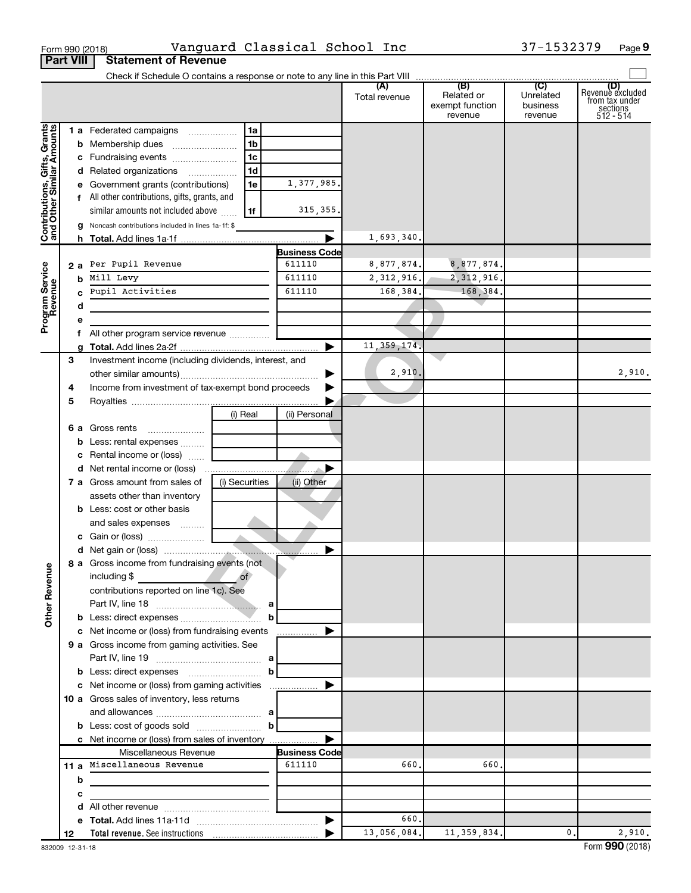|                                                           | <b>Part VIII</b> | <b>Statement of Revenue</b>                                                                               |                       |               |                                          |                                  |                                                                    |
|-----------------------------------------------------------|------------------|-----------------------------------------------------------------------------------------------------------|-----------------------|---------------|------------------------------------------|----------------------------------|--------------------------------------------------------------------|
|                                                           |                  |                                                                                                           |                       |               |                                          |                                  |                                                                    |
|                                                           |                  |                                                                                                           |                       | Total revenue | Related or<br>exempt function<br>revenue | Unrelated<br>business<br>revenue | (D)<br>Revenue excluded<br>trom tax under<br>sections<br>512 - 514 |
| Contributions, Gifts, Grants<br>and Other Similar Amounts |                  | 1 a Federated campaigns<br>1a                                                                             |                       |               |                                          |                                  |                                                                    |
|                                                           |                  | 1 <sub>b</sub><br><b>b</b> Membership dues                                                                |                       |               |                                          |                                  |                                                                    |
|                                                           |                  | 1 <sub>c</sub><br>c Fundraising events                                                                    |                       |               |                                          |                                  |                                                                    |
|                                                           |                  | 1 <sub>d</sub><br>d Related organizations                                                                 |                       |               |                                          |                                  |                                                                    |
|                                                           |                  | 1e<br>e Government grants (contributions)                                                                 | 1,377,985.            |               |                                          |                                  |                                                                    |
|                                                           |                  | f All other contributions, gifts, grants, and                                                             |                       |               |                                          |                                  |                                                                    |
|                                                           |                  | similar amounts not included above<br>1f                                                                  | 315, 355.             |               |                                          |                                  |                                                                    |
|                                                           |                  | Noncash contributions included in lines 1a-1f: \$                                                         |                       |               |                                          |                                  |                                                                    |
|                                                           |                  |                                                                                                           |                       | 1,693,340.    |                                          |                                  |                                                                    |
|                                                           |                  |                                                                                                           | <b>Business Code</b>  |               |                                          |                                  |                                                                    |
|                                                           | 2а               | Per Pupil Revenue                                                                                         | 611110                | 8,877,874.    | 8,877,874.                               |                                  |                                                                    |
|                                                           | b                | Mill Levy                                                                                                 | 611110                | 2, 312, 916.  | 2, 312, 916.                             |                                  |                                                                    |
|                                                           |                  | Pupil Activities                                                                                          | 611110                | 168,384.      | 168,384.                                 |                                  |                                                                    |
|                                                           | d                |                                                                                                           |                       |               |                                          |                                  |                                                                    |
| Program Service<br>Revenue                                |                  |                                                                                                           |                       |               |                                          |                                  |                                                                    |
|                                                           |                  | f All other program service revenue                                                                       |                       |               |                                          |                                  |                                                                    |
|                                                           |                  |                                                                                                           | $\blacktriangleright$ | 11, 359, 174. |                                          |                                  |                                                                    |
|                                                           | 3                | Investment income (including dividends, interest, and                                                     |                       | 2,910.        |                                          |                                  | 2,910.                                                             |
|                                                           | 4                | Income from investment of tax-exempt bond proceeds                                                        |                       |               |                                          |                                  |                                                                    |
|                                                           | 5                |                                                                                                           |                       |               |                                          |                                  |                                                                    |
|                                                           |                  | (i) Real                                                                                                  | (ii) Personal         |               |                                          |                                  |                                                                    |
|                                                           | 6а               | Gross rents                                                                                               |                       |               |                                          |                                  |                                                                    |
|                                                           |                  | Less: rental expenses                                                                                     |                       |               |                                          |                                  |                                                                    |
|                                                           |                  | c Rental income or (loss)                                                                                 |                       |               |                                          |                                  |                                                                    |
|                                                           |                  |                                                                                                           |                       |               |                                          |                                  |                                                                    |
|                                                           |                  | 7 a Gross amount from sales of<br>(i) Securities                                                          | (ii) Other            |               |                                          |                                  |                                                                    |
|                                                           |                  | assets other than inventory                                                                               |                       |               |                                          |                                  |                                                                    |
|                                                           |                  | <b>b</b> Less: cost or other basis                                                                        |                       |               |                                          |                                  |                                                                    |
|                                                           |                  | and sales expenses                                                                                        |                       |               |                                          |                                  |                                                                    |
|                                                           |                  |                                                                                                           |                       |               |                                          |                                  |                                                                    |
|                                                           |                  |                                                                                                           |                       |               |                                          |                                  |                                                                    |
|                                                           |                  | 8 a Gross income from fundraising events (not                                                             |                       |               |                                          |                                  |                                                                    |
| <b>Other Revenue</b>                                      |                  | $\overline{\text{of}}$<br>including \$                                                                    |                       |               |                                          |                                  |                                                                    |
|                                                           |                  | contributions reported on line 1c). See                                                                   |                       |               |                                          |                                  |                                                                    |
|                                                           |                  |                                                                                                           |                       |               |                                          |                                  |                                                                    |
|                                                           |                  | b<br><b>b</b> Less: direct expenses <i>manually contained</i> and the Less: direct expenses <i>manual</i> |                       |               |                                          |                                  |                                                                    |
|                                                           |                  | c Net income or (loss) from fundraising events                                                            | .                     |               |                                          |                                  |                                                                    |
|                                                           |                  | 9 a Gross income from gaming activities. See                                                              |                       |               |                                          |                                  |                                                                    |
|                                                           |                  |                                                                                                           |                       |               |                                          |                                  |                                                                    |
|                                                           |                  | <b>b</b> Less: direct expenses <b>manually b</b>                                                          |                       |               |                                          |                                  |                                                                    |
|                                                           |                  | c Net income or (loss) from gaming activities                                                             | ▶                     |               |                                          |                                  |                                                                    |
|                                                           |                  | 10 a Gross sales of inventory, less returns                                                               |                       |               |                                          |                                  |                                                                    |
|                                                           |                  |                                                                                                           |                       |               |                                          |                                  |                                                                    |
|                                                           |                  |                                                                                                           |                       |               |                                          |                                  |                                                                    |
|                                                           |                  | c Net income or (loss) from sales of inventory                                                            |                       |               |                                          |                                  |                                                                    |
|                                                           |                  | Miscellaneous Revenue                                                                                     | <b>Business Code</b>  |               |                                          |                                  |                                                                    |
|                                                           |                  | 11 a Miscellaneous Revenue                                                                                | 611110                | 660.          | 660.                                     |                                  |                                                                    |
|                                                           | b                |                                                                                                           |                       |               |                                          |                                  |                                                                    |
|                                                           | с                |                                                                                                           |                       |               |                                          |                                  |                                                                    |
|                                                           | d                |                                                                                                           |                       |               |                                          |                                  |                                                                    |
|                                                           |                  |                                                                                                           | $\blacktriangleright$ | 660.          |                                          |                                  |                                                                    |
|                                                           | 12               |                                                                                                           |                       | 13,056,084.   | 11, 359, 834.                            | $\mathbf{0}$ .                   | 2,910.                                                             |

 $\frac{1}{100}$  Form 990 (2018) Page Number of Number 2013 (2018) Page 2014 Museum 2014 Page 2014 Museum 2014 Page

Vanguard Classical School Inc 37-1532379

**9**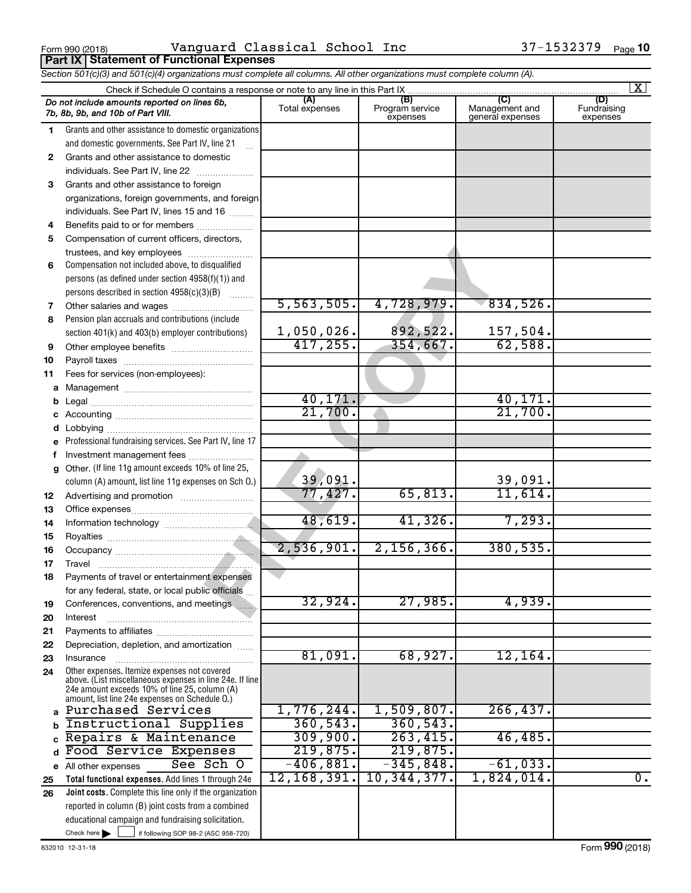Form 990 (2018) Vanguard Classical School Inc 37-1532379 <sub>Page</sub> **Part IX Statement of Functional Expenses**

|              | Section 501(c)(3) and 501(c)(4) organizations must complete all columns. All other organizations must complete column (A).                                                                                  |                       |                                    |                                           |                                |
|--------------|-------------------------------------------------------------------------------------------------------------------------------------------------------------------------------------------------------------|-----------------------|------------------------------------|-------------------------------------------|--------------------------------|
|              | Check if Schedule O contains a response or note to any line in this Part IX                                                                                                                                 |                       |                                    |                                           | $\lfloor x \rfloor$            |
|              | Do not include amounts reported on lines 6b,<br>7b, 8b, 9b, and 10b of Part VIII.                                                                                                                           | (A)<br>Total expenses | (B)<br>Program service<br>expenses | (C)<br>Management and<br>general expenses | (D)<br>Fundraising<br>expenses |
| 1.           | Grants and other assistance to domestic organizations<br>and domestic governments. See Part IV, line 21                                                                                                     |                       |                                    |                                           |                                |
| $\mathbf{2}$ | Grants and other assistance to domestic                                                                                                                                                                     |                       |                                    |                                           |                                |
|              | individuals. See Part IV, line 22                                                                                                                                                                           |                       |                                    |                                           |                                |
| 3            | Grants and other assistance to foreign                                                                                                                                                                      |                       |                                    |                                           |                                |
|              | organizations, foreign governments, and foreign                                                                                                                                                             |                       |                                    |                                           |                                |
|              | individuals. See Part IV, lines 15 and 16                                                                                                                                                                   |                       |                                    |                                           |                                |
| 4            | Benefits paid to or for members                                                                                                                                                                             |                       |                                    |                                           |                                |
| 5            | Compensation of current officers, directors,                                                                                                                                                                |                       |                                    |                                           |                                |
|              | trustees, and key employees                                                                                                                                                                                 |                       |                                    |                                           |                                |
| 6            | Compensation not included above, to disqualified                                                                                                                                                            |                       |                                    |                                           |                                |
|              | persons (as defined under section 4958(f)(1)) and                                                                                                                                                           |                       |                                    |                                           |                                |
|              | persons described in section $4958(c)(3)(B)$                                                                                                                                                                |                       |                                    |                                           |                                |
| 7            |                                                                                                                                                                                                             | 5,563,505.            | 4,728,979.                         | 834,526.                                  |                                |
| 8            | Pension plan accruals and contributions (include                                                                                                                                                            |                       |                                    |                                           |                                |
|              | section 401(k) and 403(b) employer contributions)                                                                                                                                                           | 1,050,026.            | 892,522.                           | 157,504.                                  |                                |
| 9            |                                                                                                                                                                                                             | 417, 255.             | 354,667.                           | 62,588.                                   |                                |
| 10           |                                                                                                                                                                                                             |                       |                                    |                                           |                                |
| 11           | Fees for services (non-employees):                                                                                                                                                                          |                       |                                    |                                           |                                |
|              |                                                                                                                                                                                                             |                       |                                    |                                           |                                |
|              |                                                                                                                                                                                                             | 40,171.               |                                    | 40,171.                                   |                                |
|              |                                                                                                                                                                                                             | 21,700.               |                                    | 21,700.                                   |                                |
| d            |                                                                                                                                                                                                             |                       |                                    |                                           |                                |
|              | Professional fundraising services. See Part IV, line 17                                                                                                                                                     |                       |                                    |                                           |                                |
|              | Investment management fees                                                                                                                                                                                  |                       |                                    |                                           |                                |
|              | g Other. (If line 11g amount exceeds 10% of line 25,                                                                                                                                                        |                       |                                    |                                           |                                |
|              | column (A) amount, list line 11g expenses on Sch O.)                                                                                                                                                        | 39,091.<br>77,427.    | 65,813.                            | 39,091.<br>11,614.                        |                                |
| 12           |                                                                                                                                                                                                             |                       |                                    |                                           |                                |
| 13           |                                                                                                                                                                                                             | 48,619.               | 41,326.                            | 7,293.                                    |                                |
| 14<br>15     |                                                                                                                                                                                                             |                       |                                    |                                           |                                |
| 16           |                                                                                                                                                                                                             | 2,536,901.            | $2,156,366$ .                      | 380, 535.                                 |                                |
| 17           |                                                                                                                                                                                                             |                       |                                    |                                           |                                |
| 18           | Payments of travel or entertainment expenses                                                                                                                                                                |                       |                                    |                                           |                                |
|              | for any federal, state, or local public officials                                                                                                                                                           |                       |                                    |                                           |                                |
| 19           | Conferences, conventions, and meetings                                                                                                                                                                      | 32,924.               | 27,985.                            | 4,939.                                    |                                |
| 20           | Interest                                                                                                                                                                                                    |                       |                                    |                                           |                                |
| 21           |                                                                                                                                                                                                             |                       |                                    |                                           |                                |
| 22           | Depreciation, depletion, and amortization                                                                                                                                                                   |                       |                                    |                                           |                                |
| 23           | Insurance                                                                                                                                                                                                   | 81,091.               | 68,927.                            | 12, 164.                                  |                                |
| 24           | Other expenses. Itemize expenses not covered<br>above. (List miscellaneous expenses in line 24e. If line<br>24e amount exceeds 10% of line 25, column (A)<br>amount, list line 24e expenses on Schedule O.) |                       |                                    |                                           |                                |
|              | Purchased Services                                                                                                                                                                                          | 1,776,244.            | 1,509,807.                         | 266, 437.                                 |                                |
|              | Instructional Supplies                                                                                                                                                                                      | 360, 543.             | 360, 543.                          |                                           |                                |
|              | Repairs & Maintenance                                                                                                                                                                                       | 309,900.              | 263, 415.                          | 46,485.                                   |                                |
|              | Food Service Expenses                                                                                                                                                                                       | 219,875.              | 219,875.                           |                                           |                                |
|              | See Sch O<br>e All other expenses                                                                                                                                                                           | $-406,881.$           | $-345,848.$                        | $-61,033.$                                |                                |
| 25           | Total functional expenses. Add lines 1 through 24e                                                                                                                                                          | 12, 168, 391.         | 10, 344, 377.                      | $1,824,014$ .                             | $\overline{0}$ .               |
| 26           | Joint costs. Complete this line only if the organization                                                                                                                                                    |                       |                                    |                                           |                                |
|              | reported in column (B) joint costs from a combined                                                                                                                                                          |                       |                                    |                                           |                                |
|              | educational campaign and fundraising solicitation.                                                                                                                                                          |                       |                                    |                                           |                                |
|              | Check here $\blacktriangleright$<br>if following SOP 98-2 (ASC 958-720)                                                                                                                                     |                       |                                    |                                           |                                |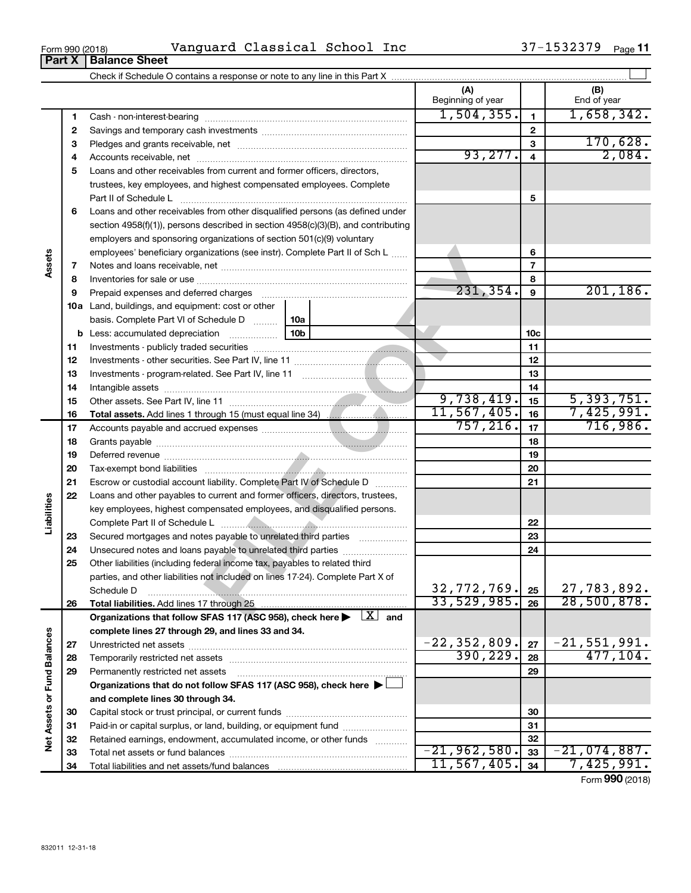| Vanquard<br>. .<br>School<br>Classical<br>Inc<br>Form 990 (2018)<br>د عدد. | Page |
|----------------------------------------------------------------------------|------|
|----------------------------------------------------------------------------|------|

|                             |          |                                                                                                                         |  | (A)<br>Beginning of year |                         | (B)<br>End of year            |
|-----------------------------|----------|-------------------------------------------------------------------------------------------------------------------------|--|--------------------------|-------------------------|-------------------------------|
|                             | 1        |                                                                                                                         |  | 1,504,355.               | $\mathbf{1}$            | 1,658,342.                    |
|                             | 2        |                                                                                                                         |  | $\mathbf{2}$             |                         |                               |
|                             | з        |                                                                                                                         |  |                          | 3                       | 170,628.                      |
|                             | 4        |                                                                                                                         |  | 93, 277.                 | $\overline{\mathbf{4}}$ | 2,084.                        |
|                             | 5        | Loans and other receivables from current and former officers, directors,                                                |  |                          |                         |                               |
|                             |          | trustees, key employees, and highest compensated employees. Complete                                                    |  |                          |                         |                               |
|                             |          | Part II of Schedule L                                                                                                   |  |                          | 5                       |                               |
|                             | 6        | Loans and other receivables from other disqualified persons (as defined under                                           |  |                          |                         |                               |
|                             |          | section $4958(f)(1)$ , persons described in section $4958(c)(3)(B)$ , and contributing                                  |  |                          |                         |                               |
|                             |          | employers and sponsoring organizations of section 501(c)(9) voluntary                                                   |  |                          |                         |                               |
|                             |          | employees' beneficiary organizations (see instr). Complete Part II of Sch L                                             |  |                          | 6                       |                               |
|                             | 7        |                                                                                                                         |  |                          | $\overline{7}$          |                               |
|                             | 8        |                                                                                                                         |  |                          | 8                       |                               |
|                             | 9        | Prepaid expenses and deferred charges [11] [11] Prepaid expenses and deferred charges [11] [11] Arman minimum           |  | 231, 354.                | 9                       | 201, 186.                     |
|                             |          | <b>10a</b> Land, buildings, and equipment: cost or other                                                                |  |                          |                         |                               |
|                             |          | basis. Complete Part VI of Schedule D    10a                                                                            |  |                          |                         |                               |
|                             | b        |                                                                                                                         |  |                          | 10c                     |                               |
|                             | 11       |                                                                                                                         |  |                          | 11                      |                               |
|                             | 12       |                                                                                                                         |  |                          | 12                      |                               |
|                             | 13       |                                                                                                                         |  |                          | 13                      |                               |
|                             | 14       |                                                                                                                         |  | 9,738,419.               | 14                      | 5,393,751.                    |
|                             | 15<br>16 |                                                                                                                         |  | 11,567,405.              | 15<br>16                | 7,425,991.                    |
|                             | 17       |                                                                                                                         |  | 757, 216.                | 17                      | 716,986.                      |
|                             | 18       |                                                                                                                         |  |                          | 18                      |                               |
|                             | 19       |                                                                                                                         |  |                          | 19                      |                               |
|                             | 20       |                                                                                                                         |  |                          | 20                      |                               |
|                             | 21       | Escrow or custodial account liability. Complete Part IV of Schedule D                                                   |  |                          | 21                      |                               |
|                             | 22       | Loans and other payables to current and former officers, directors, trustees,                                           |  |                          |                         |                               |
| Liabilities                 |          | key employees, highest compensated employees, and disqualified persons.                                                 |  |                          |                         |                               |
|                             |          |                                                                                                                         |  | 22                       |                         |                               |
|                             | 23       | Secured mortgages and notes payable to unrelated third parties                                                          |  |                          | 23                      |                               |
|                             | 24       | Unsecured notes and loans payable to unrelated third parties                                                            |  |                          | 24                      |                               |
|                             | 25       | Other liabilities (including federal income tax, payables to related third                                              |  |                          |                         |                               |
|                             |          | parties, and other liabilities not included on lines 17-24). Complete Part X of                                         |  |                          |                         |                               |
|                             |          | Schedule D                                                                                                              |  | 32, 772, 769.            | 25                      | 27,783,892.                   |
|                             | 26       | Total liabilities. Add lines 17 through 25                                                                              |  | 33,529,985.              | 26                      | 28,500,878.                   |
|                             |          | Organizations that follow SFAS 117 (ASC 958), check here $\blacktriangleright \begin{array}{c} \perp X \end{array}$ and |  |                          |                         |                               |
|                             |          | complete lines 27 through 29, and lines 33 and 34.                                                                      |  |                          |                         |                               |
|                             | 27       | Unrestricted net assets                                                                                                 |  | $-22, 352, 809.$         | 27                      | $-21,551,991.$                |
|                             | 28       | Temporarily restricted net assets                                                                                       |  | 390, 229.                | 28                      | 477, 104.                     |
|                             | 29       | Permanently restricted net assets                                                                                       |  |                          | 29                      |                               |
|                             |          | Organizations that do not follow SFAS 117 (ASC 958), check here $\blacktriangleright\Box$                               |  |                          |                         |                               |
| Net Assets or Fund Balances |          | and complete lines 30 through 34.                                                                                       |  |                          |                         |                               |
|                             | 30       |                                                                                                                         |  |                          | 30                      |                               |
|                             | 31       | Paid-in or capital surplus, or land, building, or equipment fund                                                        |  |                          | 31                      |                               |
|                             | 32       | Retained earnings, endowment, accumulated income, or other funds                                                        |  | $-21,962,580.$           | 32                      |                               |
|                             | 33       | Total net assets or fund balances                                                                                       |  | 11, 567, 405.            | 33<br>34                | $-21,074,887$ .<br>7,425,991. |
|                             | 34       |                                                                                                                         |  |                          |                         |                               |

Form (2018) **990**

# **Part X Balance Sheet**

| Form 990 (2018) |  |  |
|-----------------|--|--|
|                 |  |  |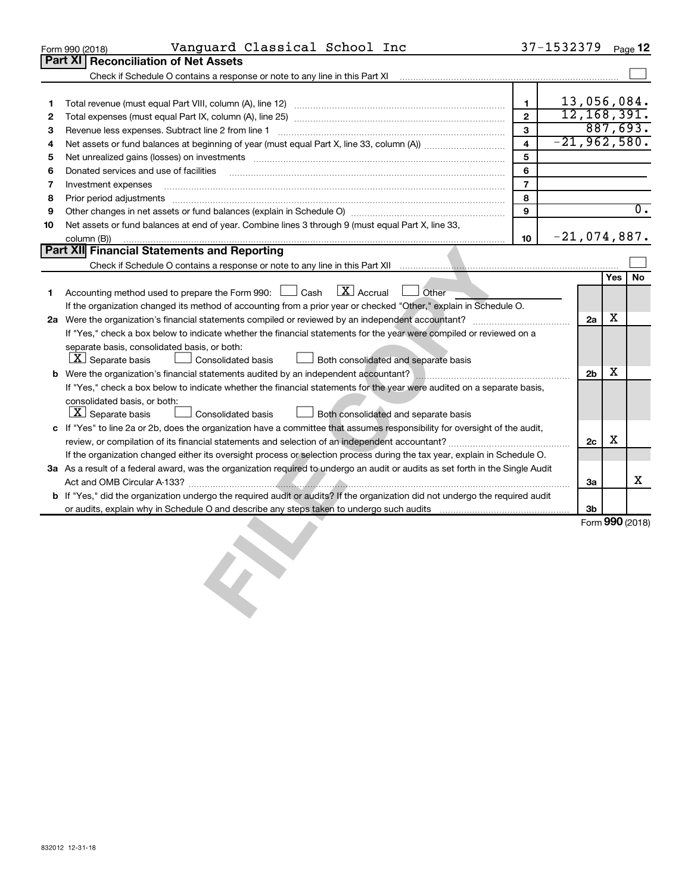|         | Vanguard Classical School Inc<br>Form 990 (2018)                                                                                                        |                         | 37-1532379 |                |            | Page 12         |
|---------|---------------------------------------------------------------------------------------------------------------------------------------------------------|-------------------------|------------|----------------|------------|-----------------|
|         | Part XI Reconciliation of Net Assets                                                                                                                    |                         |            |                |            |                 |
|         | Check if Schedule O contains a response or note to any line in this Part XI                                                                             |                         |            |                |            |                 |
|         |                                                                                                                                                         |                         |            |                |            |                 |
| 1       |                                                                                                                                                         | $\mathbf{1}$            |            | 13,056,084.    |            |                 |
| 2       |                                                                                                                                                         | $\overline{2}$          |            | 12, 168, 391.  |            |                 |
| з       | Revenue less expenses. Subtract line 2 from line 1                                                                                                      | $\overline{3}$          |            |                |            | 887,693.        |
| 4       |                                                                                                                                                         | $\overline{\mathbf{4}}$ |            | $-21,962,580.$ |            |                 |
| 5       | Net unrealized gains (losses) on investments [111] www.marting.com/marting.com/marting.com/marting.com/marting.                                         | 5                       |            |                |            |                 |
| 6       | Donated services and use of facilities                                                                                                                  | 6                       |            |                |            |                 |
| 7       | Investment expenses                                                                                                                                     | $\overline{7}$          |            |                |            |                 |
| 8       | Prior period adjustments                                                                                                                                | 8<br>9                  |            |                |            | 0.              |
| 9<br>10 | Net assets or fund balances at end of year. Combine lines 3 through 9 (must equal Part X, line 33,                                                      |                         |            |                |            |                 |
|         | column (B))                                                                                                                                             | 10                      |            | $-21,074,887.$ |            |                 |
|         | Part XII Financial Statements and Reporting                                                                                                             |                         |            |                |            |                 |
|         |                                                                                                                                                         |                         |            |                |            |                 |
|         |                                                                                                                                                         |                         |            |                | <b>Yes</b> | <b>No</b>       |
| 1.      | $\boxed{\text{X}}$ Accrual<br>Other<br>Accounting method used to prepare the Form 990: [130] Cash                                                       |                         |            |                |            |                 |
|         | If the organization changed its method of accounting from a prior year or checked "Other," explain in Schedule O.                                       |                         |            |                |            |                 |
|         |                                                                                                                                                         |                         |            | 2a             | X          |                 |
|         | If "Yes," check a box below to indicate whether the financial statements for the year were compiled or reviewed on a                                    |                         |            |                |            |                 |
|         | separate basis, consolidated basis, or both:                                                                                                            |                         |            |                |            |                 |
|         | $ \mathbf{X} $ Separate basis<br>Consolidated basis<br>Both consolidated and separate basis                                                             |                         |            |                |            |                 |
|         |                                                                                                                                                         |                         |            | 2 <sub>b</sub> | х          |                 |
|         | If "Yes," check a box below to indicate whether the financial statements for the year were audited on a separate basis,<br>consolidated basis, or both: |                         |            |                |            |                 |
|         | $ \mathbf{X} $ Separate basis<br><b>Consolidated basis</b><br>Both consolidated and separate basis                                                      |                         |            |                |            |                 |
| c       | If "Yes" to line 2a or 2b, does the organization have a committee that assumes responsibility for oversight of the audit,                               |                         |            |                |            |                 |
|         |                                                                                                                                                         |                         |            | 2c             | X          |                 |
|         | If the organization changed either its oversight process or selection process during the tax year, explain in Schedule O.                               |                         |            |                |            |                 |
|         | 3a As a result of a federal award, was the organization required to undergo an audit or audits as set forth in the Single Audit                         |                         |            |                |            |                 |
|         |                                                                                                                                                         |                         |            | За             |            | х               |
|         | b If "Yes," did the organization undergo the required audit or audits? If the organization did not undergo the required audit                           |                         |            |                |            |                 |
|         |                                                                                                                                                         |                         |            | 3b             |            |                 |
|         |                                                                                                                                                         |                         |            |                |            | Form 990 (2018) |
|         |                                                                                                                                                         |                         |            |                |            |                 |
|         |                                                                                                                                                         |                         |            |                |            |                 |
|         |                                                                                                                                                         |                         |            |                |            |                 |
|         |                                                                                                                                                         |                         |            |                |            |                 |
|         |                                                                                                                                                         |                         |            |                |            |                 |
|         |                                                                                                                                                         |                         |            |                |            |                 |
|         |                                                                                                                                                         |                         |            |                |            |                 |
|         |                                                                                                                                                         |                         |            |                |            |                 |
|         |                                                                                                                                                         |                         |            |                |            |                 |
|         |                                                                                                                                                         |                         |            |                |            |                 |
|         |                                                                                                                                                         |                         |            |                |            |                 |
|         |                                                                                                                                                         |                         |            |                |            |                 |
|         |                                                                                                                                                         |                         |            |                |            |                 |
|         |                                                                                                                                                         |                         |            |                |            |                 |
|         |                                                                                                                                                         |                         |            |                |            |                 |
|         |                                                                                                                                                         |                         |            |                |            |                 |
|         |                                                                                                                                                         |                         |            |                |            |                 |
|         |                                                                                                                                                         |                         |            |                |            |                 |
|         |                                                                                                                                                         |                         |            |                |            |                 |
|         |                                                                                                                                                         |                         |            |                |            |                 |
|         |                                                                                                                                                         |                         |            |                |            |                 |
|         | 832012 12-31-18                                                                                                                                         |                         |            |                |            |                 |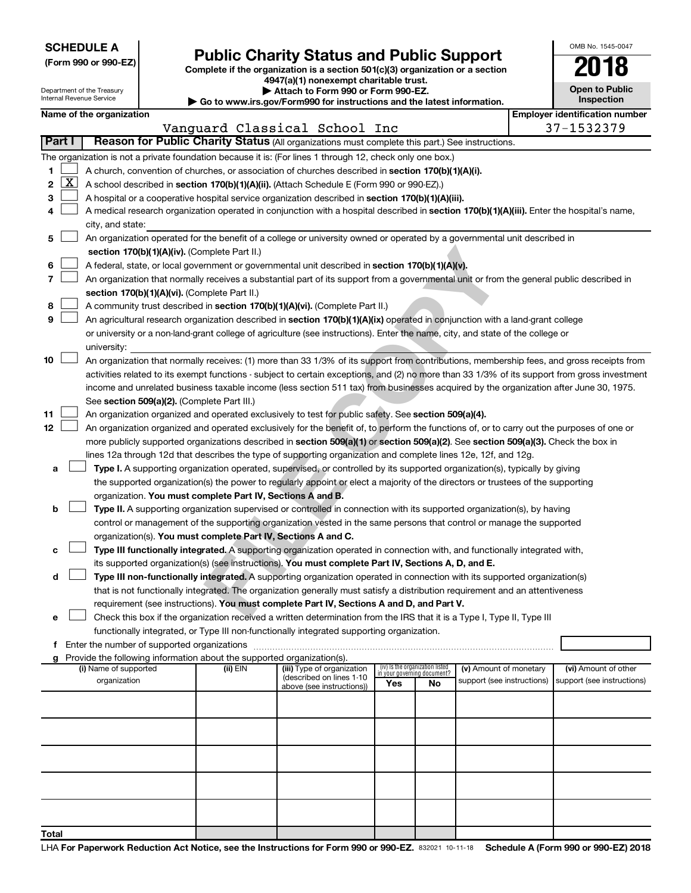| <b>SCHEDULE A</b> |  |
|-------------------|--|
|-------------------|--|

Department of the Treasury Internal Revenue Service

| (Form 990 or 990-EZ) |  |  |  |  |
|----------------------|--|--|--|--|
|----------------------|--|--|--|--|

# Form 990 or 990-EZ)<br>
Complete if the organization is a section 501(c)(3) organization or a section<br> **Public Charity Status and Public Support**

**4947(a)(1) nonexempt charitable trust.**

| Attach to Form 990 or Form 990-EZ. |
|------------------------------------|
|                                    |

**| Go to www.irs.gov/Form990 for instructions and the latest information.**

| <b>Open to Public</b><br>Inspection |
|-------------------------------------|
| Emplover identification number      |

OMB No. 1545-0047

|  | Name of the organization |  |
|--|--------------------------|--|

|              |          |                                                                                                                                               |                                                                                           | Vanguard Classical School Inc                         |                                                                |    |                            |  | 37-1532379                 |  |
|--------------|----------|-----------------------------------------------------------------------------------------------------------------------------------------------|-------------------------------------------------------------------------------------------|-------------------------------------------------------|----------------------------------------------------------------|----|----------------------------|--|----------------------------|--|
|              | Part I   | Reason for Public Charity Status (All organizations must complete this part.) See instructions.                                               |                                                                                           |                                                       |                                                                |    |                            |  |                            |  |
|              |          | The organization is not a private foundation because it is: (For lines 1 through 12, check only one box.)                                     |                                                                                           |                                                       |                                                                |    |                            |  |                            |  |
| 1.           |          | A church, convention of churches, or association of churches described in section 170(b)(1)(A)(i).                                            |                                                                                           |                                                       |                                                                |    |                            |  |                            |  |
| $\mathbf{2}$ | <u>x</u> | A school described in section 170(b)(1)(A)(ii). (Attach Schedule E (Form 990 or 990-EZ).)                                                     |                                                                                           |                                                       |                                                                |    |                            |  |                            |  |
| З            |          | A hospital or a cooperative hospital service organization described in section 170(b)(1)(A)(iii).                                             |                                                                                           |                                                       |                                                                |    |                            |  |                            |  |
| 4            |          | A medical research organization operated in conjunction with a hospital described in section 170(b)(1)(A)(iii). Enter the hospital's name,    |                                                                                           |                                                       |                                                                |    |                            |  |                            |  |
|              |          | city, and state:                                                                                                                              |                                                                                           |                                                       |                                                                |    |                            |  |                            |  |
| 5.           |          | An organization operated for the benefit of a college or university owned or operated by a governmental unit described in                     |                                                                                           |                                                       |                                                                |    |                            |  |                            |  |
|              |          |                                                                                                                                               | section 170(b)(1)(A)(iv). (Complete Part II.)                                             |                                                       |                                                                |    |                            |  |                            |  |
| 6            |          | A federal, state, or local government or governmental unit described in section 170(b)(1)(A)(v).                                              |                                                                                           |                                                       |                                                                |    |                            |  |                            |  |
| 7            |          | An organization that normally receives a substantial part of its support from a governmental unit or from the general public described in     |                                                                                           |                                                       |                                                                |    |                            |  |                            |  |
|              |          | section 170(b)(1)(A)(vi). (Complete Part II.)                                                                                                 |                                                                                           |                                                       |                                                                |    |                            |  |                            |  |
| 8            |          | A community trust described in section 170(b)(1)(A)(vi). (Complete Part II.)                                                                  |                                                                                           |                                                       |                                                                |    |                            |  |                            |  |
| 9            |          | An agricultural research organization described in section 170(b)(1)(A)(ix) operated in conjunction with a land-grant college                 |                                                                                           |                                                       |                                                                |    |                            |  |                            |  |
|              |          | or university or a non-land-grant college of agriculture (see instructions). Enter the name, city, and state of the college or                |                                                                                           |                                                       |                                                                |    |                            |  |                            |  |
|              |          | university:                                                                                                                                   |                                                                                           |                                                       |                                                                |    |                            |  |                            |  |
| 10           |          | An organization that normally receives: (1) more than 33 1/3% of its support from contributions, membership fees, and gross receipts from     |                                                                                           |                                                       |                                                                |    |                            |  |                            |  |
|              |          | activities related to its exempt functions - subject to certain exceptions, and (2) no more than 33 1/3% of its support from gross investment |                                                                                           |                                                       |                                                                |    |                            |  |                            |  |
|              |          | income and unrelated business taxable income (less section 511 tax) from businesses acquired by the organization after June 30, 1975.         |                                                                                           |                                                       |                                                                |    |                            |  |                            |  |
|              |          | See section 509(a)(2). (Complete Part III.)                                                                                                   |                                                                                           |                                                       |                                                                |    |                            |  |                            |  |
| 11           |          | An organization organized and operated exclusively to test for public safety. See section 509(a)(4).                                          |                                                                                           |                                                       |                                                                |    |                            |  |                            |  |
| 12           |          | An organization organized and operated exclusively for the benefit of, to perform the functions of, or to carry out the purposes of one or    |                                                                                           |                                                       |                                                                |    |                            |  |                            |  |
|              |          | more publicly supported organizations described in section 509(a)(1) or section 509(a)(2). See section 509(a)(3). Check the box in            |                                                                                           |                                                       |                                                                |    |                            |  |                            |  |
|              |          | lines 12a through 12d that describes the type of supporting organization and complete lines 12e, 12f, and 12g.                                |                                                                                           |                                                       |                                                                |    |                            |  |                            |  |
| а            |          | Type I. A supporting organization operated, supervised, or controlled by its supported organization(s), typically by giving                   |                                                                                           |                                                       |                                                                |    |                            |  |                            |  |
|              |          | the supported organization(s) the power to regularly appoint or elect a majority of the directors or trustees of the supporting               |                                                                                           |                                                       |                                                                |    |                            |  |                            |  |
|              |          | organization. You must complete Part IV, Sections A and B.                                                                                    |                                                                                           |                                                       |                                                                |    |                            |  |                            |  |
| b            |          | Type II. A supporting organization supervised or controlled in connection with its supported organization(s), by having                       |                                                                                           |                                                       |                                                                |    |                            |  |                            |  |
|              |          | control or management of the supporting organization vested in the same persons that control or manage the supported                          |                                                                                           |                                                       |                                                                |    |                            |  |                            |  |
|              |          | organization(s). You must complete Part IV, Sections A and C.                                                                                 |                                                                                           |                                                       |                                                                |    |                            |  |                            |  |
| с            |          | Type III functionally integrated. A supporting organization operated in connection with, and functionally integrated with,                    |                                                                                           |                                                       |                                                                |    |                            |  |                            |  |
|              |          | its supported organization(s) (see instructions). You must complete Part IV, Sections A, D, and E.                                            |                                                                                           |                                                       |                                                                |    |                            |  |                            |  |
| d            |          | Type III non-functionally integrated. A supporting organization operated in connection with its supported organization(s)                     |                                                                                           |                                                       |                                                                |    |                            |  |                            |  |
|              |          | that is not functionally integrated. The organization generally must satisfy a distribution requirement and an attentiveness                  |                                                                                           |                                                       |                                                                |    |                            |  |                            |  |
|              |          | requirement (see instructions). You must complete Part IV, Sections A and D, and Part V.                                                      |                                                                                           |                                                       |                                                                |    |                            |  |                            |  |
| е            |          | Check this box if the organization received a written determination from the IRS that it is a Type I, Type II, Type III                       |                                                                                           |                                                       |                                                                |    |                            |  |                            |  |
| f            |          | Enter the number of supported organizations                                                                                                   | functionally integrated, or Type III non-functionally integrated supporting organization. |                                                       |                                                                |    |                            |  |                            |  |
| a            |          | Provide the following information about the supported organization(s).                                                                        |                                                                                           |                                                       |                                                                |    |                            |  |                            |  |
|              |          | (i) Name of supported                                                                                                                         | (ii) EIN                                                                                  | (iii) Type of organization                            | (iv) Is the organization listed<br>in your governing document? |    | (v) Amount of monetary     |  | (vi) Amount of other       |  |
|              |          | organization                                                                                                                                  |                                                                                           | (described on lines 1-10<br>above (see instructions)) | Yes                                                            | No | support (see instructions) |  | support (see instructions) |  |
|              |          |                                                                                                                                               |                                                                                           |                                                       |                                                                |    |                            |  |                            |  |
|              |          |                                                                                                                                               |                                                                                           |                                                       |                                                                |    |                            |  |                            |  |
|              |          |                                                                                                                                               |                                                                                           |                                                       |                                                                |    |                            |  |                            |  |
|              |          |                                                                                                                                               |                                                                                           |                                                       |                                                                |    |                            |  |                            |  |
|              |          |                                                                                                                                               |                                                                                           |                                                       |                                                                |    |                            |  |                            |  |
|              |          |                                                                                                                                               |                                                                                           |                                                       |                                                                |    |                            |  |                            |  |
|              |          |                                                                                                                                               |                                                                                           |                                                       |                                                                |    |                            |  |                            |  |
|              |          |                                                                                                                                               |                                                                                           |                                                       |                                                                |    |                            |  |                            |  |
|              |          |                                                                                                                                               |                                                                                           |                                                       |                                                                |    |                            |  |                            |  |
|              |          |                                                                                                                                               |                                                                                           |                                                       |                                                                |    |                            |  |                            |  |
| Total        |          |                                                                                                                                               |                                                                                           |                                                       |                                                                |    |                            |  |                            |  |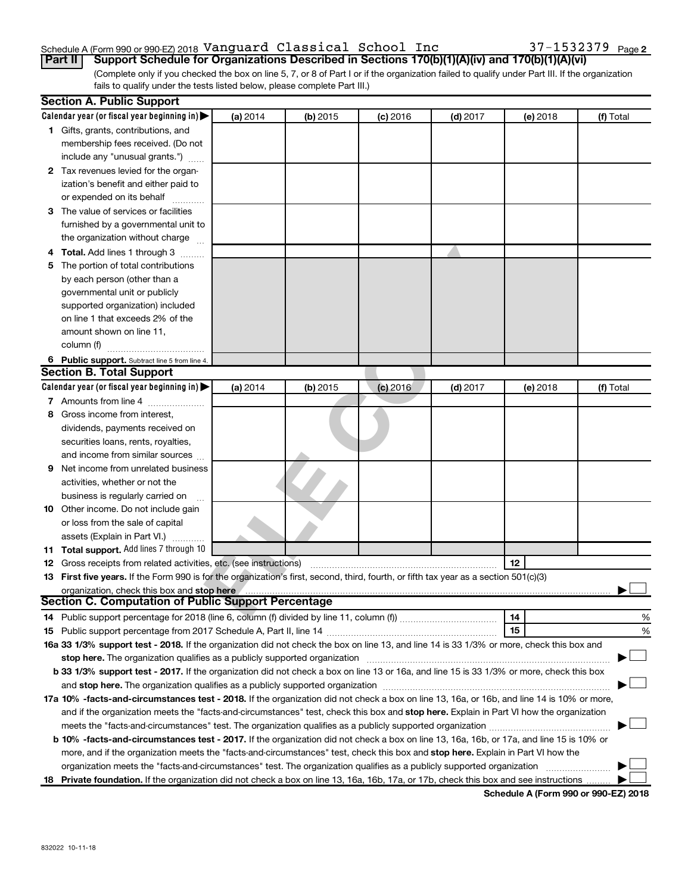# Schedule A (Form 990 or 990-EZ) 2018 <code>Vanguard Classical School Inc</code> 37-1532379 <code>Page</code>

(Complete only if you checked the box on line 5, 7, or 8 of Part I or if the organization failed to qualify under Part III. If the organization fails to qualify under the tests listed below, please complete Part III.) **Part II Support Schedule for Organizations Described in Sections 170(b)(1)(A)(iv) and 170(b)(1)(A)(vi)**

|    | <b>Section A. Public Support</b>                                                                                                           |          |          |            |            |          |           |
|----|--------------------------------------------------------------------------------------------------------------------------------------------|----------|----------|------------|------------|----------|-----------|
|    | Calendar year (or fiscal year beginning in)                                                                                                | (a) 2014 | (b) 2015 | $(c)$ 2016 | $(d)$ 2017 | (e) 2018 | (f) Total |
|    | 1 Gifts, grants, contributions, and                                                                                                        |          |          |            |            |          |           |
|    | membership fees received. (Do not                                                                                                          |          |          |            |            |          |           |
|    | include any "unusual grants.")                                                                                                             |          |          |            |            |          |           |
|    | 2 Tax revenues levied for the organ-                                                                                                       |          |          |            |            |          |           |
|    | ization's benefit and either paid to                                                                                                       |          |          |            |            |          |           |
|    | or expended on its behalf                                                                                                                  |          |          |            |            |          |           |
|    | 3 The value of services or facilities                                                                                                      |          |          |            |            |          |           |
|    | furnished by a governmental unit to                                                                                                        |          |          |            |            |          |           |
|    | the organization without charge                                                                                                            |          |          |            |            |          |           |
|    | 4 Total. Add lines 1 through 3                                                                                                             |          |          |            |            |          |           |
| 5. | The portion of total contributions                                                                                                         |          |          |            |            |          |           |
|    | by each person (other than a                                                                                                               |          |          |            |            |          |           |
|    | governmental unit or publicly                                                                                                              |          |          |            |            |          |           |
|    | supported organization) included                                                                                                           |          |          |            |            |          |           |
|    | on line 1 that exceeds 2% of the                                                                                                           |          |          |            |            |          |           |
|    | amount shown on line 11,                                                                                                                   |          |          |            |            |          |           |
|    | column (f)                                                                                                                                 |          |          |            |            |          |           |
|    | 6 Public support. Subtract line 5 from line 4.                                                                                             |          |          |            |            |          |           |
|    | <b>Section B. Total Support</b>                                                                                                            |          |          |            |            |          |           |
|    | Calendar year (or fiscal year beginning in)                                                                                                | (a) 2014 | (b) 2015 | $(c)$ 2016 | $(d)$ 2017 | (e) 2018 | (f) Total |
|    | 7 Amounts from line 4                                                                                                                      |          |          |            |            |          |           |
| 8  | Gross income from interest,                                                                                                                |          |          |            |            |          |           |
|    | dividends, payments received on                                                                                                            |          |          |            |            |          |           |
|    | securities loans, rents, royalties,                                                                                                        |          |          |            |            |          |           |
|    | and income from similar sources                                                                                                            |          |          |            |            |          |           |
| 9  | Net income from unrelated business                                                                                                         |          |          |            |            |          |           |
|    | activities, whether or not the                                                                                                             |          |          |            |            |          |           |
|    | business is regularly carried on                                                                                                           |          |          |            |            |          |           |
|    | 10 Other income. Do not include gain                                                                                                       |          |          |            |            |          |           |
|    | or loss from the sale of capital                                                                                                           |          |          |            |            |          |           |
|    | assets (Explain in Part VI.)                                                                                                               |          |          |            |            |          |           |
|    | 11 Total support. Add lines 7 through 10                                                                                                   |          |          |            |            |          |           |
|    | <b>12</b> Gross receipts from related activities, etc. (see instructions)                                                                  |          |          |            |            | 12       |           |
|    | 13 First five years. If the Form 990 is for the organization's first, second, third, fourth, or fifth tax year as a section 501(c)(3)      |          |          |            |            |          |           |
|    | organization, check this box and stop here                                                                                                 |          |          |            |            |          |           |
|    | <b>Section C. Computation of Public Support Percentage</b>                                                                                 |          |          |            |            |          |           |
|    |                                                                                                                                            |          |          |            |            | 14       | %         |
|    |                                                                                                                                            |          |          |            |            | 15       | %         |
|    | 16a 33 1/3% support test - 2018. If the organization did not check the box on line 13, and line 14 is 33 1/3% or more, check this box and  |          |          |            |            |          |           |
|    | stop here. The organization qualifies as a publicly supported organization                                                                 |          |          |            |            |          |           |
|    | b 33 1/3% support test - 2017. If the organization did not check a box on line 13 or 16a, and line 15 is 33 1/3% or more, check this box   |          |          |            |            |          |           |
|    |                                                                                                                                            |          |          |            |            |          |           |
|    | 17a 10% -facts-and-circumstances test - 2018. If the organization did not check a box on line 13, 16a, or 16b, and line 14 is 10% or more, |          |          |            |            |          |           |
|    | and if the organization meets the "facts-and-circumstances" test, check this box and stop here. Explain in Part VI how the organization    |          |          |            |            |          |           |
|    | meets the "facts-and-circumstances" test. The organization qualifies as a publicly supported organization <i>manumumumumum</i>             |          |          |            |            |          |           |
|    | b 10% -facts-and-circumstances test - 2017. If the organization did not check a box on line 13, 16a, 16b, or 17a, and line 15 is 10% or    |          |          |            |            |          |           |
|    | more, and if the organization meets the "facts-and-circumstances" test, check this box and stop here. Explain in Part VI how the           |          |          |            |            |          |           |
|    | organization meets the "facts-and-circumstances" test. The organization qualifies as a publicly supported organization                     |          |          |            |            |          |           |
|    | 18 Private foundation. If the organization did not check a box on line 13, 16a, 16b, 17a, or 17b, check this box and see instructions      |          |          |            |            |          |           |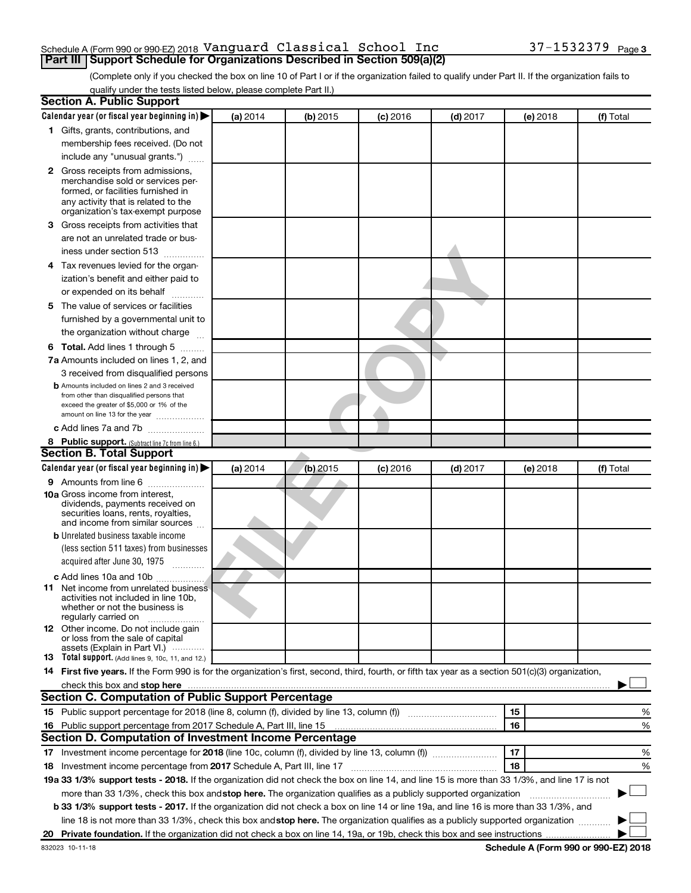#### Schedule A (Form 990 or 990-EZ) 2018 <code>Vanguard Classical School Inc</code> 37-1532379 <code>Page</code> **Part III Support Schedule for Organizations Described in Section 509(a)(2)**

(Complete only if you checked the box on line 10 of Part I or if the organization failed to qualify under Part II. If the organization fails to qualify under the tests listed below, please complete Part II.)

| <b>Section A. Public Support</b>                                                                                                                                                                                                                                       |          |            |            |            |          |           |
|------------------------------------------------------------------------------------------------------------------------------------------------------------------------------------------------------------------------------------------------------------------------|----------|------------|------------|------------|----------|-----------|
| Calendar year (or fiscal year beginning in)                                                                                                                                                                                                                            | (a) 2014 | (b) 2015   | $(c)$ 2016 | $(d)$ 2017 | (e) 2018 | (f) Total |
| 1 Gifts, grants, contributions, and                                                                                                                                                                                                                                    |          |            |            |            |          |           |
| membership fees received. (Do not                                                                                                                                                                                                                                      |          |            |            |            |          |           |
| include any "unusual grants.")                                                                                                                                                                                                                                         |          |            |            |            |          |           |
| 2 Gross receipts from admissions,                                                                                                                                                                                                                                      |          |            |            |            |          |           |
| merchandise sold or services per-                                                                                                                                                                                                                                      |          |            |            |            |          |           |
| formed, or facilities furnished in                                                                                                                                                                                                                                     |          |            |            |            |          |           |
| any activity that is related to the<br>organization's tax-exempt purpose                                                                                                                                                                                               |          |            |            |            |          |           |
| 3 Gross receipts from activities that                                                                                                                                                                                                                                  |          |            |            |            |          |           |
| are not an unrelated trade or bus-                                                                                                                                                                                                                                     |          |            |            |            |          |           |
| iness under section 513                                                                                                                                                                                                                                                |          |            |            |            |          |           |
| 4 Tax revenues levied for the organ-                                                                                                                                                                                                                                   |          |            |            |            |          |           |
| ization's benefit and either paid to                                                                                                                                                                                                                                   |          |            |            |            |          |           |
| or expended on its behalf                                                                                                                                                                                                                                              |          |            |            |            |          |           |
| 5 The value of services or facilities                                                                                                                                                                                                                                  |          |            |            |            |          |           |
| furnished by a governmental unit to                                                                                                                                                                                                                                    |          |            |            |            |          |           |
| the organization without charge                                                                                                                                                                                                                                        |          |            |            |            |          |           |
| <b>6 Total.</b> Add lines 1 through 5                                                                                                                                                                                                                                  |          |            |            |            |          |           |
| 7a Amounts included on lines 1, 2, and                                                                                                                                                                                                                                 |          |            |            |            |          |           |
| 3 received from disqualified persons                                                                                                                                                                                                                                   |          |            |            |            |          |           |
| <b>b</b> Amounts included on lines 2 and 3 received                                                                                                                                                                                                                    |          |            |            |            |          |           |
| from other than disqualified persons that                                                                                                                                                                                                                              |          |            |            |            |          |           |
| exceed the greater of \$5,000 or 1% of the<br>amount on line 13 for the year                                                                                                                                                                                           |          |            |            |            |          |           |
| c Add lines 7a and 7b                                                                                                                                                                                                                                                  |          |            |            |            |          |           |
| 8 Public support. (Subtract line 7c from line 6.)                                                                                                                                                                                                                      |          |            |            |            |          |           |
| <b>Section B. Total Support</b>                                                                                                                                                                                                                                        |          |            |            |            |          |           |
| Calendar year (or fiscal year beginning in)                                                                                                                                                                                                                            | (a) 2014 | $(b)$ 2015 | $(c)$ 2016 | $(d)$ 2017 | (e) 2018 | (f) Total |
| <b>9</b> Amounts from line 6                                                                                                                                                                                                                                           |          |            |            |            |          |           |
| <b>10a</b> Gross income from interest,                                                                                                                                                                                                                                 |          |            |            |            |          |           |
| dividends, payments received on                                                                                                                                                                                                                                        |          |            |            |            |          |           |
| securities loans, rents, royalties,<br>and income from similar sources                                                                                                                                                                                                 |          |            |            |            |          |           |
| <b>b</b> Unrelated business taxable income                                                                                                                                                                                                                             |          |            |            |            |          |           |
| (less section 511 taxes) from businesses                                                                                                                                                                                                                               |          |            |            |            |          |           |
| acquired after June 30, 1975                                                                                                                                                                                                                                           |          |            |            |            |          |           |
| <b>c</b> Add lines 10a and 10b                                                                                                                                                                                                                                         |          |            |            |            |          |           |
| <b>11</b> Net income from unrelated business                                                                                                                                                                                                                           |          |            |            |            |          |           |
| activities not included in line 10b.                                                                                                                                                                                                                                   |          |            |            |            |          |           |
| whether or not the business is<br>regularly carried on                                                                                                                                                                                                                 |          |            |            |            |          |           |
| 12 Other income. Do not include gain                                                                                                                                                                                                                                   |          |            |            |            |          |           |
| or loss from the sale of capital                                                                                                                                                                                                                                       |          |            |            |            |          |           |
| assets (Explain in Part VI.)<br><b>13</b> Total support. (Add lines 9, 10c, 11, and 12.)                                                                                                                                                                               |          |            |            |            |          |           |
| 14 First five years. If the Form 990 is for the organization's first, second, third, fourth, or fifth tax year as a section 501(c)(3) organization,                                                                                                                    |          |            |            |            |          |           |
| check this box and stop here <b>construction and construction</b> and stop here <b>constructed</b> and stop here <b>constructed</b> and stop here <b>constructed</b> and <b>construction</b> and <b>construction</b> and <b>construction</b> and <b>construction</b> a |          |            |            |            |          |           |
| <b>Section C. Computation of Public Support Percentage</b>                                                                                                                                                                                                             |          |            |            |            |          |           |
| 15 Public support percentage for 2018 (line 8, column (f), divided by line 13, column (f) <i>manumeronominium</i>                                                                                                                                                      |          |            |            |            | 15       | %         |
| 16 Public support percentage from 2017 Schedule A, Part III, line 15                                                                                                                                                                                                   |          |            |            |            | 16       | %         |
| Section D. Computation of Investment Income Percentage                                                                                                                                                                                                                 |          |            |            |            |          |           |
| 17 Investment income percentage for 2018 (line 10c, column (f), divided by line 13, column (f))                                                                                                                                                                        |          |            |            |            | 17       | %         |
| 18 Investment income percentage from 2017 Schedule A, Part III, line 17                                                                                                                                                                                                |          |            |            |            | 18       | %         |
| 19a 33 1/3% support tests - 2018. If the organization did not check the box on line 14, and line 15 is more than 33 1/3%, and line 17 is not                                                                                                                           |          |            |            |            |          |           |
| more than 33 1/3%, check this box and stop here. The organization qualifies as a publicly supported organization                                                                                                                                                       |          |            |            |            |          |           |
| b 33 1/3% support tests - 2017. If the organization did not check a box on line 14 or line 19a, and line 16 is more than 33 1/3%, and                                                                                                                                  |          |            |            |            |          |           |
| line 18 is not more than 33 1/3%, check this box and stop here. The organization qualifies as a publicly supported organization                                                                                                                                        |          |            |            |            |          |           |
|                                                                                                                                                                                                                                                                        |          |            |            |            |          |           |
|                                                                                                                                                                                                                                                                        |          |            |            |            |          |           |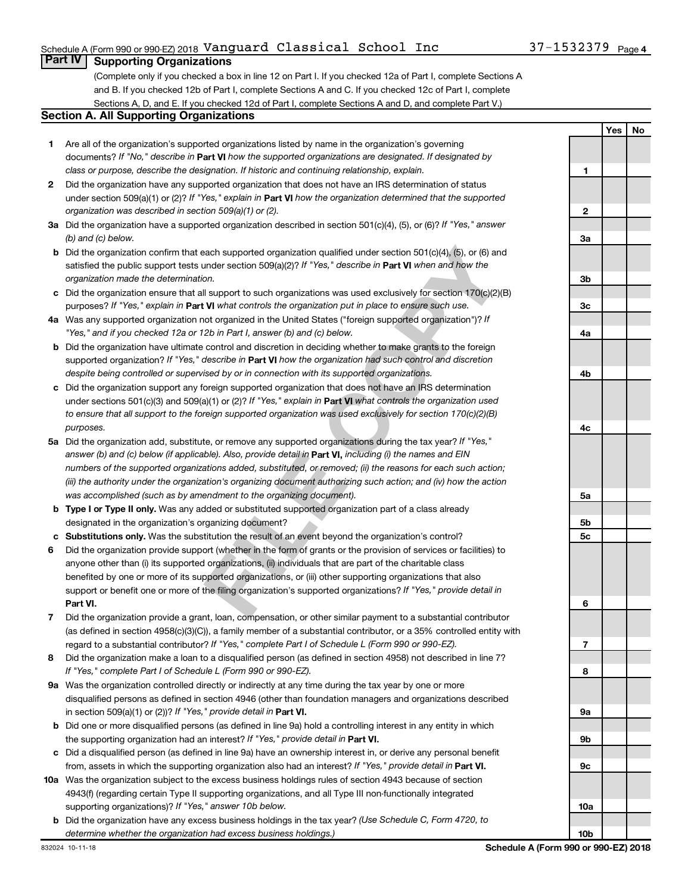### Schedule A (Form 990 or 990-EZ) 2018 <code>Vanguard Classical School Inc</code> 37-1532379 <code>Page</code>

# **Part IV Supporting Organizations**

(Complete only if you checked a box in line 12 on Part I. If you checked 12a of Part I, complete Sections A and B. If you checked 12b of Part I, complete Sections A and C. If you checked 12c of Part I, complete Sections A, D, and E. If you checked 12d of Part I, complete Sections A and D, and complete Part V.)

#### **Section A. All Supporting Organizations**

- documents? If "No," describe in Part VI how the supported organizations are designated. If designated by *class or purpose, describe the designation. If historic and continuing relationship, explain.* 1 Are all of the organization's supported organizations listed by name in the organization's governing
- under section 509(a)(1) or (2)? If "Yes," explain in Part **VI** how the organization determined that the supported *organization was described in section 509(a)(1) or (2).* 2 Did the organization have any supported organization that does not have an IRS determination of status
- Did the organization have a supported organization described in section 501(c)(4), (5), or (6)? If "Yes," answer *(b) and (c) below.*
- satisfied the public support tests under section 509(a)(2)? If "Yes," describe in Part VI when and how the *organization made the determination.* b Did the organization confirm that each supported organization qualified under section 501(c)(4), (5), or (6) and
- purposes? If "Yes," explain in Part VI what controls the organization put in place to ensure such use.  $c$  Did the organization ensure that all support to such organizations was used exclusively for section 170(c)(2)(B)
- Was any supported organization not organized in the United States ("foreign supported organization")? If *"Yes," and if you checked 12a or 12b in Part I, answer (b) and (c) below.*
- supported organization? If "Yes," describe in Part VI how the organization had such control and discretion *despite being controlled or supervised by or in connection with its supported organizations.* **b** Did the organization have ultimate control and discretion in deciding whether to make grants to the foreign
- under sections 501(c)(3) and 509(a)(1) or (2)? If "Yes," explain in Part VI what controls the organization used *to ensure that all support to the foreign supported organization was used exclusively for section 170(c)(2)(B) purposes.* Did the organization support any foreign supported organization that does not have an IRS determination
- answer (b) and (c) below (if applicable). Also, provide detail in **Part VI,** including (i) the names and EIN Did the organization add, substitute, or remove any supported organizations during the tax year? If "Yes," *numbers of the supported organizations added, substituted, or removed; (ii) the reasons for each such action; (iii) the authority under the organization's organizing document authorizing such action; and (iv) how the action was accomplished (such as by amendment to the organizing document).*
- **Type I or Type II only.** Was any added or substituted supported organization part of a class already designated in the organization's organizing document?
- Substitutions only. Was the substitution the result of an event beyond the organization's control?
- ach supported organization qualified under section 501(c)(4), (5), or (6) and<br>noner section 509(a)(2)? *If* "Yes," *describe in* **Part VI** when and how the<br>non.<br>9.<br>Il support to such organizations was used exclusively for 1 2 3 4 5 6 7 8 <del>9</del> **abcabcabcabcab Part VI.** support or benefit one or more of the filing organization's supported organizations? If "Yes," provide detail in Did the organization provide support (whether in the form of grants or the provision of services or facilities) to anyone other than (i) its supported organizations, (ii) individuals that are part of the charitable class benefited by one or more of its supported organizations, or (iii) other supporting organizations that also
- regard to a substantial contributor? If "Yes," complete Part I of Schedule L (Form 990 or 990-EZ). Did the organization provide a grant, loan, compensation, or other similar payment to a substantial contributor (as defined in section 4958(c)(3)(C)), a family member of a substantial contributor, or a 35% controlled entity with
- *If "Yes," complete Part I of Schedule L (Form 990 or 990-EZ).* 8 Did the organization make a loan to a disqualified person (as defined in section 4958) not described in line 7?
- in section 509(a)(1) or (2))? If "Yes," provide detail in **Part VI.** 9a Was the organization controlled directly or indirectly at any time during the tax year by one or more disqualified persons as defined in section 4946 (other than foundation managers and organizations described
- the supporting organization had an interest? If "Yes," provide detail in Part VI. **b** Did one or more disqualified persons (as defined in line 9a) hold a controlling interest in any entity in which
- from, assets in which the supporting organization also had an interest? If "Yes," provide detail in Part VI. Did a disqualified person (as defined in line 9a) have an ownership interest in, or derive any personal benefit
- **10** Was the organization subject to the excess business holdings rules of section 4943 because of section supporting organizations)? If "Yes," answer 10b below. 4943(f) (regarding certain Type II supporting organizations, and all Type III non-functionally integrated
	- *(Use Schedule C, Form 4720, to* Did the organization have any excess business holdings in the tax year? *determine whether the organization had excess business holdings.)*

**Yes No**  $\blacksquare$ **12**  $\overline{2}$ **3a 3b 3c 4a 4b 4c 5a 5b** 5c **5c**<br>**6**<br>**7**<br>**8** 6  $\overline{7}$ 8 **9a 9b 9c 10a 10b**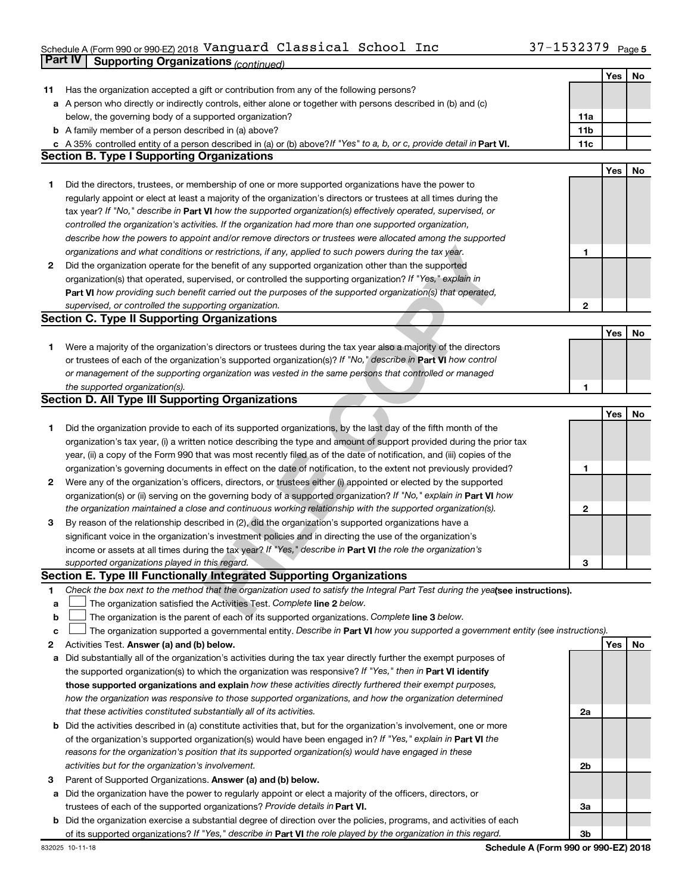# Schedule A (Form 990 or 990-EZ) 2018 <code>Vanguard Classical School Inc</code> 37-1532379 <code>Page</code> **Part IV Supporting Organizations** *(continued)*

|              | <i>continued) continued in a gamzations</i>                                                                                                                                                                                       |                        |     |    |
|--------------|-----------------------------------------------------------------------------------------------------------------------------------------------------------------------------------------------------------------------------------|------------------------|-----|----|
|              |                                                                                                                                                                                                                                   |                        | Yes | No |
| 11           | Has the organization accepted a gift or contribution from any of the following persons?                                                                                                                                           |                        |     |    |
|              | a A person who directly or indirectly controls, either alone or together with persons described in (b) and (c)                                                                                                                    |                        |     |    |
|              | below, the governing body of a supported organization?<br><b>b</b> A family member of a person described in (a) above?                                                                                                            | 11a<br>11 <sub>b</sub> |     |    |
|              | c A 35% controlled entity of a person described in (a) or (b) above? If "Yes" to a, b, or c, provide detail in Part VI.                                                                                                           | 11c                    |     |    |
|              | <b>Section B. Type I Supporting Organizations</b>                                                                                                                                                                                 |                        |     |    |
|              |                                                                                                                                                                                                                                   |                        | Yes | No |
| 1.           | Did the directors, trustees, or membership of one or more supported organizations have the power to                                                                                                                               |                        |     |    |
|              | regularly appoint or elect at least a majority of the organization's directors or trustees at all times during the                                                                                                                |                        |     |    |
|              | tax year? If "No," describe in Part VI how the supported organization(s) effectively operated, supervised, or                                                                                                                     |                        |     |    |
|              | controlled the organization's activities. If the organization had more than one supported organization,                                                                                                                           |                        |     |    |
|              | describe how the powers to appoint and/or remove directors or trustees were allocated among the supported                                                                                                                         |                        |     |    |
|              | organizations and what conditions or restrictions, if any, applied to such powers during the tax year.                                                                                                                            | 1                      |     |    |
| $\mathbf{2}$ | Did the organization operate for the benefit of any supported organization other than the supported                                                                                                                               |                        |     |    |
|              | organization(s) that operated, supervised, or controlled the supporting organization? If "Yes," explain in                                                                                                                        |                        |     |    |
|              | Part VI how providing such benefit carried out the purposes of the supported organization(s) that operated,                                                                                                                       |                        |     |    |
|              | supervised, or controlled the supporting organization.                                                                                                                                                                            | $\mathbf{2}$           |     |    |
|              | <b>Section C. Type II Supporting Organizations</b>                                                                                                                                                                                |                        |     |    |
|              |                                                                                                                                                                                                                                   |                        | Yes | No |
| 1.           | Were a majority of the organization's directors or trustees during the tax year also a majority of the directors                                                                                                                  |                        |     |    |
|              | or trustees of each of the organization's supported organization(s)? If "No," describe in Part VI how control                                                                                                                     |                        |     |    |
|              | or management of the supporting organization was vested in the same persons that controlled or managed                                                                                                                            |                        |     |    |
|              | the supported organization(s).                                                                                                                                                                                                    | 1                      |     |    |
|              | <b>Section D. All Type III Supporting Organizations</b>                                                                                                                                                                           |                        |     |    |
|              |                                                                                                                                                                                                                                   |                        | Yes | No |
| 1.           | Did the organization provide to each of its supported organizations, by the last day of the fifth month of the                                                                                                                    |                        |     |    |
|              | organization's tax year, (i) a written notice describing the type and amount of support provided during the prior tax                                                                                                             |                        |     |    |
|              | year, (ii) a copy of the Form 990 that was most recently filed as of the date of notification, and (iii) copies of the                                                                                                            |                        |     |    |
|              | organization's governing documents in effect on the date of notification, to the extent not previously provided?                                                                                                                  | 1                      |     |    |
| $\mathbf{2}$ | Were any of the organization's officers, directors, or trustees either (i) appointed or elected by the supported                                                                                                                  |                        |     |    |
|              | organization(s) or (ii) serving on the governing body of a supported organization? If "No," explain in Part VI how<br>the organization maintained a close and continuous working relationship with the supported organization(s). |                        |     |    |
|              | By reason of the relationship described in (2), did the organization's supported organizations have a                                                                                                                             | $\mathbf{2}$           |     |    |
| 3            | significant voice in the organization's investment policies and in directing the use of the organization's                                                                                                                        |                        |     |    |
|              | income or assets at all times during the tax year? If "Yes," describe in Part VI the role the organization's                                                                                                                      |                        |     |    |
|              | supported organizations played in this regard.                                                                                                                                                                                    | з                      |     |    |
|              | Section E. Type III Functionally Integrated Supporting Organizations                                                                                                                                                              |                        |     |    |
| 1            | Check the box next to the method that the organization used to satisfy the Integral Part Test during the yealsee instructions).                                                                                                   |                        |     |    |
| a            | The organization satisfied the Activities Test. Complete line 2 below.                                                                                                                                                            |                        |     |    |
| b            | The organization is the parent of each of its supported organizations. Complete line 3 below.                                                                                                                                     |                        |     |    |
| с            | The organization supported a governmental entity. Describe in Part VI how you supported a government entity (see instructions).                                                                                                   |                        |     |    |
| 2            | Activities Test. Answer (a) and (b) below.                                                                                                                                                                                        |                        | Yes | No |
| а            | Did substantially all of the organization's activities during the tax year directly further the exempt purposes of                                                                                                                |                        |     |    |
|              | the supported organization(s) to which the organization was responsive? If "Yes," then in Part VI identify                                                                                                                        |                        |     |    |
|              | those supported organizations and explain how these activities directly furthered their exempt purposes,                                                                                                                          |                        |     |    |
|              | how the organization was responsive to those supported organizations, and how the organization determined                                                                                                                         |                        |     |    |
|              | that these activities constituted substantially all of its activities.                                                                                                                                                            | 2a                     |     |    |
| b            | Did the activities described in (a) constitute activities that, but for the organization's involvement, one or more                                                                                                               |                        |     |    |
|              | of the organization's supported organization(s) would have been engaged in? If "Yes," explain in Part VI the                                                                                                                      |                        |     |    |
|              | reasons for the organization's position that its supported organization(s) would have engaged in these                                                                                                                            |                        |     |    |
|              | activities but for the organization's involvement.                                                                                                                                                                                | 2b                     |     |    |
| 3            | Parent of Supported Organizations. Answer (a) and (b) below.                                                                                                                                                                      |                        |     |    |
| а            | Did the organization have the power to regularly appoint or elect a majority of the officers, directors, or                                                                                                                       |                        |     |    |
|              | trustees of each of the supported organizations? Provide details in Part VI.                                                                                                                                                      | За                     |     |    |
|              | <b>b</b> Did the organization exercise a substantial degree of direction over the policies, programs, and activities of each                                                                                                      |                        |     |    |
|              | of its supported organizations? If "Yes," describe in Part VI the role played by the organization in this regard.                                                                                                                 | 3b                     |     |    |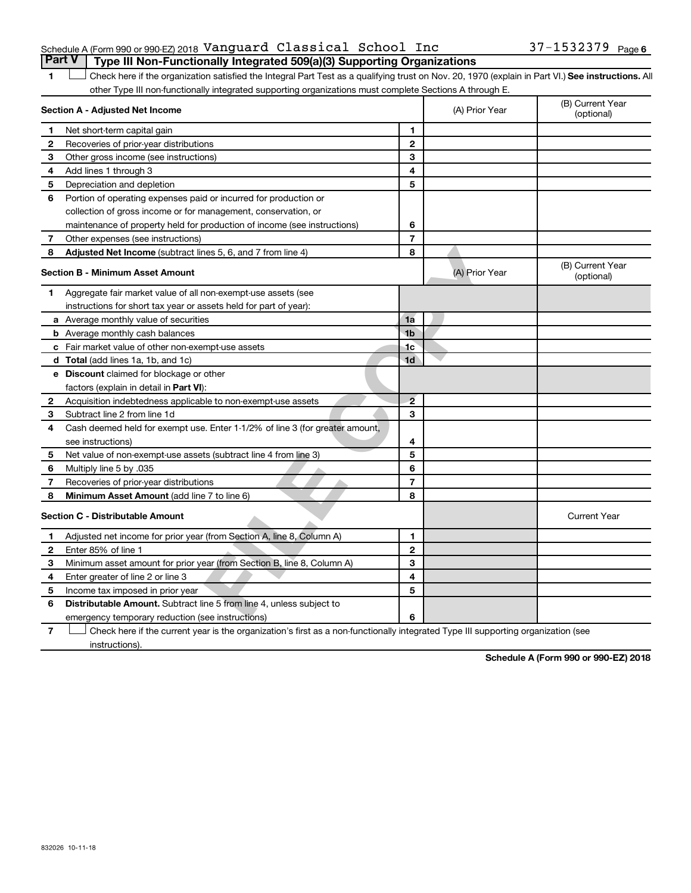#### Schedule A (Form 990 or 990-EZ) 2018 <code>Vanguard Classical School Inc</code> 37-1532379 <code>Page</code> **Part V Type III Non-Functionally Integrated 509(a)(3) Supporting Organizations**

**1 Letter or if the organization satisfied the Integral Part Test as a qualifying trust on Nov. 20, 1970 (explain in Part VI.) See instructions. All** other Type III non-functionally integrated supporting organizations must complete Sections A through E.

| 1            | Check here if the organization satisfied the Integral Part Test as a qualifying trust on Nov. 20, 1970 (explain in Part VI.) See instructions. All<br>other Type III non-functionally integrated supporting organizations must complete Sections A through E. |                |                |                                |
|--------------|---------------------------------------------------------------------------------------------------------------------------------------------------------------------------------------------------------------------------------------------------------------|----------------|----------------|--------------------------------|
|              | Section A - Adjusted Net Income                                                                                                                                                                                                                               |                | (A) Prior Year | (B) Current Year<br>(optional) |
| 1            | Net short-term capital gain                                                                                                                                                                                                                                   | 1              |                |                                |
| 2            | Recoveries of prior-year distributions                                                                                                                                                                                                                        | $\mathbf{2}$   |                |                                |
| З            | Other gross income (see instructions)                                                                                                                                                                                                                         | 3              |                |                                |
| 4            | Add lines 1 through 3                                                                                                                                                                                                                                         | 4              |                |                                |
| 5            | Depreciation and depletion                                                                                                                                                                                                                                    | 5              |                |                                |
| 6            | Portion of operating expenses paid or incurred for production or                                                                                                                                                                                              |                |                |                                |
|              | collection of gross income or for management, conservation, or                                                                                                                                                                                                |                |                |                                |
|              | maintenance of property held for production of income (see instructions)                                                                                                                                                                                      | 6              |                |                                |
| 7            | Other expenses (see instructions)                                                                                                                                                                                                                             | $\overline{7}$ |                |                                |
| 8            | Adjusted Net Income (subtract lines 5, 6, and 7 from line 4)                                                                                                                                                                                                  | 8              |                |                                |
|              | <b>Section B - Minimum Asset Amount</b>                                                                                                                                                                                                                       |                | (A) Prior Year | (B) Current Year<br>(optional) |
| 1            | Aggregate fair market value of all non-exempt-use assets (see                                                                                                                                                                                                 |                |                |                                |
|              | instructions for short tax year or assets held for part of year):                                                                                                                                                                                             |                |                |                                |
|              | <b>a</b> Average monthly value of securities                                                                                                                                                                                                                  | 1a             |                |                                |
|              | <b>b</b> Average monthly cash balances                                                                                                                                                                                                                        | 1 <sub>b</sub> |                |                                |
|              | c Fair market value of other non-exempt-use assets                                                                                                                                                                                                            | 1c             |                |                                |
|              | <b>d</b> Total (add lines 1a, 1b, and 1c)                                                                                                                                                                                                                     | 1 <sub>d</sub> |                |                                |
|              | <b>e</b> Discount claimed for blockage or other                                                                                                                                                                                                               |                |                |                                |
|              | factors (explain in detail in Part VI):                                                                                                                                                                                                                       |                |                |                                |
| 2            | Acquisition indebtedness applicable to non-exempt-use assets                                                                                                                                                                                                  | $\overline{2}$ |                |                                |
| 3            | Subtract line 2 from line 1d                                                                                                                                                                                                                                  | 3              |                |                                |
| 4            | Cash deemed held for exempt use. Enter 1-1/2% of line 3 (for greater amount,                                                                                                                                                                                  |                |                |                                |
|              | see instructions)                                                                                                                                                                                                                                             | 4              |                |                                |
| 5            | Net value of non-exempt-use assets (subtract line 4 from line 3)                                                                                                                                                                                              | 5              |                |                                |
| 6            | Multiply line 5 by .035                                                                                                                                                                                                                                       | 6              |                |                                |
| 7            | Recoveries of prior-year distributions                                                                                                                                                                                                                        | $\overline{7}$ |                |                                |
| 8            | Minimum Asset Amount (add line 7 to line 6)                                                                                                                                                                                                                   | 8              |                |                                |
|              | <b>Section C - Distributable Amount</b>                                                                                                                                                                                                                       |                |                | <b>Current Year</b>            |
| 1            | Adjusted net income for prior year (from Section A, line 8, Column A)                                                                                                                                                                                         | 1              |                |                                |
| $\mathbf{2}$ | Enter 85% of line 1                                                                                                                                                                                                                                           | $\mathbf{2}$   |                |                                |
| З            | Minimum asset amount for prior year (from Section B, line 8, Column A)                                                                                                                                                                                        | 3              |                |                                |
| 4            | Enter greater of line 2 or line 3                                                                                                                                                                                                                             | 4              |                |                                |
| 5            | Income tax imposed in prior year                                                                                                                                                                                                                              | 5              |                |                                |
| 6            | <b>Distributable Amount.</b> Subtract line 5 from line 4, unless subject to                                                                                                                                                                                   |                |                |                                |
|              | emergency temporary reduction (see instructions)                                                                                                                                                                                                              | 6              |                |                                |
| 7            | Check here if the current year is the organization's first as a non-functionally integrated Type III supporting organization (see                                                                                                                             |                |                |                                |

Check here if the current year is the organization's first as a non-functionally integrated Type III supporting organization (see instructions).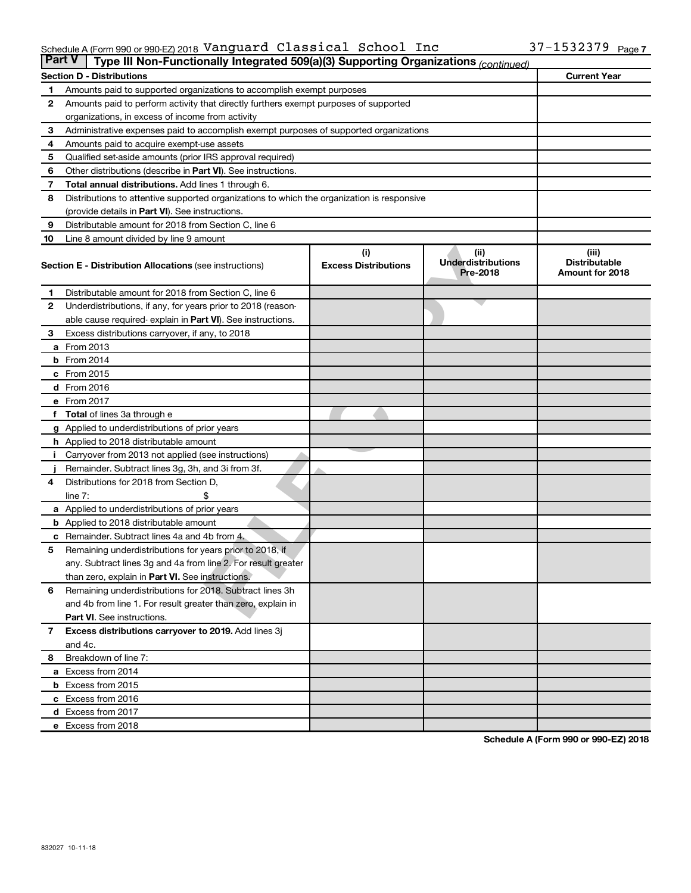#### Schedule A (Form 990 or 990-EZ) 2018 Page Vanguard Classical School Inc 37-1532379

| <b>Part V</b><br>Type III Non-Functionally Integrated 509(a)(3) Supporting Organizations (continued) |                                                                                            |                                    |                                               |                                                  |  |  |  |
|------------------------------------------------------------------------------------------------------|--------------------------------------------------------------------------------------------|------------------------------------|-----------------------------------------------|--------------------------------------------------|--|--|--|
|                                                                                                      | <b>Section D - Distributions</b>                                                           |                                    |                                               | <b>Current Year</b>                              |  |  |  |
| 1                                                                                                    | Amounts paid to supported organizations to accomplish exempt purposes                      |                                    |                                               |                                                  |  |  |  |
| 2                                                                                                    | Amounts paid to perform activity that directly furthers exempt purposes of supported       |                                    |                                               |                                                  |  |  |  |
|                                                                                                      | organizations, in excess of income from activity                                           |                                    |                                               |                                                  |  |  |  |
| 3                                                                                                    | Administrative expenses paid to accomplish exempt purposes of supported organizations      |                                    |                                               |                                                  |  |  |  |
| 4                                                                                                    | Amounts paid to acquire exempt-use assets                                                  |                                    |                                               |                                                  |  |  |  |
| 5                                                                                                    | Qualified set-aside amounts (prior IRS approval required)                                  |                                    |                                               |                                                  |  |  |  |
| 6                                                                                                    | Other distributions (describe in Part VI). See instructions.                               |                                    |                                               |                                                  |  |  |  |
| 7                                                                                                    | <b>Total annual distributions.</b> Add lines 1 through 6.                                  |                                    |                                               |                                                  |  |  |  |
| 8                                                                                                    | Distributions to attentive supported organizations to which the organization is responsive |                                    |                                               |                                                  |  |  |  |
|                                                                                                      | (provide details in Part VI). See instructions.                                            |                                    |                                               |                                                  |  |  |  |
| 9                                                                                                    | Distributable amount for 2018 from Section C, line 6                                       |                                    |                                               |                                                  |  |  |  |
| 10                                                                                                   | Line 8 amount divided by line 9 amount                                                     |                                    |                                               |                                                  |  |  |  |
|                                                                                                      | <b>Section E - Distribution Allocations (see instructions)</b>                             | (i)<br><b>Excess Distributions</b> | (ii)<br><b>Underdistributions</b><br>Pre-2018 | (iii)<br><b>Distributable</b><br>Amount for 2018 |  |  |  |
| 1.                                                                                                   | Distributable amount for 2018 from Section C, line 6                                       |                                    |                                               |                                                  |  |  |  |
| $\mathbf{2}$                                                                                         | Underdistributions, if any, for years prior to 2018 (reason-                               |                                    |                                               |                                                  |  |  |  |
|                                                                                                      | able cause required- explain in Part VI). See instructions.                                |                                    |                                               |                                                  |  |  |  |
| 3                                                                                                    | Excess distributions carryover, if any, to 2018                                            |                                    |                                               |                                                  |  |  |  |
|                                                                                                      | a From 2013                                                                                |                                    |                                               |                                                  |  |  |  |
|                                                                                                      | <b>b</b> From 2014                                                                         |                                    |                                               |                                                  |  |  |  |
|                                                                                                      | c From 2015                                                                                |                                    |                                               |                                                  |  |  |  |
|                                                                                                      | d From 2016                                                                                |                                    |                                               |                                                  |  |  |  |
|                                                                                                      | e From 2017                                                                                |                                    |                                               |                                                  |  |  |  |
|                                                                                                      | f Total of lines 3a through e                                                              |                                    |                                               |                                                  |  |  |  |
|                                                                                                      | <b>g</b> Applied to underdistributions of prior years                                      |                                    |                                               |                                                  |  |  |  |
|                                                                                                      | <b>h</b> Applied to 2018 distributable amount                                              |                                    |                                               |                                                  |  |  |  |
|                                                                                                      | Carryover from 2013 not applied (see instructions)                                         |                                    |                                               |                                                  |  |  |  |
|                                                                                                      | Remainder. Subtract lines 3g, 3h, and 3i from 3f.                                          |                                    |                                               |                                                  |  |  |  |
| 4                                                                                                    | Distributions for 2018 from Section D,                                                     |                                    |                                               |                                                  |  |  |  |
|                                                                                                      | $line 7$ :                                                                                 |                                    |                                               |                                                  |  |  |  |
|                                                                                                      | a Applied to underdistributions of prior years                                             |                                    |                                               |                                                  |  |  |  |
|                                                                                                      | <b>b</b> Applied to 2018 distributable amount                                              |                                    |                                               |                                                  |  |  |  |
| с                                                                                                    | Remainder. Subtract lines 4a and 4b from 4.                                                |                                    |                                               |                                                  |  |  |  |
| 5                                                                                                    | Remaining underdistributions for years prior to 2018, if                                   |                                    |                                               |                                                  |  |  |  |
|                                                                                                      | any. Subtract lines 3g and 4a from line 2. For result greater                              |                                    |                                               |                                                  |  |  |  |
|                                                                                                      | than zero, explain in Part VI. See instructions.                                           |                                    |                                               |                                                  |  |  |  |
| 6                                                                                                    | Remaining underdistributions for 2018. Subtract lines 3h                                   |                                    |                                               |                                                  |  |  |  |
|                                                                                                      | and 4b from line 1. For result greater than zero, explain in                               |                                    |                                               |                                                  |  |  |  |
|                                                                                                      | <b>Part VI.</b> See instructions.                                                          |                                    |                                               |                                                  |  |  |  |
| $\mathbf{7}$                                                                                         | Excess distributions carryover to 2019. Add lines 3j                                       |                                    |                                               |                                                  |  |  |  |
|                                                                                                      | and 4c.                                                                                    |                                    |                                               |                                                  |  |  |  |
| 8                                                                                                    | Breakdown of line 7:                                                                       |                                    |                                               |                                                  |  |  |  |
|                                                                                                      | a Excess from 2014                                                                         |                                    |                                               |                                                  |  |  |  |
|                                                                                                      | <b>b</b> Excess from 2015                                                                  |                                    |                                               |                                                  |  |  |  |
|                                                                                                      | c Excess from 2016                                                                         |                                    |                                               |                                                  |  |  |  |
|                                                                                                      | d Excess from 2017                                                                         |                                    |                                               |                                                  |  |  |  |
|                                                                                                      | e Excess from 2018                                                                         |                                    |                                               |                                                  |  |  |  |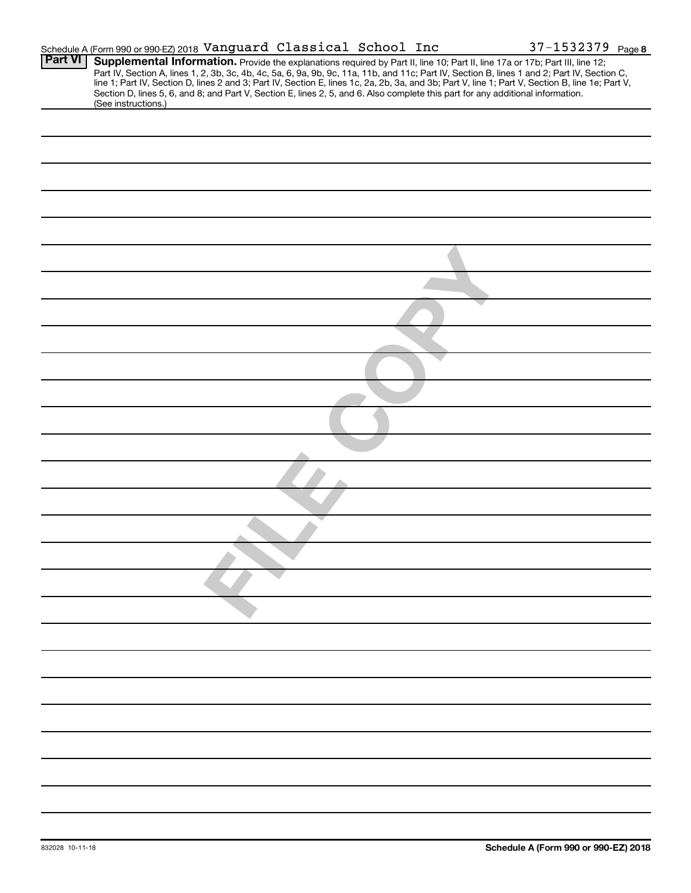|                | Schedule A (Form 990 or 990-EZ) 2018 Vanguard Classical School Inc                                                                                                                                                                                                                                                                                                                                                                                                                                                                                                   |  | 37-1532379 Page 8 |  |
|----------------|----------------------------------------------------------------------------------------------------------------------------------------------------------------------------------------------------------------------------------------------------------------------------------------------------------------------------------------------------------------------------------------------------------------------------------------------------------------------------------------------------------------------------------------------------------------------|--|-------------------|--|
| <b>Part VI</b> | Supplemental Information. Provide the explanations required by Part II, line 10; Part II, line 17a or 17b; Part III, line 12;<br>Part IV, Section A, lines 1, 2, 3b, 3c, 4b, 4c, 5a, 6, 9a, 9b, 9c, 11a, 11b, and 11c; Part IV, Section B, lines 1 and 2; Part IV, Section C,<br>line 1; Part IV, Section D, lines 2 and 3; Part IV, Section E, lines 1c, 2a, 2b, 3a, and 3b; Part V, line 1; Part V, Section B, line 1e; Part V,<br>Section D, lines 5, 6, and 8; and Part V, Section E, lines 2, 5, and 6. Also complete this part for any additional information. |  |                   |  |
|                | (See instructions.)                                                                                                                                                                                                                                                                                                                                                                                                                                                                                                                                                  |  |                   |  |
|                |                                                                                                                                                                                                                                                                                                                                                                                                                                                                                                                                                                      |  |                   |  |
|                |                                                                                                                                                                                                                                                                                                                                                                                                                                                                                                                                                                      |  |                   |  |
|                |                                                                                                                                                                                                                                                                                                                                                                                                                                                                                                                                                                      |  |                   |  |
|                |                                                                                                                                                                                                                                                                                                                                                                                                                                                                                                                                                                      |  |                   |  |
|                |                                                                                                                                                                                                                                                                                                                                                                                                                                                                                                                                                                      |  |                   |  |
|                |                                                                                                                                                                                                                                                                                                                                                                                                                                                                                                                                                                      |  |                   |  |
|                |                                                                                                                                                                                                                                                                                                                                                                                                                                                                                                                                                                      |  |                   |  |
|                |                                                                                                                                                                                                                                                                                                                                                                                                                                                                                                                                                                      |  |                   |  |
|                |                                                                                                                                                                                                                                                                                                                                                                                                                                                                                                                                                                      |  |                   |  |
|                |                                                                                                                                                                                                                                                                                                                                                                                                                                                                                                                                                                      |  |                   |  |
|                |                                                                                                                                                                                                                                                                                                                                                                                                                                                                                                                                                                      |  |                   |  |
|                |                                                                                                                                                                                                                                                                                                                                                                                                                                                                                                                                                                      |  |                   |  |
|                |                                                                                                                                                                                                                                                                                                                                                                                                                                                                                                                                                                      |  |                   |  |
|                |                                                                                                                                                                                                                                                                                                                                                                                                                                                                                                                                                                      |  |                   |  |
|                |                                                                                                                                                                                                                                                                                                                                                                                                                                                                                                                                                                      |  |                   |  |
|                |                                                                                                                                                                                                                                                                                                                                                                                                                                                                                                                                                                      |  |                   |  |
|                |                                                                                                                                                                                                                                                                                                                                                                                                                                                                                                                                                                      |  |                   |  |
|                |                                                                                                                                                                                                                                                                                                                                                                                                                                                                                                                                                                      |  |                   |  |
|                |                                                                                                                                                                                                                                                                                                                                                                                                                                                                                                                                                                      |  |                   |  |
|                |                                                                                                                                                                                                                                                                                                                                                                                                                                                                                                                                                                      |  |                   |  |
|                |                                                                                                                                                                                                                                                                                                                                                                                                                                                                                                                                                                      |  |                   |  |
|                |                                                                                                                                                                                                                                                                                                                                                                                                                                                                                                                                                                      |  |                   |  |
|                |                                                                                                                                                                                                                                                                                                                                                                                                                                                                                                                                                                      |  |                   |  |
|                |                                                                                                                                                                                                                                                                                                                                                                                                                                                                                                                                                                      |  |                   |  |
|                |                                                                                                                                                                                                                                                                                                                                                                                                                                                                                                                                                                      |  |                   |  |
|                |                                                                                                                                                                                                                                                                                                                                                                                                                                                                                                                                                                      |  |                   |  |
|                |                                                                                                                                                                                                                                                                                                                                                                                                                                                                                                                                                                      |  |                   |  |
|                |                                                                                                                                                                                                                                                                                                                                                                                                                                                                                                                                                                      |  |                   |  |
|                |                                                                                                                                                                                                                                                                                                                                                                                                                                                                                                                                                                      |  |                   |  |
|                |                                                                                                                                                                                                                                                                                                                                                                                                                                                                                                                                                                      |  |                   |  |
|                |                                                                                                                                                                                                                                                                                                                                                                                                                                                                                                                                                                      |  |                   |  |
|                |                                                                                                                                                                                                                                                                                                                                                                                                                                                                                                                                                                      |  |                   |  |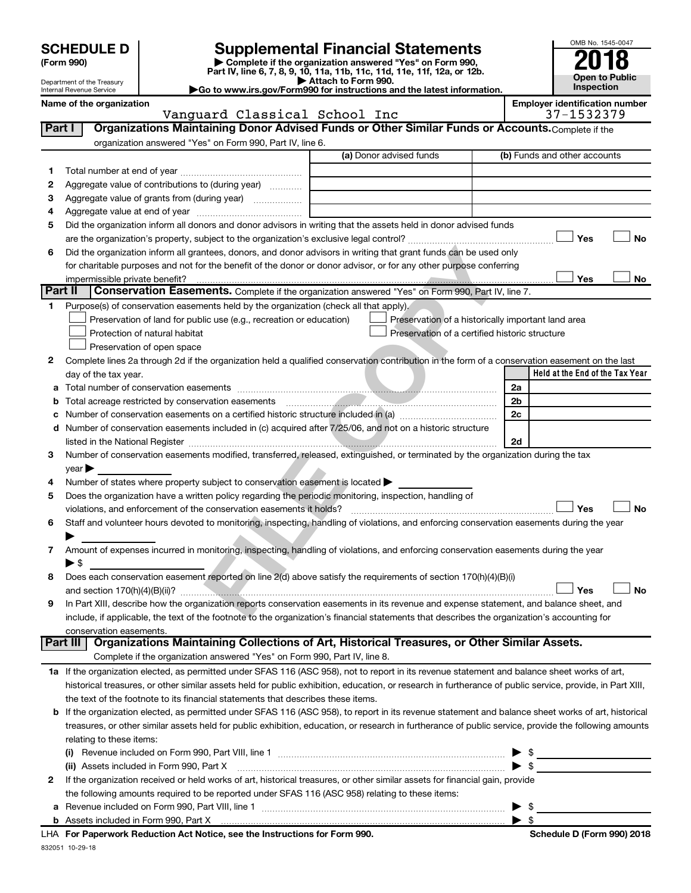# **SCHEDULE D Supplemental Financial Statements**<br> **Form 990 2018**<br> **Part IV** line 6.7.8.9.10, 11a, 11b, 11d, 11d, 11d, 11d, 11d, 12a, 0r, 12b

**(Form 990) | Complete if the organization answered "Yes" on Form 990, Part IV, line 6, 7, 8, 9, 10, 11a, 11b, 11c, 11d, 11e, 11f, 12a, or 12b.**

**| Attach to Form 990. |Go to www.irs.gov/Form990 for instructions and the latest information.**



Department of the Treasury Internal Revenue Service **Name of the organization** 

Vanguard Classical School Inc 37-1532

| iiipioy <del>e</del> i luentiiloation number |                |  |  |
|----------------------------------------------|----------------|--|--|
|                                              | $37 - 1532379$ |  |  |

| organization answered "Yes" on Form 990, Part IV, line 6.<br>(a) Donor advised funds<br>(b) Funds and other accounts<br>1.<br>Aggregate value of contributions to (during year)<br>2<br>Aggregate value of grants from (during year)<br>з<br>4<br>Did the organization inform all donors and donor advisors in writing that the assets held in donor advised funds<br>5<br>Yes<br>No<br>Did the organization inform all grantees, donors, and donor advisors in writing that grant funds can be used only<br>6<br>for charitable purposes and not for the benefit of the donor or donor advisor, or for any other purpose conferring<br>Yes<br>No<br>Part II<br>Conservation Easements. Complete if the organization answered "Yes" on Form 990, Part IV, line 7.<br>Purpose(s) of conservation easements held by the organization (check all that apply).<br>1<br>Preservation of land for public use (e.g., recreation or education)<br>Preservation of a historically important land area<br>Protection of natural habitat<br>Preservation of a certified historic structure<br>Preservation of open space<br>Complete lines 2a through 2d if the organization held a qualified conservation contribution in the form of a conservation easement on the last<br>2<br>Held at the End of the Tax Year<br>day of the tax year.<br>2a<br>а<br>2b<br>b<br>2c<br>с<br>Number of conservation easements included in (c) acquired after 7/25/06, and not on a historic structure<br>d<br>2d<br>listed in the National Register [111] March 1999 (120) 1999 (130) 1999 (130) 1999 (130) 1999 (130) 1999 (130) 1<br>Number of conservation easements modified, transferred, released, extinguished, or terminated by the organization during the tax<br>3<br>$year \triangleright$<br>Number of states where property subject to conservation easement is located ><br>4<br>Does the organization have a written policy regarding the periodic monitoring, inspection, handling of<br>5<br>Yes<br><b>No</b><br>violations, and enforcement of the conservation easements it holds?<br>Staff and volunteer hours devoted to monitoring, inspecting, handling of violations, and enforcing conservation easements during the year<br>6<br>Amount of expenses incurred in monitoring, inspecting, handling of violations, and enforcing conservation easements during the year<br>7<br>$\blacktriangleright$ s<br>Does each conservation easement reported on line 2(d) above satisfy the requirements of section 170(h)(4)(B)(i)<br>8<br>Yes<br><b>No</b><br>In Part XIII, describe how the organization reports conservation easements in its revenue and expense statement, and balance sheet, and<br>9<br>include, if applicable, the text of the footnote to the organization's financial statements that describes the organization's accounting for<br>conservation easements.<br>Organizations Maintaining Collections of Art, Historical Treasures, or Other Similar Assets.<br>Part III<br>Complete if the organization answered "Yes" on Form 990, Part IV, line 8.<br>1a If the organization elected, as permitted under SFAS 116 (ASC 958), not to report in its revenue statement and balance sheet works of art,<br>historical treasures, or other similar assets held for public exhibition, education, or research in furtherance of public service, provide, in Part XIII,<br>the text of the footnote to its financial statements that describes these items.<br><b>b</b> If the organization elected, as permitted under SFAS 116 (ASC 958), to report in its revenue statement and balance sheet works of art, historical<br>treasures, or other similar assets held for public exhibition, education, or research in furtherance of public service, provide the following amounts<br>relating to these items:<br>$\triangleright$ \$<br>$\blacktriangleright$ \$<br>(ii) Assets included in Form 990, Part X<br>If the organization received or held works of art, historical treasures, or other similar assets for financial gain, provide<br>$\mathbf{2}$<br>the following amounts required to be reported under SFAS 116 (ASC 958) relating to these items:<br>- \$ | Part I | Organizations Maintaining Donor Advised Funds or Other Similar Funds or Accounts. Complete if the |  |
|--------------------------------------------------------------------------------------------------------------------------------------------------------------------------------------------------------------------------------------------------------------------------------------------------------------------------------------------------------------------------------------------------------------------------------------------------------------------------------------------------------------------------------------------------------------------------------------------------------------------------------------------------------------------------------------------------------------------------------------------------------------------------------------------------------------------------------------------------------------------------------------------------------------------------------------------------------------------------------------------------------------------------------------------------------------------------------------------------------------------------------------------------------------------------------------------------------------------------------------------------------------------------------------------------------------------------------------------------------------------------------------------------------------------------------------------------------------------------------------------------------------------------------------------------------------------------------------------------------------------------------------------------------------------------------------------------------------------------------------------------------------------------------------------------------------------------------------------------------------------------------------------------------------------------------------------------------------------------------------------------------------------------------------------------------------------------------------------------------------------------------------------------------------------------------------------------------------------------------------------------------------------------------------------------------------------------------------------------------------------------------------------------------------------------------------------------------------------------------------------------------------------------------------------------------------------------------------------------------------------------------------------------------------------------------------------------------------------------------------------------------------------------------------------------------------------------------------------------------------------------------------------------------------------------------------------------------------------------------------------------------------------------------------------------------------------------------------------------------------------------------------------------------------------------------------------------------------------------------------------------------------------------------------------------------------------------------------------------------------------------------------------------------------------------------------------------------------------------------------------------------------------------------------------------------------------------------------------------------------------------------------------------------------------------------------------------------------------------------------------------------------------------------------------------------------------------------------------------------------------------------------------------------------------------------------------------------------------------------------------------------------------------------------------------------------------------------------------------------------------------------------------------------------------------------------|--------|---------------------------------------------------------------------------------------------------|--|
|                                                                                                                                                                                                                                                                                                                                                                                                                                                                                                                                                                                                                                                                                                                                                                                                                                                                                                                                                                                                                                                                                                                                                                                                                                                                                                                                                                                                                                                                                                                                                                                                                                                                                                                                                                                                                                                                                                                                                                                                                                                                                                                                                                                                                                                                                                                                                                                                                                                                                                                                                                                                                                                                                                                                                                                                                                                                                                                                                                                                                                                                                                                                                                                                                                                                                                                                                                                                                                                                                                                                                                                                                                                                                                                                                                                                                                                                                                                                                                                                                                                                                                                                                                                      |        |                                                                                                   |  |
|                                                                                                                                                                                                                                                                                                                                                                                                                                                                                                                                                                                                                                                                                                                                                                                                                                                                                                                                                                                                                                                                                                                                                                                                                                                                                                                                                                                                                                                                                                                                                                                                                                                                                                                                                                                                                                                                                                                                                                                                                                                                                                                                                                                                                                                                                                                                                                                                                                                                                                                                                                                                                                                                                                                                                                                                                                                                                                                                                                                                                                                                                                                                                                                                                                                                                                                                                                                                                                                                                                                                                                                                                                                                                                                                                                                                                                                                                                                                                                                                                                                                                                                                                                                      |        |                                                                                                   |  |
|                                                                                                                                                                                                                                                                                                                                                                                                                                                                                                                                                                                                                                                                                                                                                                                                                                                                                                                                                                                                                                                                                                                                                                                                                                                                                                                                                                                                                                                                                                                                                                                                                                                                                                                                                                                                                                                                                                                                                                                                                                                                                                                                                                                                                                                                                                                                                                                                                                                                                                                                                                                                                                                                                                                                                                                                                                                                                                                                                                                                                                                                                                                                                                                                                                                                                                                                                                                                                                                                                                                                                                                                                                                                                                                                                                                                                                                                                                                                                                                                                                                                                                                                                                                      |        |                                                                                                   |  |
|                                                                                                                                                                                                                                                                                                                                                                                                                                                                                                                                                                                                                                                                                                                                                                                                                                                                                                                                                                                                                                                                                                                                                                                                                                                                                                                                                                                                                                                                                                                                                                                                                                                                                                                                                                                                                                                                                                                                                                                                                                                                                                                                                                                                                                                                                                                                                                                                                                                                                                                                                                                                                                                                                                                                                                                                                                                                                                                                                                                                                                                                                                                                                                                                                                                                                                                                                                                                                                                                                                                                                                                                                                                                                                                                                                                                                                                                                                                                                                                                                                                                                                                                                                                      |        |                                                                                                   |  |
|                                                                                                                                                                                                                                                                                                                                                                                                                                                                                                                                                                                                                                                                                                                                                                                                                                                                                                                                                                                                                                                                                                                                                                                                                                                                                                                                                                                                                                                                                                                                                                                                                                                                                                                                                                                                                                                                                                                                                                                                                                                                                                                                                                                                                                                                                                                                                                                                                                                                                                                                                                                                                                                                                                                                                                                                                                                                                                                                                                                                                                                                                                                                                                                                                                                                                                                                                                                                                                                                                                                                                                                                                                                                                                                                                                                                                                                                                                                                                                                                                                                                                                                                                                                      |        |                                                                                                   |  |
|                                                                                                                                                                                                                                                                                                                                                                                                                                                                                                                                                                                                                                                                                                                                                                                                                                                                                                                                                                                                                                                                                                                                                                                                                                                                                                                                                                                                                                                                                                                                                                                                                                                                                                                                                                                                                                                                                                                                                                                                                                                                                                                                                                                                                                                                                                                                                                                                                                                                                                                                                                                                                                                                                                                                                                                                                                                                                                                                                                                                                                                                                                                                                                                                                                                                                                                                                                                                                                                                                                                                                                                                                                                                                                                                                                                                                                                                                                                                                                                                                                                                                                                                                                                      |        |                                                                                                   |  |
|                                                                                                                                                                                                                                                                                                                                                                                                                                                                                                                                                                                                                                                                                                                                                                                                                                                                                                                                                                                                                                                                                                                                                                                                                                                                                                                                                                                                                                                                                                                                                                                                                                                                                                                                                                                                                                                                                                                                                                                                                                                                                                                                                                                                                                                                                                                                                                                                                                                                                                                                                                                                                                                                                                                                                                                                                                                                                                                                                                                                                                                                                                                                                                                                                                                                                                                                                                                                                                                                                                                                                                                                                                                                                                                                                                                                                                                                                                                                                                                                                                                                                                                                                                                      |        |                                                                                                   |  |
|                                                                                                                                                                                                                                                                                                                                                                                                                                                                                                                                                                                                                                                                                                                                                                                                                                                                                                                                                                                                                                                                                                                                                                                                                                                                                                                                                                                                                                                                                                                                                                                                                                                                                                                                                                                                                                                                                                                                                                                                                                                                                                                                                                                                                                                                                                                                                                                                                                                                                                                                                                                                                                                                                                                                                                                                                                                                                                                                                                                                                                                                                                                                                                                                                                                                                                                                                                                                                                                                                                                                                                                                                                                                                                                                                                                                                                                                                                                                                                                                                                                                                                                                                                                      |        |                                                                                                   |  |
|                                                                                                                                                                                                                                                                                                                                                                                                                                                                                                                                                                                                                                                                                                                                                                                                                                                                                                                                                                                                                                                                                                                                                                                                                                                                                                                                                                                                                                                                                                                                                                                                                                                                                                                                                                                                                                                                                                                                                                                                                                                                                                                                                                                                                                                                                                                                                                                                                                                                                                                                                                                                                                                                                                                                                                                                                                                                                                                                                                                                                                                                                                                                                                                                                                                                                                                                                                                                                                                                                                                                                                                                                                                                                                                                                                                                                                                                                                                                                                                                                                                                                                                                                                                      |        |                                                                                                   |  |
|                                                                                                                                                                                                                                                                                                                                                                                                                                                                                                                                                                                                                                                                                                                                                                                                                                                                                                                                                                                                                                                                                                                                                                                                                                                                                                                                                                                                                                                                                                                                                                                                                                                                                                                                                                                                                                                                                                                                                                                                                                                                                                                                                                                                                                                                                                                                                                                                                                                                                                                                                                                                                                                                                                                                                                                                                                                                                                                                                                                                                                                                                                                                                                                                                                                                                                                                                                                                                                                                                                                                                                                                                                                                                                                                                                                                                                                                                                                                                                                                                                                                                                                                                                                      |        |                                                                                                   |  |
|                                                                                                                                                                                                                                                                                                                                                                                                                                                                                                                                                                                                                                                                                                                                                                                                                                                                                                                                                                                                                                                                                                                                                                                                                                                                                                                                                                                                                                                                                                                                                                                                                                                                                                                                                                                                                                                                                                                                                                                                                                                                                                                                                                                                                                                                                                                                                                                                                                                                                                                                                                                                                                                                                                                                                                                                                                                                                                                                                                                                                                                                                                                                                                                                                                                                                                                                                                                                                                                                                                                                                                                                                                                                                                                                                                                                                                                                                                                                                                                                                                                                                                                                                                                      |        |                                                                                                   |  |
|                                                                                                                                                                                                                                                                                                                                                                                                                                                                                                                                                                                                                                                                                                                                                                                                                                                                                                                                                                                                                                                                                                                                                                                                                                                                                                                                                                                                                                                                                                                                                                                                                                                                                                                                                                                                                                                                                                                                                                                                                                                                                                                                                                                                                                                                                                                                                                                                                                                                                                                                                                                                                                                                                                                                                                                                                                                                                                                                                                                                                                                                                                                                                                                                                                                                                                                                                                                                                                                                                                                                                                                                                                                                                                                                                                                                                                                                                                                                                                                                                                                                                                                                                                                      |        |                                                                                                   |  |
|                                                                                                                                                                                                                                                                                                                                                                                                                                                                                                                                                                                                                                                                                                                                                                                                                                                                                                                                                                                                                                                                                                                                                                                                                                                                                                                                                                                                                                                                                                                                                                                                                                                                                                                                                                                                                                                                                                                                                                                                                                                                                                                                                                                                                                                                                                                                                                                                                                                                                                                                                                                                                                                                                                                                                                                                                                                                                                                                                                                                                                                                                                                                                                                                                                                                                                                                                                                                                                                                                                                                                                                                                                                                                                                                                                                                                                                                                                                                                                                                                                                                                                                                                                                      |        |                                                                                                   |  |
|                                                                                                                                                                                                                                                                                                                                                                                                                                                                                                                                                                                                                                                                                                                                                                                                                                                                                                                                                                                                                                                                                                                                                                                                                                                                                                                                                                                                                                                                                                                                                                                                                                                                                                                                                                                                                                                                                                                                                                                                                                                                                                                                                                                                                                                                                                                                                                                                                                                                                                                                                                                                                                                                                                                                                                                                                                                                                                                                                                                                                                                                                                                                                                                                                                                                                                                                                                                                                                                                                                                                                                                                                                                                                                                                                                                                                                                                                                                                                                                                                                                                                                                                                                                      |        |                                                                                                   |  |
|                                                                                                                                                                                                                                                                                                                                                                                                                                                                                                                                                                                                                                                                                                                                                                                                                                                                                                                                                                                                                                                                                                                                                                                                                                                                                                                                                                                                                                                                                                                                                                                                                                                                                                                                                                                                                                                                                                                                                                                                                                                                                                                                                                                                                                                                                                                                                                                                                                                                                                                                                                                                                                                                                                                                                                                                                                                                                                                                                                                                                                                                                                                                                                                                                                                                                                                                                                                                                                                                                                                                                                                                                                                                                                                                                                                                                                                                                                                                                                                                                                                                                                                                                                                      |        |                                                                                                   |  |
|                                                                                                                                                                                                                                                                                                                                                                                                                                                                                                                                                                                                                                                                                                                                                                                                                                                                                                                                                                                                                                                                                                                                                                                                                                                                                                                                                                                                                                                                                                                                                                                                                                                                                                                                                                                                                                                                                                                                                                                                                                                                                                                                                                                                                                                                                                                                                                                                                                                                                                                                                                                                                                                                                                                                                                                                                                                                                                                                                                                                                                                                                                                                                                                                                                                                                                                                                                                                                                                                                                                                                                                                                                                                                                                                                                                                                                                                                                                                                                                                                                                                                                                                                                                      |        |                                                                                                   |  |
|                                                                                                                                                                                                                                                                                                                                                                                                                                                                                                                                                                                                                                                                                                                                                                                                                                                                                                                                                                                                                                                                                                                                                                                                                                                                                                                                                                                                                                                                                                                                                                                                                                                                                                                                                                                                                                                                                                                                                                                                                                                                                                                                                                                                                                                                                                                                                                                                                                                                                                                                                                                                                                                                                                                                                                                                                                                                                                                                                                                                                                                                                                                                                                                                                                                                                                                                                                                                                                                                                                                                                                                                                                                                                                                                                                                                                                                                                                                                                                                                                                                                                                                                                                                      |        |                                                                                                   |  |
|                                                                                                                                                                                                                                                                                                                                                                                                                                                                                                                                                                                                                                                                                                                                                                                                                                                                                                                                                                                                                                                                                                                                                                                                                                                                                                                                                                                                                                                                                                                                                                                                                                                                                                                                                                                                                                                                                                                                                                                                                                                                                                                                                                                                                                                                                                                                                                                                                                                                                                                                                                                                                                                                                                                                                                                                                                                                                                                                                                                                                                                                                                                                                                                                                                                                                                                                                                                                                                                                                                                                                                                                                                                                                                                                                                                                                                                                                                                                                                                                                                                                                                                                                                                      |        |                                                                                                   |  |
|                                                                                                                                                                                                                                                                                                                                                                                                                                                                                                                                                                                                                                                                                                                                                                                                                                                                                                                                                                                                                                                                                                                                                                                                                                                                                                                                                                                                                                                                                                                                                                                                                                                                                                                                                                                                                                                                                                                                                                                                                                                                                                                                                                                                                                                                                                                                                                                                                                                                                                                                                                                                                                                                                                                                                                                                                                                                                                                                                                                                                                                                                                                                                                                                                                                                                                                                                                                                                                                                                                                                                                                                                                                                                                                                                                                                                                                                                                                                                                                                                                                                                                                                                                                      |        |                                                                                                   |  |
|                                                                                                                                                                                                                                                                                                                                                                                                                                                                                                                                                                                                                                                                                                                                                                                                                                                                                                                                                                                                                                                                                                                                                                                                                                                                                                                                                                                                                                                                                                                                                                                                                                                                                                                                                                                                                                                                                                                                                                                                                                                                                                                                                                                                                                                                                                                                                                                                                                                                                                                                                                                                                                                                                                                                                                                                                                                                                                                                                                                                                                                                                                                                                                                                                                                                                                                                                                                                                                                                                                                                                                                                                                                                                                                                                                                                                                                                                                                                                                                                                                                                                                                                                                                      |        |                                                                                                   |  |
|                                                                                                                                                                                                                                                                                                                                                                                                                                                                                                                                                                                                                                                                                                                                                                                                                                                                                                                                                                                                                                                                                                                                                                                                                                                                                                                                                                                                                                                                                                                                                                                                                                                                                                                                                                                                                                                                                                                                                                                                                                                                                                                                                                                                                                                                                                                                                                                                                                                                                                                                                                                                                                                                                                                                                                                                                                                                                                                                                                                                                                                                                                                                                                                                                                                                                                                                                                                                                                                                                                                                                                                                                                                                                                                                                                                                                                                                                                                                                                                                                                                                                                                                                                                      |        |                                                                                                   |  |
|                                                                                                                                                                                                                                                                                                                                                                                                                                                                                                                                                                                                                                                                                                                                                                                                                                                                                                                                                                                                                                                                                                                                                                                                                                                                                                                                                                                                                                                                                                                                                                                                                                                                                                                                                                                                                                                                                                                                                                                                                                                                                                                                                                                                                                                                                                                                                                                                                                                                                                                                                                                                                                                                                                                                                                                                                                                                                                                                                                                                                                                                                                                                                                                                                                                                                                                                                                                                                                                                                                                                                                                                                                                                                                                                                                                                                                                                                                                                                                                                                                                                                                                                                                                      |        |                                                                                                   |  |
|                                                                                                                                                                                                                                                                                                                                                                                                                                                                                                                                                                                                                                                                                                                                                                                                                                                                                                                                                                                                                                                                                                                                                                                                                                                                                                                                                                                                                                                                                                                                                                                                                                                                                                                                                                                                                                                                                                                                                                                                                                                                                                                                                                                                                                                                                                                                                                                                                                                                                                                                                                                                                                                                                                                                                                                                                                                                                                                                                                                                                                                                                                                                                                                                                                                                                                                                                                                                                                                                                                                                                                                                                                                                                                                                                                                                                                                                                                                                                                                                                                                                                                                                                                                      |        |                                                                                                   |  |
|                                                                                                                                                                                                                                                                                                                                                                                                                                                                                                                                                                                                                                                                                                                                                                                                                                                                                                                                                                                                                                                                                                                                                                                                                                                                                                                                                                                                                                                                                                                                                                                                                                                                                                                                                                                                                                                                                                                                                                                                                                                                                                                                                                                                                                                                                                                                                                                                                                                                                                                                                                                                                                                                                                                                                                                                                                                                                                                                                                                                                                                                                                                                                                                                                                                                                                                                                                                                                                                                                                                                                                                                                                                                                                                                                                                                                                                                                                                                                                                                                                                                                                                                                                                      |        |                                                                                                   |  |
|                                                                                                                                                                                                                                                                                                                                                                                                                                                                                                                                                                                                                                                                                                                                                                                                                                                                                                                                                                                                                                                                                                                                                                                                                                                                                                                                                                                                                                                                                                                                                                                                                                                                                                                                                                                                                                                                                                                                                                                                                                                                                                                                                                                                                                                                                                                                                                                                                                                                                                                                                                                                                                                                                                                                                                                                                                                                                                                                                                                                                                                                                                                                                                                                                                                                                                                                                                                                                                                                                                                                                                                                                                                                                                                                                                                                                                                                                                                                                                                                                                                                                                                                                                                      |        |                                                                                                   |  |
|                                                                                                                                                                                                                                                                                                                                                                                                                                                                                                                                                                                                                                                                                                                                                                                                                                                                                                                                                                                                                                                                                                                                                                                                                                                                                                                                                                                                                                                                                                                                                                                                                                                                                                                                                                                                                                                                                                                                                                                                                                                                                                                                                                                                                                                                                                                                                                                                                                                                                                                                                                                                                                                                                                                                                                                                                                                                                                                                                                                                                                                                                                                                                                                                                                                                                                                                                                                                                                                                                                                                                                                                                                                                                                                                                                                                                                                                                                                                                                                                                                                                                                                                                                                      |        |                                                                                                   |  |
|                                                                                                                                                                                                                                                                                                                                                                                                                                                                                                                                                                                                                                                                                                                                                                                                                                                                                                                                                                                                                                                                                                                                                                                                                                                                                                                                                                                                                                                                                                                                                                                                                                                                                                                                                                                                                                                                                                                                                                                                                                                                                                                                                                                                                                                                                                                                                                                                                                                                                                                                                                                                                                                                                                                                                                                                                                                                                                                                                                                                                                                                                                                                                                                                                                                                                                                                                                                                                                                                                                                                                                                                                                                                                                                                                                                                                                                                                                                                                                                                                                                                                                                                                                                      |        |                                                                                                   |  |
|                                                                                                                                                                                                                                                                                                                                                                                                                                                                                                                                                                                                                                                                                                                                                                                                                                                                                                                                                                                                                                                                                                                                                                                                                                                                                                                                                                                                                                                                                                                                                                                                                                                                                                                                                                                                                                                                                                                                                                                                                                                                                                                                                                                                                                                                                                                                                                                                                                                                                                                                                                                                                                                                                                                                                                                                                                                                                                                                                                                                                                                                                                                                                                                                                                                                                                                                                                                                                                                                                                                                                                                                                                                                                                                                                                                                                                                                                                                                                                                                                                                                                                                                                                                      |        |                                                                                                   |  |
|                                                                                                                                                                                                                                                                                                                                                                                                                                                                                                                                                                                                                                                                                                                                                                                                                                                                                                                                                                                                                                                                                                                                                                                                                                                                                                                                                                                                                                                                                                                                                                                                                                                                                                                                                                                                                                                                                                                                                                                                                                                                                                                                                                                                                                                                                                                                                                                                                                                                                                                                                                                                                                                                                                                                                                                                                                                                                                                                                                                                                                                                                                                                                                                                                                                                                                                                                                                                                                                                                                                                                                                                                                                                                                                                                                                                                                                                                                                                                                                                                                                                                                                                                                                      |        |                                                                                                   |  |
|                                                                                                                                                                                                                                                                                                                                                                                                                                                                                                                                                                                                                                                                                                                                                                                                                                                                                                                                                                                                                                                                                                                                                                                                                                                                                                                                                                                                                                                                                                                                                                                                                                                                                                                                                                                                                                                                                                                                                                                                                                                                                                                                                                                                                                                                                                                                                                                                                                                                                                                                                                                                                                                                                                                                                                                                                                                                                                                                                                                                                                                                                                                                                                                                                                                                                                                                                                                                                                                                                                                                                                                                                                                                                                                                                                                                                                                                                                                                                                                                                                                                                                                                                                                      |        |                                                                                                   |  |
|                                                                                                                                                                                                                                                                                                                                                                                                                                                                                                                                                                                                                                                                                                                                                                                                                                                                                                                                                                                                                                                                                                                                                                                                                                                                                                                                                                                                                                                                                                                                                                                                                                                                                                                                                                                                                                                                                                                                                                                                                                                                                                                                                                                                                                                                                                                                                                                                                                                                                                                                                                                                                                                                                                                                                                                                                                                                                                                                                                                                                                                                                                                                                                                                                                                                                                                                                                                                                                                                                                                                                                                                                                                                                                                                                                                                                                                                                                                                                                                                                                                                                                                                                                                      |        |                                                                                                   |  |
|                                                                                                                                                                                                                                                                                                                                                                                                                                                                                                                                                                                                                                                                                                                                                                                                                                                                                                                                                                                                                                                                                                                                                                                                                                                                                                                                                                                                                                                                                                                                                                                                                                                                                                                                                                                                                                                                                                                                                                                                                                                                                                                                                                                                                                                                                                                                                                                                                                                                                                                                                                                                                                                                                                                                                                                                                                                                                                                                                                                                                                                                                                                                                                                                                                                                                                                                                                                                                                                                                                                                                                                                                                                                                                                                                                                                                                                                                                                                                                                                                                                                                                                                                                                      |        |                                                                                                   |  |
|                                                                                                                                                                                                                                                                                                                                                                                                                                                                                                                                                                                                                                                                                                                                                                                                                                                                                                                                                                                                                                                                                                                                                                                                                                                                                                                                                                                                                                                                                                                                                                                                                                                                                                                                                                                                                                                                                                                                                                                                                                                                                                                                                                                                                                                                                                                                                                                                                                                                                                                                                                                                                                                                                                                                                                                                                                                                                                                                                                                                                                                                                                                                                                                                                                                                                                                                                                                                                                                                                                                                                                                                                                                                                                                                                                                                                                                                                                                                                                                                                                                                                                                                                                                      |        |                                                                                                   |  |
|                                                                                                                                                                                                                                                                                                                                                                                                                                                                                                                                                                                                                                                                                                                                                                                                                                                                                                                                                                                                                                                                                                                                                                                                                                                                                                                                                                                                                                                                                                                                                                                                                                                                                                                                                                                                                                                                                                                                                                                                                                                                                                                                                                                                                                                                                                                                                                                                                                                                                                                                                                                                                                                                                                                                                                                                                                                                                                                                                                                                                                                                                                                                                                                                                                                                                                                                                                                                                                                                                                                                                                                                                                                                                                                                                                                                                                                                                                                                                                                                                                                                                                                                                                                      |        |                                                                                                   |  |
|                                                                                                                                                                                                                                                                                                                                                                                                                                                                                                                                                                                                                                                                                                                                                                                                                                                                                                                                                                                                                                                                                                                                                                                                                                                                                                                                                                                                                                                                                                                                                                                                                                                                                                                                                                                                                                                                                                                                                                                                                                                                                                                                                                                                                                                                                                                                                                                                                                                                                                                                                                                                                                                                                                                                                                                                                                                                                                                                                                                                                                                                                                                                                                                                                                                                                                                                                                                                                                                                                                                                                                                                                                                                                                                                                                                                                                                                                                                                                                                                                                                                                                                                                                                      |        |                                                                                                   |  |
|                                                                                                                                                                                                                                                                                                                                                                                                                                                                                                                                                                                                                                                                                                                                                                                                                                                                                                                                                                                                                                                                                                                                                                                                                                                                                                                                                                                                                                                                                                                                                                                                                                                                                                                                                                                                                                                                                                                                                                                                                                                                                                                                                                                                                                                                                                                                                                                                                                                                                                                                                                                                                                                                                                                                                                                                                                                                                                                                                                                                                                                                                                                                                                                                                                                                                                                                                                                                                                                                                                                                                                                                                                                                                                                                                                                                                                                                                                                                                                                                                                                                                                                                                                                      |        |                                                                                                   |  |
|                                                                                                                                                                                                                                                                                                                                                                                                                                                                                                                                                                                                                                                                                                                                                                                                                                                                                                                                                                                                                                                                                                                                                                                                                                                                                                                                                                                                                                                                                                                                                                                                                                                                                                                                                                                                                                                                                                                                                                                                                                                                                                                                                                                                                                                                                                                                                                                                                                                                                                                                                                                                                                                                                                                                                                                                                                                                                                                                                                                                                                                                                                                                                                                                                                                                                                                                                                                                                                                                                                                                                                                                                                                                                                                                                                                                                                                                                                                                                                                                                                                                                                                                                                                      |        |                                                                                                   |  |
|                                                                                                                                                                                                                                                                                                                                                                                                                                                                                                                                                                                                                                                                                                                                                                                                                                                                                                                                                                                                                                                                                                                                                                                                                                                                                                                                                                                                                                                                                                                                                                                                                                                                                                                                                                                                                                                                                                                                                                                                                                                                                                                                                                                                                                                                                                                                                                                                                                                                                                                                                                                                                                                                                                                                                                                                                                                                                                                                                                                                                                                                                                                                                                                                                                                                                                                                                                                                                                                                                                                                                                                                                                                                                                                                                                                                                                                                                                                                                                                                                                                                                                                                                                                      |        |                                                                                                   |  |
|                                                                                                                                                                                                                                                                                                                                                                                                                                                                                                                                                                                                                                                                                                                                                                                                                                                                                                                                                                                                                                                                                                                                                                                                                                                                                                                                                                                                                                                                                                                                                                                                                                                                                                                                                                                                                                                                                                                                                                                                                                                                                                                                                                                                                                                                                                                                                                                                                                                                                                                                                                                                                                                                                                                                                                                                                                                                                                                                                                                                                                                                                                                                                                                                                                                                                                                                                                                                                                                                                                                                                                                                                                                                                                                                                                                                                                                                                                                                                                                                                                                                                                                                                                                      |        |                                                                                                   |  |
|                                                                                                                                                                                                                                                                                                                                                                                                                                                                                                                                                                                                                                                                                                                                                                                                                                                                                                                                                                                                                                                                                                                                                                                                                                                                                                                                                                                                                                                                                                                                                                                                                                                                                                                                                                                                                                                                                                                                                                                                                                                                                                                                                                                                                                                                                                                                                                                                                                                                                                                                                                                                                                                                                                                                                                                                                                                                                                                                                                                                                                                                                                                                                                                                                                                                                                                                                                                                                                                                                                                                                                                                                                                                                                                                                                                                                                                                                                                                                                                                                                                                                                                                                                                      |        |                                                                                                   |  |
|                                                                                                                                                                                                                                                                                                                                                                                                                                                                                                                                                                                                                                                                                                                                                                                                                                                                                                                                                                                                                                                                                                                                                                                                                                                                                                                                                                                                                                                                                                                                                                                                                                                                                                                                                                                                                                                                                                                                                                                                                                                                                                                                                                                                                                                                                                                                                                                                                                                                                                                                                                                                                                                                                                                                                                                                                                                                                                                                                                                                                                                                                                                                                                                                                                                                                                                                                                                                                                                                                                                                                                                                                                                                                                                                                                                                                                                                                                                                                                                                                                                                                                                                                                                      |        |                                                                                                   |  |
|                                                                                                                                                                                                                                                                                                                                                                                                                                                                                                                                                                                                                                                                                                                                                                                                                                                                                                                                                                                                                                                                                                                                                                                                                                                                                                                                                                                                                                                                                                                                                                                                                                                                                                                                                                                                                                                                                                                                                                                                                                                                                                                                                                                                                                                                                                                                                                                                                                                                                                                                                                                                                                                                                                                                                                                                                                                                                                                                                                                                                                                                                                                                                                                                                                                                                                                                                                                                                                                                                                                                                                                                                                                                                                                                                                                                                                                                                                                                                                                                                                                                                                                                                                                      |        |                                                                                                   |  |
|                                                                                                                                                                                                                                                                                                                                                                                                                                                                                                                                                                                                                                                                                                                                                                                                                                                                                                                                                                                                                                                                                                                                                                                                                                                                                                                                                                                                                                                                                                                                                                                                                                                                                                                                                                                                                                                                                                                                                                                                                                                                                                                                                                                                                                                                                                                                                                                                                                                                                                                                                                                                                                                                                                                                                                                                                                                                                                                                                                                                                                                                                                                                                                                                                                                                                                                                                                                                                                                                                                                                                                                                                                                                                                                                                                                                                                                                                                                                                                                                                                                                                                                                                                                      |        |                                                                                                   |  |
|                                                                                                                                                                                                                                                                                                                                                                                                                                                                                                                                                                                                                                                                                                                                                                                                                                                                                                                                                                                                                                                                                                                                                                                                                                                                                                                                                                                                                                                                                                                                                                                                                                                                                                                                                                                                                                                                                                                                                                                                                                                                                                                                                                                                                                                                                                                                                                                                                                                                                                                                                                                                                                                                                                                                                                                                                                                                                                                                                                                                                                                                                                                                                                                                                                                                                                                                                                                                                                                                                                                                                                                                                                                                                                                                                                                                                                                                                                                                                                                                                                                                                                                                                                                      |        |                                                                                                   |  |
|                                                                                                                                                                                                                                                                                                                                                                                                                                                                                                                                                                                                                                                                                                                                                                                                                                                                                                                                                                                                                                                                                                                                                                                                                                                                                                                                                                                                                                                                                                                                                                                                                                                                                                                                                                                                                                                                                                                                                                                                                                                                                                                                                                                                                                                                                                                                                                                                                                                                                                                                                                                                                                                                                                                                                                                                                                                                                                                                                                                                                                                                                                                                                                                                                                                                                                                                                                                                                                                                                                                                                                                                                                                                                                                                                                                                                                                                                                                                                                                                                                                                                                                                                                                      |        |                                                                                                   |  |
|                                                                                                                                                                                                                                                                                                                                                                                                                                                                                                                                                                                                                                                                                                                                                                                                                                                                                                                                                                                                                                                                                                                                                                                                                                                                                                                                                                                                                                                                                                                                                                                                                                                                                                                                                                                                                                                                                                                                                                                                                                                                                                                                                                                                                                                                                                                                                                                                                                                                                                                                                                                                                                                                                                                                                                                                                                                                                                                                                                                                                                                                                                                                                                                                                                                                                                                                                                                                                                                                                                                                                                                                                                                                                                                                                                                                                                                                                                                                                                                                                                                                                                                                                                                      |        |                                                                                                   |  |
|                                                                                                                                                                                                                                                                                                                                                                                                                                                                                                                                                                                                                                                                                                                                                                                                                                                                                                                                                                                                                                                                                                                                                                                                                                                                                                                                                                                                                                                                                                                                                                                                                                                                                                                                                                                                                                                                                                                                                                                                                                                                                                                                                                                                                                                                                                                                                                                                                                                                                                                                                                                                                                                                                                                                                                                                                                                                                                                                                                                                                                                                                                                                                                                                                                                                                                                                                                                                                                                                                                                                                                                                                                                                                                                                                                                                                                                                                                                                                                                                                                                                                                                                                                                      |        |                                                                                                   |  |
|                                                                                                                                                                                                                                                                                                                                                                                                                                                                                                                                                                                                                                                                                                                                                                                                                                                                                                                                                                                                                                                                                                                                                                                                                                                                                                                                                                                                                                                                                                                                                                                                                                                                                                                                                                                                                                                                                                                                                                                                                                                                                                                                                                                                                                                                                                                                                                                                                                                                                                                                                                                                                                                                                                                                                                                                                                                                                                                                                                                                                                                                                                                                                                                                                                                                                                                                                                                                                                                                                                                                                                                                                                                                                                                                                                                                                                                                                                                                                                                                                                                                                                                                                                                      |        |                                                                                                   |  |
|                                                                                                                                                                                                                                                                                                                                                                                                                                                                                                                                                                                                                                                                                                                                                                                                                                                                                                                                                                                                                                                                                                                                                                                                                                                                                                                                                                                                                                                                                                                                                                                                                                                                                                                                                                                                                                                                                                                                                                                                                                                                                                                                                                                                                                                                                                                                                                                                                                                                                                                                                                                                                                                                                                                                                                                                                                                                                                                                                                                                                                                                                                                                                                                                                                                                                                                                                                                                                                                                                                                                                                                                                                                                                                                                                                                                                                                                                                                                                                                                                                                                                                                                                                                      |        |                                                                                                   |  |

| Schedule D (Form 990) 2018 |  |
|----------------------------|--|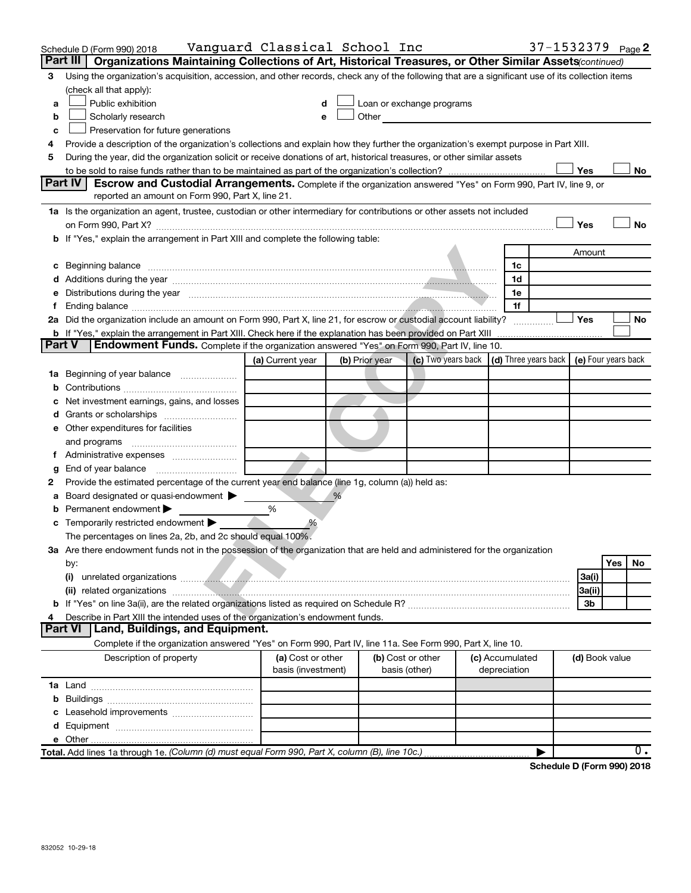|               | Schedule D (Form 990) 2018                                                                                                                                                                                                                 | Vanguard Classical School Inc |                |                                                                                                                                                                                                                               |                                                                 | 37-1532379 Page 2          |           |
|---------------|--------------------------------------------------------------------------------------------------------------------------------------------------------------------------------------------------------------------------------------------|-------------------------------|----------------|-------------------------------------------------------------------------------------------------------------------------------------------------------------------------------------------------------------------------------|-----------------------------------------------------------------|----------------------------|-----------|
|               | Organizations Maintaining Collections of Art, Historical Treasures, or Other Similar Assets (continued)<br>Part III                                                                                                                        |                               |                |                                                                                                                                                                                                                               |                                                                 |                            |           |
| 3             | Using the organization's acquisition, accession, and other records, check any of the following that are a significant use of its collection items                                                                                          |                               |                |                                                                                                                                                                                                                               |                                                                 |                            |           |
|               | (check all that apply):                                                                                                                                                                                                                    |                               |                |                                                                                                                                                                                                                               |                                                                 |                            |           |
| a             | Public exhibition                                                                                                                                                                                                                          | d                             |                | Loan or exchange programs                                                                                                                                                                                                     |                                                                 |                            |           |
| b             | Scholarly research                                                                                                                                                                                                                         | e                             |                | Other and the contract of the contract of the contract of the contract of the contract of the contract of the contract of the contract of the contract of the contract of the contract of the contract of the contract of the |                                                                 |                            |           |
| c             | Preservation for future generations                                                                                                                                                                                                        |                               |                |                                                                                                                                                                                                                               |                                                                 |                            |           |
| 4             | Provide a description of the organization's collections and explain how they further the organization's exempt purpose in Part XIII.                                                                                                       |                               |                |                                                                                                                                                                                                                               |                                                                 |                            |           |
| 5             | During the year, did the organization solicit or receive donations of art, historical treasures, or other similar assets                                                                                                                   |                               |                |                                                                                                                                                                                                                               |                                                                 |                            |           |
|               |                                                                                                                                                                                                                                            |                               |                |                                                                                                                                                                                                                               |                                                                 | Yes                        | No        |
|               | Part IV<br><b>Escrow and Custodial Arrangements.</b> Complete if the organization answered "Yes" on Form 990, Part IV, line 9, or                                                                                                          |                               |                |                                                                                                                                                                                                                               |                                                                 |                            |           |
|               | reported an amount on Form 990, Part X, line 21.                                                                                                                                                                                           |                               |                |                                                                                                                                                                                                                               |                                                                 |                            |           |
|               | 1a Is the organization an agent, trustee, custodian or other intermediary for contributions or other assets not included                                                                                                                   |                               |                |                                                                                                                                                                                                                               |                                                                 |                            |           |
|               |                                                                                                                                                                                                                                            |                               |                |                                                                                                                                                                                                                               |                                                                 | Yes                        | No        |
|               | b If "Yes," explain the arrangement in Part XIII and complete the following table:                                                                                                                                                         |                               |                |                                                                                                                                                                                                                               |                                                                 |                            |           |
|               |                                                                                                                                                                                                                                            |                               |                |                                                                                                                                                                                                                               |                                                                 | Amount                     |           |
|               | c Beginning balance <b>contract the contract of the contract of the contract of the contract of the contract of the contract of the contract of the contract of the contract of the contract of the contract of the contract of </b>       |                               |                |                                                                                                                                                                                                                               | 1c                                                              |                            |           |
|               |                                                                                                                                                                                                                                            |                               |                |                                                                                                                                                                                                                               | 1d                                                              |                            |           |
|               | e Distributions during the year manufactured and continuum control of the control of the control of the control of the control of the control of the control of the control of the control of the control of the control of th             |                               |                |                                                                                                                                                                                                                               | 1e                                                              |                            |           |
|               |                                                                                                                                                                                                                                            |                               |                |                                                                                                                                                                                                                               | 1f                                                              |                            |           |
|               | 2a Did the organization include an amount on Form 990, Part X, line 21, for escrow or custodial account liability?                                                                                                                         |                               |                |                                                                                                                                                                                                                               |                                                                 | Yes                        | No        |
| <b>Part V</b> | <b>Endowment Funds.</b> Complete if the organization answered "Yes" on Form 990, Part IV, line 10.                                                                                                                                         |                               |                |                                                                                                                                                                                                                               |                                                                 |                            |           |
|               |                                                                                                                                                                                                                                            |                               |                |                                                                                                                                                                                                                               | (c) Two years back   (d) Three years back   (e) Four years back |                            |           |
|               |                                                                                                                                                                                                                                            | (a) Current year              | (b) Prior year |                                                                                                                                                                                                                               |                                                                 |                            |           |
|               | 1a Beginning of year balance                                                                                                                                                                                                               |                               |                |                                                                                                                                                                                                                               |                                                                 |                            |           |
| b             | Net investment earnings, gains, and losses                                                                                                                                                                                                 |                               |                |                                                                                                                                                                                                                               |                                                                 |                            |           |
| d             |                                                                                                                                                                                                                                            |                               |                |                                                                                                                                                                                                                               |                                                                 |                            |           |
|               | e Other expenditures for facilities                                                                                                                                                                                                        |                               |                |                                                                                                                                                                                                                               |                                                                 |                            |           |
|               | and programs                                                                                                                                                                                                                               |                               |                |                                                                                                                                                                                                                               |                                                                 |                            |           |
|               |                                                                                                                                                                                                                                            |                               |                |                                                                                                                                                                                                                               |                                                                 |                            |           |
| g             |                                                                                                                                                                                                                                            |                               |                |                                                                                                                                                                                                                               |                                                                 |                            |           |
| 2             | Provide the estimated percentage of the current year end balance (line 1g, column (a)) held as:                                                                                                                                            |                               |                |                                                                                                                                                                                                                               |                                                                 |                            |           |
| а             | Board designated or quasi-endowment >                                                                                                                                                                                                      |                               | %              |                                                                                                                                                                                                                               |                                                                 |                            |           |
| b             | Permanent endowment                                                                                                                                                                                                                        | %                             |                |                                                                                                                                                                                                                               |                                                                 |                            |           |
|               | <b>c</b> Temporarily restricted endowment                                                                                                                                                                                                  | %                             |                |                                                                                                                                                                                                                               |                                                                 |                            |           |
|               | The percentages on lines 2a, 2b, and 2c should equal 100%.                                                                                                                                                                                 |                               |                |                                                                                                                                                                                                                               |                                                                 |                            |           |
|               | 3a Are there endowment funds not in the possession of the organization that are held and administered for the organization                                                                                                                 |                               |                |                                                                                                                                                                                                                               |                                                                 |                            |           |
|               | by:                                                                                                                                                                                                                                        |                               |                |                                                                                                                                                                                                                               |                                                                 |                            | Yes<br>No |
|               | unrelated organizations <b>contracts</b> and the contract of the contract of the contract of the contract of the contract of the contract of the contract of the contract of the contract of the contract of the contract of the co<br>(i) |                               |                |                                                                                                                                                                                                                               |                                                                 | 3a(i)                      |           |
|               |                                                                                                                                                                                                                                            |                               |                |                                                                                                                                                                                                                               |                                                                 | 3a(ii)                     |           |
|               |                                                                                                                                                                                                                                            |                               |                |                                                                                                                                                                                                                               |                                                                 | 3b                         |           |
| 4             | Describe in Part XIII the intended uses of the organization's endowment funds.                                                                                                                                                             |                               |                |                                                                                                                                                                                                                               |                                                                 |                            |           |
|               | Land, Buildings, and Equipment.<br><b>Part VI</b>                                                                                                                                                                                          |                               |                |                                                                                                                                                                                                                               |                                                                 |                            |           |
|               | Complete if the organization answered "Yes" on Form 990, Part IV, line 11a. See Form 990, Part X, line 10.                                                                                                                                 |                               |                |                                                                                                                                                                                                                               |                                                                 |                            |           |
|               | Description of property                                                                                                                                                                                                                    | (a) Cost or other             |                | (b) Cost or other                                                                                                                                                                                                             | (c) Accumulated                                                 | (d) Book value             |           |
|               |                                                                                                                                                                                                                                            | basis (investment)            |                | basis (other)                                                                                                                                                                                                                 | depreciation                                                    |                            |           |
|               |                                                                                                                                                                                                                                            |                               |                |                                                                                                                                                                                                                               |                                                                 |                            |           |
|               |                                                                                                                                                                                                                                            |                               |                |                                                                                                                                                                                                                               |                                                                 |                            |           |
|               |                                                                                                                                                                                                                                            |                               |                |                                                                                                                                                                                                                               |                                                                 |                            |           |
|               |                                                                                                                                                                                                                                            |                               |                |                                                                                                                                                                                                                               |                                                                 |                            |           |
|               |                                                                                                                                                                                                                                            |                               |                |                                                                                                                                                                                                                               |                                                                 |                            |           |
|               | Total. Add lines 1a through 1e. (Column (d) must equal Form 990, Part X, column (B), line 10c.)                                                                                                                                            |                               |                |                                                                                                                                                                                                                               |                                                                 |                            | 0.        |
|               |                                                                                                                                                                                                                                            |                               |                |                                                                                                                                                                                                                               |                                                                 | Schedule D (Form 990) 2018 |           |
|               |                                                                                                                                                                                                                                            |                               |                |                                                                                                                                                                                                                               |                                                                 |                            |           |
|               |                                                                                                                                                                                                                                            |                               |                |                                                                                                                                                                                                                               |                                                                 |                            |           |
|               |                                                                                                                                                                                                                                            |                               |                |                                                                                                                                                                                                                               |                                                                 |                            |           |
|               |                                                                                                                                                                                                                                            |                               |                |                                                                                                                                                                                                                               |                                                                 |                            |           |
|               |                                                                                                                                                                                                                                            |                               |                |                                                                                                                                                                                                                               |                                                                 |                            |           |
|               | 832052 10-29-18                                                                                                                                                                                                                            |                               |                |                                                                                                                                                                                                                               |                                                                 |                            |           |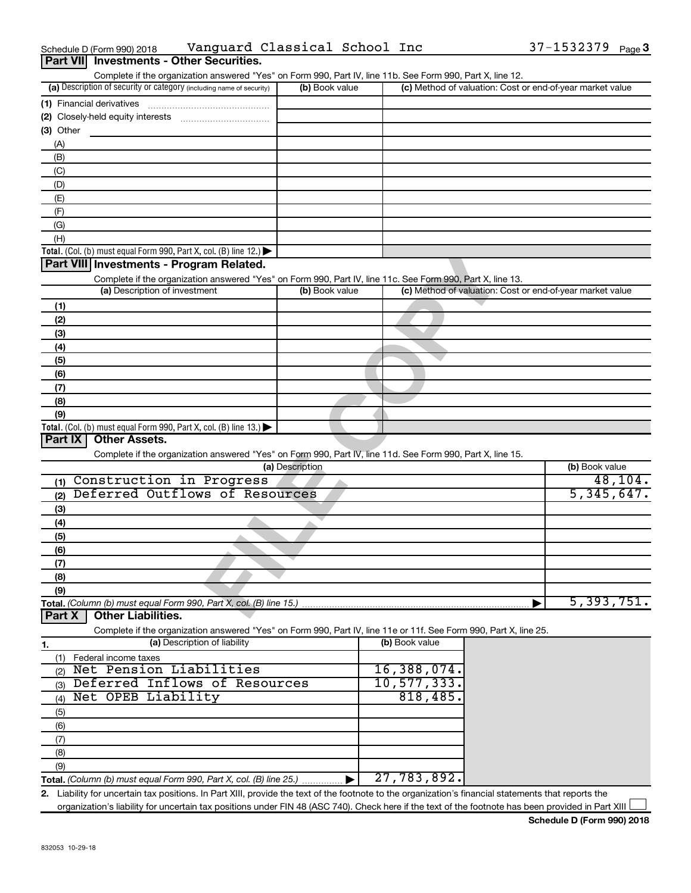| Part VII Investments - Other Securities.                                                                                                                                           |                 |                                                           |                |
|------------------------------------------------------------------------------------------------------------------------------------------------------------------------------------|-----------------|-----------------------------------------------------------|----------------|
| Complete if the organization answered "Yes" on Form 990, Part IV, line 11b. See Form 990, Part X, line 12.<br>(a) Description of security or category (including name of security) | (b) Book value  | (c) Method of valuation: Cost or end-of-year market value |                |
| (1) Financial derivatives                                                                                                                                                          |                 |                                                           |                |
|                                                                                                                                                                                    |                 |                                                           |                |
| $(3)$ Other                                                                                                                                                                        |                 |                                                           |                |
| (A)                                                                                                                                                                                |                 |                                                           |                |
| (B)                                                                                                                                                                                |                 |                                                           |                |
| (C)                                                                                                                                                                                |                 |                                                           |                |
| (D)                                                                                                                                                                                |                 |                                                           |                |
| (E)                                                                                                                                                                                |                 |                                                           |                |
| (F)                                                                                                                                                                                |                 |                                                           |                |
| (G)                                                                                                                                                                                |                 |                                                           |                |
| (H)                                                                                                                                                                                |                 |                                                           |                |
| Total. (Col. (b) must equal Form 990, Part X, col. (B) line 12.) $\blacktriangleright$                                                                                             |                 |                                                           |                |
| Part VIII Investments - Program Related.                                                                                                                                           |                 |                                                           |                |
| Complete if the organization answered "Yes" on Form 990, Part IV, line 11c. See Form 990, Part X, line 13.                                                                         |                 |                                                           |                |
| (a) Description of investment                                                                                                                                                      | (b) Book value  | (c) Method of valuation: Cost or end-of-year market value |                |
| (1)                                                                                                                                                                                |                 |                                                           |                |
| (2)                                                                                                                                                                                |                 |                                                           |                |
| (3)                                                                                                                                                                                |                 |                                                           |                |
| (4)                                                                                                                                                                                |                 |                                                           |                |
| (5)                                                                                                                                                                                |                 |                                                           |                |
| (6)                                                                                                                                                                                |                 |                                                           |                |
| (7)                                                                                                                                                                                |                 |                                                           |                |
| (8)                                                                                                                                                                                |                 |                                                           |                |
| (9)<br>Total. (Col. (b) must equal Form 990, Part X, col. (B) line 13.) $\blacktriangleright$                                                                                      |                 |                                                           |                |
| Part IX<br><b>Other Assets.</b>                                                                                                                                                    |                 |                                                           |                |
| Complete if the organization answered "Yes" on Form 990, Part IV, line 11d. See Form 990, Part X, line 15.                                                                         |                 |                                                           |                |
|                                                                                                                                                                                    | (a) Description |                                                           | (b) Book value |
| Construction in Progress<br>(1)                                                                                                                                                    |                 |                                                           | 48, 104.       |
| Deferred Outflows of Resources<br>(2)                                                                                                                                              |                 |                                                           | 5,345,647.     |
| (3)                                                                                                                                                                                |                 |                                                           |                |
| (4)                                                                                                                                                                                |                 |                                                           |                |
| (5)                                                                                                                                                                                |                 |                                                           |                |
| (6)                                                                                                                                                                                |                 |                                                           |                |
| (7)                                                                                                                                                                                |                 |                                                           |                |
| (8)                                                                                                                                                                                |                 |                                                           |                |
| (9)                                                                                                                                                                                |                 |                                                           |                |
| Total. (Column (b) must equal Form 990, Part X, col. (B) line 15.)                                                                                                                 |                 |                                                           | 5,393,751.     |
| <b>Other Liabilities.</b><br>Part X                                                                                                                                                |                 |                                                           |                |
| Complete if the organization answered "Yes" on Form 990, Part IV, line 11e or 11f. See Form 990, Part X, line 25.                                                                  |                 |                                                           |                |
| (a) Description of liability<br>1.                                                                                                                                                 |                 | (b) Book value                                            |                |
| Federal income taxes<br>(1)                                                                                                                                                        |                 |                                                           |                |
| Net Pension Liabilities<br>(2)                                                                                                                                                     |                 | 16,388,074.                                               |                |
| Deferred Inflows of Resources<br>(3)                                                                                                                                               |                 | 10, 577, 333.                                             |                |
| Net OPEB Liability<br>(4)                                                                                                                                                          |                 | 818,485.                                                  |                |
| (5)                                                                                                                                                                                |                 |                                                           |                |
| (6)                                                                                                                                                                                |                 |                                                           |                |
| (7)                                                                                                                                                                                |                 |                                                           |                |
| (8)                                                                                                                                                                                |                 |                                                           |                |
| (9)                                                                                                                                                                                |                 |                                                           |                |
| Total. (Column (b) must equal Form 990, Part X, col. (B) line 25.)                                                                                                                 |                 | 27,783,892.                                               |                |
| 2. Liability for uncertain tax positions. In Part XIII, provide the text of the footnote to the organization's financial statements that reports the                               |                 |                                                           |                |

Schedule D (Form 990) 2018 Vanguard Classical School Inc 37-1532379 <sub>Page</sub>

organization's liability for uncertain tax positions under FIN 48 (ASC 740). Check here if the text of the footnote has been provided in Part XIII

37-1532379 Page 3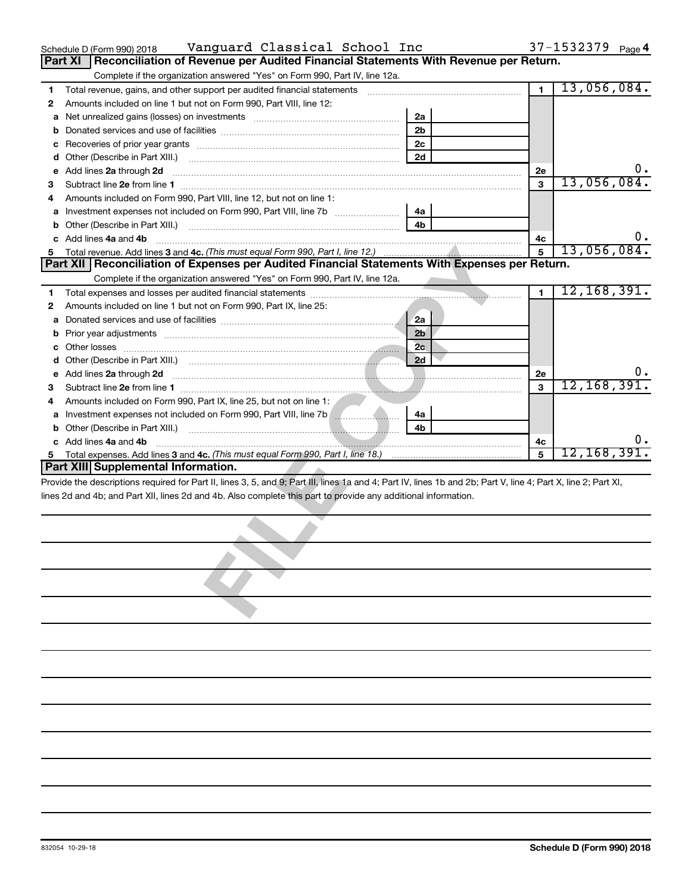| 37-1532379 $_{Page}$ 4 |  |
|------------------------|--|
|------------------------|--|

| $37 - 1532379$ Page<br>Vanguard Classical School Inc<br>Schedule D (Form 990) 2018 |  |  |
|------------------------------------------------------------------------------------|--|--|
|------------------------------------------------------------------------------------|--|--|

|        | Part XI<br>Reconciliation of Revenue per Audited Financial Statements With Revenue per Return.                                                                 |                |              |                            |
|--------|----------------------------------------------------------------------------------------------------------------------------------------------------------------|----------------|--------------|----------------------------|
|        | Complete if the organization answered "Yes" on Form 990, Part IV, line 12a.                                                                                    |                |              |                            |
| 1      | Total revenue, gains, and other support per audited financial statements [11, 11] matter controller than 100 minutes                                           |                | $\mathbf{1}$ | 13,056,084.                |
| 2      | Amounts included on line 1 but not on Form 990, Part VIII, line 12:                                                                                            |                |              |                            |
| а      |                                                                                                                                                                | 2a             |              |                            |
| b      |                                                                                                                                                                | 2 <sub>b</sub> |              |                            |
| с      |                                                                                                                                                                | 2c             |              |                            |
| d      |                                                                                                                                                                | 2d             |              |                            |
| е      | Add lines 2a through 2d                                                                                                                                        |                | <b>2e</b>    | $0 \cdot$                  |
| з      |                                                                                                                                                                |                | 3            | 13,056,084.                |
| 4      | Amounts included on Form 990, Part VIII, line 12, but not on line 1:                                                                                           |                |              |                            |
|        |                                                                                                                                                                | 4a             |              |                            |
|        |                                                                                                                                                                | 4b             |              |                            |
|        | Add lines 4a and 4b                                                                                                                                            |                | 4с           | $0 \cdot$                  |
| 5      |                                                                                                                                                                |                | 5            | 13,056,084.                |
|        | Part XII Reconciliation of Expenses per Audited Financial Statements With Expenses per Return.                                                                 |                |              |                            |
|        | Complete if the organization answered "Yes" on Form 990, Part IV, line 12a.                                                                                    |                |              |                            |
| 1      |                                                                                                                                                                |                | $\mathbf{1}$ | 12, 168, 391.              |
| 2      | Amounts included on line 1 but not on Form 990, Part IX, line 25:                                                                                              |                |              |                            |
| а      |                                                                                                                                                                | 2a             |              |                            |
|        |                                                                                                                                                                | 2 <sub>b</sub> |              |                            |
|        |                                                                                                                                                                | 2c             |              |                            |
| d      |                                                                                                                                                                | 2d             |              | υ.                         |
| е      | Add lines 2a through 2d <b>minimum contracts and contracts and contracts and contracts and contracts and contracts</b>                                         |                | 2e<br>3      | 12, 168, 391.              |
| з      | Amounts included on Form 990, Part IX, line 25, but not on line 1:                                                                                             |                |              |                            |
| 4      | Investment expenses not included on Form 990, Part VIII, line 7b [                                                                                             | 4a             |              |                            |
| а<br>b |                                                                                                                                                                | 4b             |              |                            |
|        | Add lines 4a and 4b                                                                                                                                            |                | 4с           | υ.                         |
| 5      |                                                                                                                                                                |                | 5            | 12, 168, 391.              |
|        | <b>Part XIII Supplemental Information.</b>                                                                                                                     |                |              |                            |
|        | Provide the descriptions required for Part II, lines 3, 5, and 9; Part III, lines 1a and 4; Part IV, lines 1b and 2b; Part V, line 4; Part X, line 2; Part XI, |                |              |                            |
|        | lines 2d and 4b; and Part XII, lines 2d and 4b. Also complete this part to provide any additional information.                                                 |                |              |                            |
|        |                                                                                                                                                                |                |              |                            |
|        |                                                                                                                                                                |                |              |                            |
|        |                                                                                                                                                                |                |              |                            |
|        |                                                                                                                                                                |                |              |                            |
|        |                                                                                                                                                                |                |              |                            |
|        |                                                                                                                                                                |                |              |                            |
|        |                                                                                                                                                                |                |              |                            |
|        |                                                                                                                                                                |                |              |                            |
|        |                                                                                                                                                                |                |              |                            |
|        |                                                                                                                                                                |                |              |                            |
|        |                                                                                                                                                                |                |              |                            |
|        |                                                                                                                                                                |                |              |                            |
|        |                                                                                                                                                                |                |              |                            |
|        |                                                                                                                                                                |                |              |                            |
|        |                                                                                                                                                                |                |              |                            |
|        |                                                                                                                                                                |                |              |                            |
|        |                                                                                                                                                                |                |              |                            |
|        |                                                                                                                                                                |                |              |                            |
|        |                                                                                                                                                                |                |              |                            |
|        |                                                                                                                                                                |                |              |                            |
|        |                                                                                                                                                                |                |              |                            |
|        |                                                                                                                                                                |                |              |                            |
|        |                                                                                                                                                                |                |              |                            |
|        |                                                                                                                                                                |                |              |                            |
|        | 832054 10-29-18                                                                                                                                                |                |              | Schedule D (Form 990) 2018 |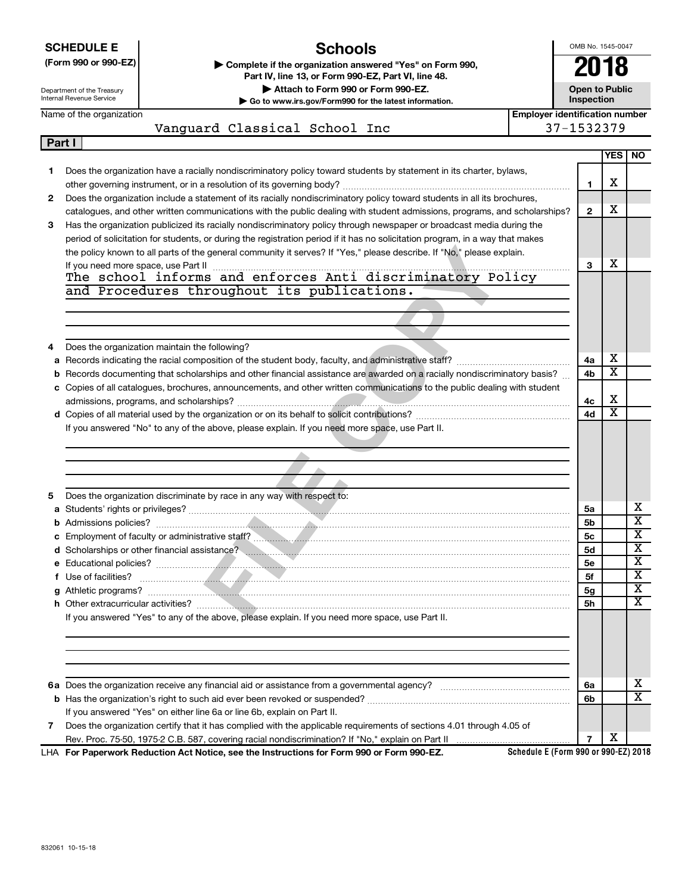|   | <b>SCHEDULE E</b>          | Schools                                                                                                                                                                                                                                            |                                       | OMB No. 1545-0047     |                       |                                                    |
|---|----------------------------|----------------------------------------------------------------------------------------------------------------------------------------------------------------------------------------------------------------------------------------------------|---------------------------------------|-----------------------|-----------------------|----------------------------------------------------|
|   | (Form 990 or 990-EZ)       | Complete if the organization answered "Yes" on Form 990,<br>Part IV, line 13, or Form 990-EZ, Part VI, line 48.                                                                                                                                    |                                       | 2018                  |                       |                                                    |
|   | Department of the Treasury | Attach to Form 990 or Form 990-EZ.                                                                                                                                                                                                                 |                                       | <b>Open to Public</b> |                       |                                                    |
|   | Internal Revenue Service   | Go to www.irs.gov/Form990 for the latest information.                                                                                                                                                                                              |                                       | Inspection            |                       |                                                    |
|   | Name of the organization   |                                                                                                                                                                                                                                                    | <b>Employer identification number</b> |                       |                       |                                                    |
|   |                            | Vanguard Classical School Inc                                                                                                                                                                                                                      | 37-1532379                            |                       |                       |                                                    |
|   | Part I                     |                                                                                                                                                                                                                                                    |                                       |                       |                       |                                                    |
|   |                            |                                                                                                                                                                                                                                                    |                                       |                       | <b>YES</b>            | NO.                                                |
| 1 |                            | Does the organization have a racially nondiscriminatory policy toward students by statement in its charter, bylaws,                                                                                                                                |                                       |                       | х                     |                                                    |
|   |                            |                                                                                                                                                                                                                                                    |                                       | 1                     |                       |                                                    |
| 2 |                            | Does the organization include a statement of its racially nondiscriminatory policy toward students in all its brochures,                                                                                                                           |                                       | $\overline{2}$        | х                     |                                                    |
| 3 |                            | catalogues, and other written communications with the public dealing with student admissions, programs, and scholarships?<br>Has the organization publicized its racially nondiscriminatory policy through newspaper or broadcast media during the |                                       |                       |                       |                                                    |
|   |                            | period of solicitation for students, or during the registration period if it has no solicitation program, in a way that makes                                                                                                                      |                                       |                       |                       |                                                    |
|   |                            | the policy known to all parts of the general community it serves? If "Yes," please describe. If "No," please explain.                                                                                                                              |                                       |                       |                       |                                                    |
|   |                            |                                                                                                                                                                                                                                                    |                                       | 3                     | х                     |                                                    |
|   |                            |                                                                                                                                                                                                                                                    |                                       |                       |                       |                                                    |
|   |                            | and Procedures throughout its publications.                                                                                                                                                                                                        |                                       |                       |                       |                                                    |
|   |                            |                                                                                                                                                                                                                                                    |                                       |                       |                       |                                                    |
|   |                            |                                                                                                                                                                                                                                                    |                                       |                       |                       |                                                    |
|   |                            |                                                                                                                                                                                                                                                    |                                       |                       |                       |                                                    |
| 4 |                            | Does the organization maintain the following?                                                                                                                                                                                                      |                                       |                       |                       |                                                    |
|   |                            |                                                                                                                                                                                                                                                    |                                       | 4a                    | х                     |                                                    |
|   |                            | <b>b</b> Records documenting that scholarships and other financial assistance are awarded on a racially nondiscriminatory basis?                                                                                                                   |                                       | 4b                    | $\overline{\text{x}}$ |                                                    |
|   |                            | c Copies of all catalogues, brochures, announcements, and other written communications to the public dealing with student                                                                                                                          |                                       |                       |                       |                                                    |
|   |                            |                                                                                                                                                                                                                                                    |                                       | 4с                    | X                     |                                                    |
|   |                            |                                                                                                                                                                                                                                                    |                                       | 4d                    | $\overline{\text{x}}$ |                                                    |
|   |                            | If you answered "No" to any of the above, please explain. If you need more space, use Part II.                                                                                                                                                     |                                       |                       |                       |                                                    |
|   |                            |                                                                                                                                                                                                                                                    |                                       |                       |                       |                                                    |
|   |                            |                                                                                                                                                                                                                                                    |                                       |                       |                       |                                                    |
|   |                            |                                                                                                                                                                                                                                                    |                                       |                       |                       |                                                    |
|   |                            |                                                                                                                                                                                                                                                    |                                       |                       |                       |                                                    |
| 5 |                            | Does the organization discriminate by race in any way with respect to:                                                                                                                                                                             |                                       |                       |                       |                                                    |
|   |                            |                                                                                                                                                                                                                                                    |                                       | 5a                    |                       | х                                                  |
|   |                            |                                                                                                                                                                                                                                                    |                                       | 5b                    |                       | $\overline{\mathtt{x}}$                            |
|   |                            |                                                                                                                                                                                                                                                    |                                       | 5с                    |                       | x                                                  |
|   |                            | d Scholarships or other financial assistance?                                                                                                                                                                                                      |                                       | <b>5d</b>             |                       | $\overline{\textbf{x}}$<br>$\overline{\textbf{x}}$ |
|   |                            |                                                                                                                                                                                                                                                    |                                       | <b>5e</b>             |                       | $\overline{\textbf{x}}$                            |
|   |                            |                                                                                                                                                                                                                                                    |                                       | 5f                    |                       | $\overline{\textbf{x}}$                            |
|   |                            |                                                                                                                                                                                                                                                    |                                       | 5 <sub>g</sub>        |                       | $\overline{\text{X}}$                              |
|   |                            |                                                                                                                                                                                                                                                    |                                       | <b>5h</b>             |                       |                                                    |
|   |                            | If you answered "Yes" to any of the above, please explain. If you need more space, use Part II.                                                                                                                                                    |                                       |                       |                       |                                                    |
|   |                            |                                                                                                                                                                                                                                                    |                                       |                       |                       |                                                    |
|   |                            |                                                                                                                                                                                                                                                    |                                       |                       |                       |                                                    |
|   |                            |                                                                                                                                                                                                                                                    |                                       |                       |                       |                                                    |
|   |                            |                                                                                                                                                                                                                                                    |                                       | 6a                    |                       | х                                                  |
|   |                            |                                                                                                                                                                                                                                                    |                                       |                       |                       |                                                    |
|   |                            |                                                                                                                                                                                                                                                    |                                       |                       |                       |                                                    |
|   |                            |                                                                                                                                                                                                                                                    |                                       | 6b                    |                       | $\overline{\text{x}}$                              |
| 7 |                            | If you answered "Yes" on either line 6a or line 6b, explain on Part II.<br>Does the organization certify that it has complied with the applicable requirements of sections 4.01 through 4.05 of                                                    |                                       |                       |                       |                                                    |

**For Paperwork Reduction Act Notice, see the Instructions for Form 990 or Form 990-EZ.** LHA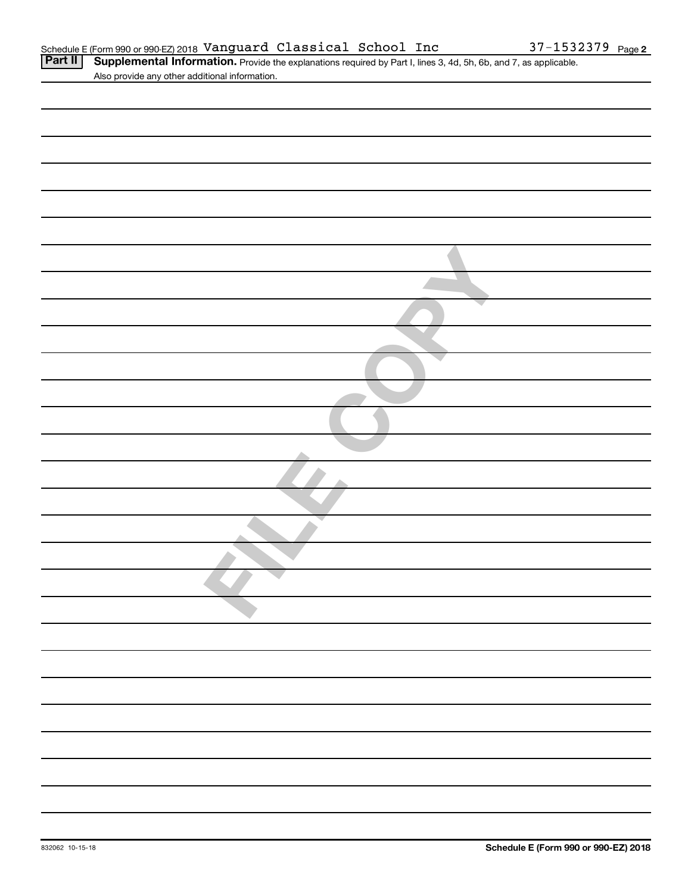| Part II | 4 Supplemental Information. Provide the explanations required by Part I, lines 3, 4d, 5h, 6b, and 7, as applicable |
|---------|--------------------------------------------------------------------------------------------------------------------|
|         | Also provide any other additional information.                                                                     |

| 2 |
|---|
|   |
|   |
|   |
|   |
|   |
|   |
|   |
|   |
|   |
|   |
|   |
|   |
|   |
|   |
|   |
|   |
|   |
|   |
|   |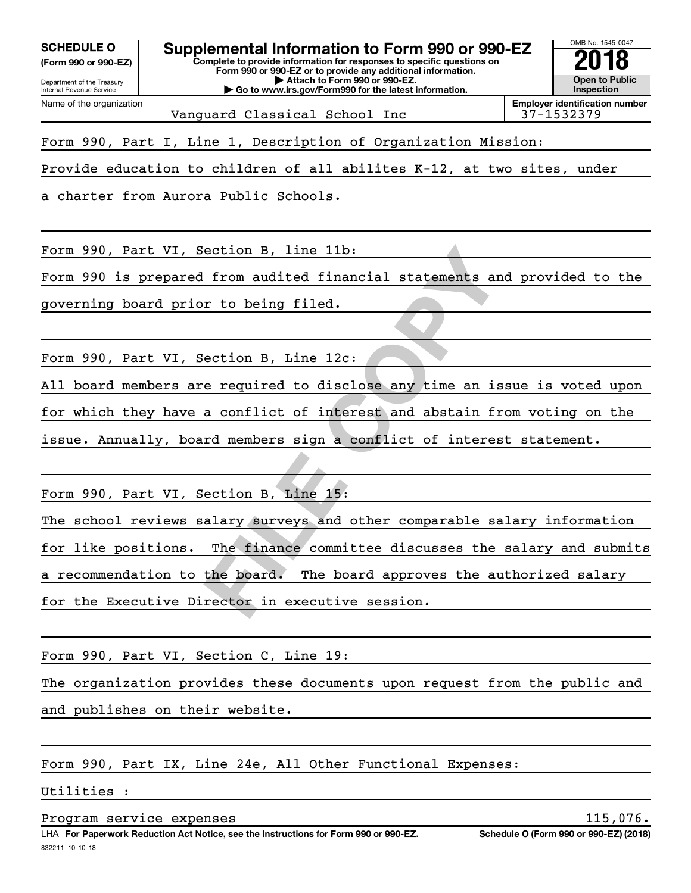**(Form 990 or 990-EZ)**

Department of the Treasury Internal Revenue Service

Name of the organization



Vanguard Classical School Inc 137-1532379

Form 990, Part I, Line 1, Description of Organization Mission:

Provide education to children of all abilites K-12, at two sites, under

a charter from Aurora Public Schools.

Form 990, Part VI, Section B, line 11b:

Form 990 is prepared from audited financial statements and provided to the

governing board prior to being filed.

Form 990, Part VI, Section B, Line 12c:

All board members are required to disclose any time an issue is voted upon for which they have a conflict of interest and abstain from voting on the issue. Annually, board members sign a conflict of interest statement.

Form 990, Part VI, Section B, Line 15:

ection B, line 11b:<br>
from audited financial statements and pr<br>
r to being filed.<br>
ection B, Line 12c:<br>
e required to disclose any time an issue<br>
a conflict of interest and abstain from v<br>
rd members sign a conflict of inte The school reviews salary surveys and other comparable salary information for like positions. The finance committee discusses the salary and submits a recommendation to the board. The board approves the authorized salary for the Executive Director in executive session.

Form 990, Part VI, Section C, Line 19:

The organization provides these documents upon request from the public and and publishes on their website.

Form 990, Part IX, Line 24e, All Other Functional Expenses:

Utilities :

Program service expenses 115,076.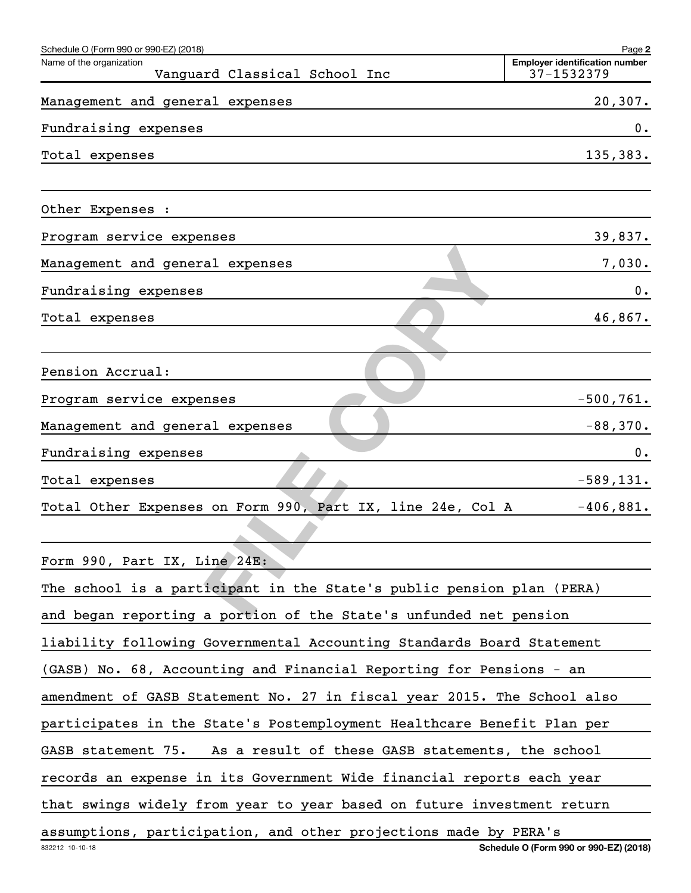| Schedule O (Form 990 or 990-EZ) (2018)                                  | Page 2                                              |
|-------------------------------------------------------------------------|-----------------------------------------------------|
| Name of the organization<br>Vanguard Classical School Inc               | <b>Employer identification number</b><br>37-1532379 |
| Management and general expenses                                         | 20, 307.                                            |
| Fundraising expenses                                                    | $0$ .                                               |
| Total expenses                                                          | 135,383.                                            |
| Other Expenses :                                                        |                                                     |
| Program service expenses                                                | 39,837.                                             |
| Management and general expenses                                         | 7,030.                                              |
| Fundraising expenses                                                    | $0$ .                                               |
| Total expenses                                                          | 46,867.                                             |
|                                                                         |                                                     |
| Pension Accrual:                                                        |                                                     |
| Program service expenses                                                | $-500, 761.$                                        |
| Management and general expenses                                         | $-88,370.$                                          |
| Fundraising expenses                                                    | 0.                                                  |
| Total expenses                                                          | $-589, 131.$                                        |
| Total Other Expenses on Form 990, Part IX, line 24e, Col A              | $-406,881.$                                         |
|                                                                         |                                                     |
| Form 990, Part IX, Line 24E:                                            |                                                     |
| The school is a participant in the State's public pension plan (PERA)   |                                                     |
| and began reporting a portion of the State's unfunded net pension       |                                                     |
| liability following Governmental Accounting Standards Board Statement   |                                                     |
| (GASB) No. 68, Accounting and Financial Reporting for Pensions - an     |                                                     |
| amendment of GASB Statement No. 27 in fiscal year 2015. The School also |                                                     |
| participates in the State's Postemployment Healthcare Benefit Plan per  |                                                     |
| As a result of these GASB statements, the school<br>GASB statement 75.  |                                                     |
| records an expense in its Government Wide financial reports each year   |                                                     |
| that swings widely from year to year based on future investment return  |                                                     |
| assumptions, participation, and other projections made by PERA's        |                                                     |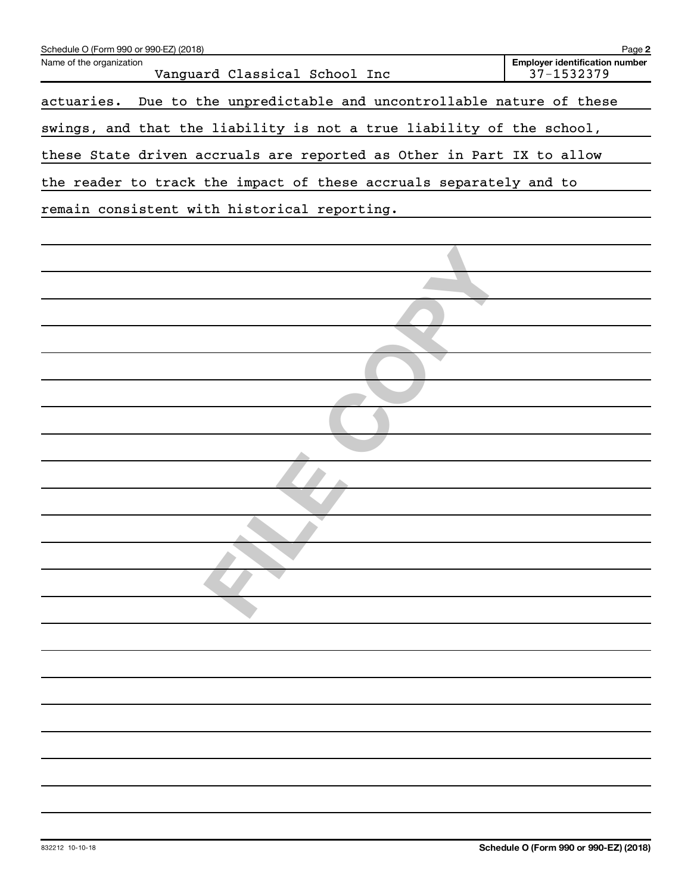| Schedule O (Form 990 or 990-EZ) (2018)                                    | Page 2                                              |
|---------------------------------------------------------------------------|-----------------------------------------------------|
| Name of the organization<br>Vanguard Classical School Inc                 | <b>Employer identification number</b><br>37-1532379 |
| Due to the unpredictable and uncontrollable nature of these<br>actuaries. |                                                     |
| swings, and that the liability is not a true liability of the school,     |                                                     |
| these State driven accruals are reported as Other in Part IX to allow     |                                                     |
| the reader to track the impact of these accruals separately and to        |                                                     |
| remain consistent with historical reporting.                              |                                                     |
|                                                                           |                                                     |
|                                                                           |                                                     |
|                                                                           |                                                     |
|                                                                           |                                                     |
|                                                                           |                                                     |
|                                                                           |                                                     |
|                                                                           |                                                     |
|                                                                           |                                                     |
|                                                                           |                                                     |
|                                                                           |                                                     |
|                                                                           |                                                     |
|                                                                           |                                                     |
|                                                                           |                                                     |
|                                                                           |                                                     |
|                                                                           |                                                     |
|                                                                           |                                                     |
|                                                                           |                                                     |
|                                                                           |                                                     |
|                                                                           |                                                     |
|                                                                           |                                                     |
|                                                                           |                                                     |
|                                                                           |                                                     |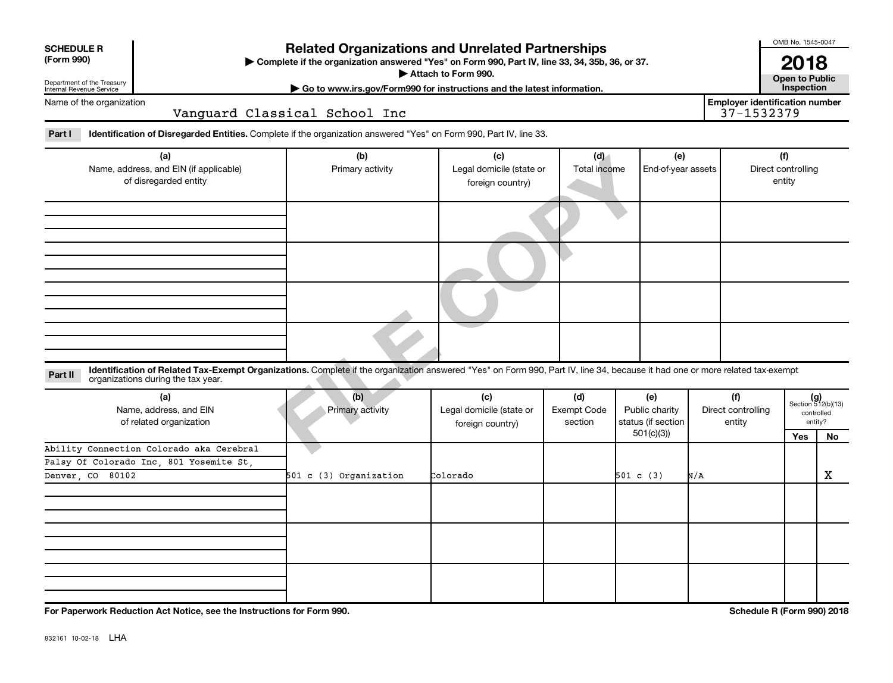| <b>SCHEDULE R</b><br>(Form 990)                                        | <b>Related Organizations and Unrelated Partnerships</b><br>Complete if the organization answered "Yes" on Form 990, Part IV, line 33, 34, 35b, 36, or 37.<br>Attach to Form 990.<br>Department of the Treasury<br>Internal Revenue Service<br>Go to www.irs.gov/Form990 for instructions and the latest information. |                               |                                                     |                               |                                             |                           |                                                     |                                     |                                                      |  |  |  |
|------------------------------------------------------------------------|----------------------------------------------------------------------------------------------------------------------------------------------------------------------------------------------------------------------------------------------------------------------------------------------------------------------|-------------------------------|-----------------------------------------------------|-------------------------------|---------------------------------------------|---------------------------|-----------------------------------------------------|-------------------------------------|------------------------------------------------------|--|--|--|
| Name of the organization                                               |                                                                                                                                                                                                                                                                                                                      | Vanguard Classical School Inc |                                                     |                               |                                             |                           | <b>Employer identification number</b><br>37-1532379 | Inspection                          |                                                      |  |  |  |
| Part I                                                                 | Identification of Disregarded Entities. Complete if the organization answered "Yes" on Form 990, Part IV, line 33.                                                                                                                                                                                                   |                               |                                                     |                               |                                             |                           |                                                     |                                     |                                                      |  |  |  |
| (a)<br>Name, address, and EIN (if applicable)<br>of disregarded entity |                                                                                                                                                                                                                                                                                                                      | (b)<br>Primary activity       | (c)<br>Legal domicile (state or<br>foreign country) | (d)<br>Total income           |                                             | (e)<br>End-of-year assets |                                                     | (f)<br>Direct controlling<br>entity |                                                      |  |  |  |
|                                                                        |                                                                                                                                                                                                                                                                                                                      |                               |                                                     |                               |                                             |                           |                                                     |                                     |                                                      |  |  |  |
|                                                                        |                                                                                                                                                                                                                                                                                                                      |                               |                                                     |                               |                                             |                           |                                                     |                                     |                                                      |  |  |  |
|                                                                        |                                                                                                                                                                                                                                                                                                                      |                               |                                                     |                               |                                             |                           |                                                     |                                     |                                                      |  |  |  |
| Part II                                                                | Identification of Related Tax-Exempt Organizations. Complete if the organization answered "Yes" on Form 990, Part IV, line 34, because it had one or more related tax-exempt<br>organizations during the tax year.                                                                                                   |                               |                                                     |                               |                                             |                           |                                                     |                                     |                                                      |  |  |  |
| (a)<br>Name, address, and EIN<br>of related organization               |                                                                                                                                                                                                                                                                                                                      | (b)<br>Primary activity       | (c)<br>Legal domicile (state or<br>foreign country) | (d)<br>Exempt Code<br>section | (e)<br>Public charity<br>status (if section |                           | (f)<br>Direct controlling<br>entity                 |                                     | $(g)$<br>Section 512(b)(13)<br>controlled<br>entity? |  |  |  |
|                                                                        | Ability Connection Colorado aka Cerebral                                                                                                                                                                                                                                                                             |                               |                                                     |                               | 501(c)(3)                                   |                           |                                                     | Yes                                 | No                                                   |  |  |  |
|                                                                        | Palsy Of Colorado Inc, 801 Yosemite St                                                                                                                                                                                                                                                                               |                               |                                                     |                               |                                             |                           |                                                     |                                     |                                                      |  |  |  |
| Denver CO 80102                                                        |                                                                                                                                                                                                                                                                                                                      | 501 c (3) Organization        | Colorado                                            |                               | 501 c (3)                                   | N/A                       |                                                     |                                     | X                                                    |  |  |  |
|                                                                        |                                                                                                                                                                                                                                                                                                                      |                               |                                                     |                               |                                             |                           |                                                     |                                     |                                                      |  |  |  |
|                                                                        |                                                                                                                                                                                                                                                                                                                      |                               |                                                     |                               |                                             |                           |                                                     |                                     |                                                      |  |  |  |

**For Paperwork Reduction Act Notice, see the Instructions for Form 990. Schedule R (Form 990) 2018**

OMB No. 1545-0047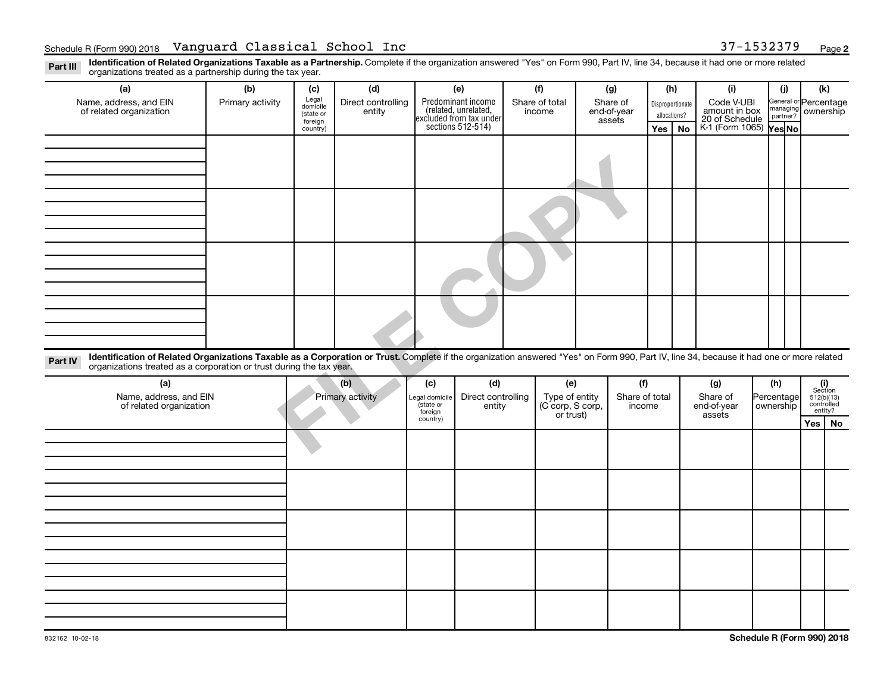Part III Identification of Related Organizations Taxable as a Partnership. Complete if the organization answered "Yes" on Form 990, Part IV, line 34, because it had one or more related<br>Read to the organizations tracted as organizations treated as a partnership during the tax year.

| organizations treated as a partnership during the tax year.                                                                                                                                                                                                                 |                  |                      |                    |                             |                                                                     |  |                                    |                       |                          |              |    |                                 |                         |            |                            |  |                       |  |
|-----------------------------------------------------------------------------------------------------------------------------------------------------------------------------------------------------------------------------------------------------------------------------|------------------|----------------------|--------------------|-----------------------------|---------------------------------------------------------------------|--|------------------------------------|-----------------------|--------------------------|--------------|----|---------------------------------|-------------------------|------------|----------------------------|--|-----------------------|--|
| (a)                                                                                                                                                                                                                                                                         | (b)              | (c)                  | (d)                |                             | (e)                                                                 |  | (f)                                | (g)                   |                          | (h)          |    | (i)                             |                         | (i)        | (k)                        |  |                       |  |
| Name, address, and EIN                                                                                                                                                                                                                                                      | Primary activity | Legal<br>domicile    | Direct controlling |                             | Predominant income<br>Share of total                                |  |                                    | Share of              |                          |              |    | Disproportionate                |                         | Code V-UBI |                            |  | General or Percentage |  |
| of related organization                                                                                                                                                                                                                                                     |                  | (state or<br>foreign | entity             |                             | related, unrelated,<br>excluded from tax under<br>sections 512-514) |  | income                             | end-of-year<br>assets |                          | allocations? |    | amount in box<br>20 of Schedule |                         | partner?   | managing ownership         |  |                       |  |
|                                                                                                                                                                                                                                                                             |                  | country)             |                    |                             |                                                                     |  |                                    |                       |                          | Yes          | No | K-1 (Form 1065) Yes No          |                         |            |                            |  |                       |  |
|                                                                                                                                                                                                                                                                             |                  |                      |                    |                             |                                                                     |  |                                    |                       |                          |              |    |                                 |                         |            |                            |  |                       |  |
|                                                                                                                                                                                                                                                                             |                  |                      |                    |                             |                                                                     |  |                                    |                       |                          |              |    |                                 |                         |            |                            |  |                       |  |
|                                                                                                                                                                                                                                                                             |                  |                      |                    |                             |                                                                     |  |                                    |                       |                          |              |    |                                 |                         |            |                            |  |                       |  |
|                                                                                                                                                                                                                                                                             |                  |                      |                    |                             |                                                                     |  |                                    |                       |                          |              |    |                                 |                         |            |                            |  |                       |  |
|                                                                                                                                                                                                                                                                             |                  |                      |                    |                             |                                                                     |  |                                    |                       |                          |              |    |                                 |                         |            |                            |  |                       |  |
|                                                                                                                                                                                                                                                                             |                  |                      |                    |                             |                                                                     |  |                                    |                       |                          |              |    |                                 |                         |            |                            |  |                       |  |
|                                                                                                                                                                                                                                                                             |                  |                      |                    |                             |                                                                     |  |                                    |                       |                          |              |    |                                 |                         |            |                            |  |                       |  |
|                                                                                                                                                                                                                                                                             |                  |                      |                    |                             |                                                                     |  |                                    |                       |                          |              |    |                                 |                         |            |                            |  |                       |  |
|                                                                                                                                                                                                                                                                             |                  |                      |                    |                             |                                                                     |  |                                    |                       |                          |              |    |                                 |                         |            |                            |  |                       |  |
|                                                                                                                                                                                                                                                                             |                  |                      |                    |                             |                                                                     |  |                                    |                       |                          |              |    |                                 |                         |            |                            |  |                       |  |
|                                                                                                                                                                                                                                                                             |                  |                      |                    |                             |                                                                     |  |                                    |                       |                          |              |    |                                 |                         |            |                            |  |                       |  |
|                                                                                                                                                                                                                                                                             |                  |                      |                    |                             |                                                                     |  |                                    |                       |                          |              |    |                                 |                         |            |                            |  |                       |  |
|                                                                                                                                                                                                                                                                             |                  |                      |                    |                             |                                                                     |  |                                    |                       |                          |              |    |                                 |                         |            |                            |  |                       |  |
|                                                                                                                                                                                                                                                                             |                  |                      |                    |                             |                                                                     |  |                                    |                       |                          |              |    |                                 |                         |            |                            |  |                       |  |
|                                                                                                                                                                                                                                                                             |                  |                      |                    |                             |                                                                     |  |                                    |                       |                          |              |    |                                 |                         |            |                            |  |                       |  |
|                                                                                                                                                                                                                                                                             |                  |                      |                    |                             |                                                                     |  |                                    |                       |                          |              |    |                                 |                         |            |                            |  |                       |  |
|                                                                                                                                                                                                                                                                             |                  |                      |                    |                             |                                                                     |  |                                    |                       |                          |              |    |                                 |                         |            |                            |  |                       |  |
| Identification of Related Organizations Taxable as a Corporation or Trust. Complete if the organization answered "Yes" on Form 990, Part IV, line 34, because it had one or more related<br>Part IV<br>organizations treated as a corporation or trust during the tax year. |                  |                      |                    |                             |                                                                     |  |                                    |                       |                          |              |    |                                 |                         |            |                            |  |                       |  |
|                                                                                                                                                                                                                                                                             |                  |                      |                    |                             |                                                                     |  |                                    |                       |                          |              |    |                                 |                         |            |                            |  |                       |  |
| (a)                                                                                                                                                                                                                                                                         |                  |                      | (b)                | (c)                         | (d)                                                                 |  | (e)                                |                       | (f)                      |              |    | (g)                             | (h)                     |            | (i)<br>Section             |  |                       |  |
| Name, address, and EIN<br>of related organization                                                                                                                                                                                                                           |                  |                      | Primary activity   | Legal domicile<br>(state or | Direct controlling                                                  |  | Type of entity<br>(C corp, S corp, |                       | Share of total<br>income |              |    | Share of<br>end-of-year         | Percentage<br>ownership |            | $512(b)(13)$<br>controlled |  |                       |  |
|                                                                                                                                                                                                                                                                             |                  |                      |                    | foreign                     | entity                                                              |  | or trust)                          |                       |                          |              |    | assets                          |                         |            | entity?                    |  |                       |  |
|                                                                                                                                                                                                                                                                             |                  |                      |                    | country)                    |                                                                     |  |                                    |                       |                          |              |    |                                 |                         |            | Yes   No                   |  |                       |  |
|                                                                                                                                                                                                                                                                             |                  |                      |                    |                             |                                                                     |  |                                    |                       |                          |              |    |                                 |                         |            |                            |  |                       |  |
|                                                                                                                                                                                                                                                                             |                  |                      |                    |                             |                                                                     |  |                                    |                       |                          |              |    |                                 |                         |            |                            |  |                       |  |
|                                                                                                                                                                                                                                                                             |                  |                      |                    |                             |                                                                     |  |                                    |                       |                          |              |    |                                 |                         |            |                            |  |                       |  |
|                                                                                                                                                                                                                                                                             |                  |                      |                    |                             |                                                                     |  |                                    |                       |                          |              |    |                                 |                         |            |                            |  |                       |  |
|                                                                                                                                                                                                                                                                             |                  |                      |                    |                             |                                                                     |  |                                    |                       |                          |              |    |                                 |                         |            |                            |  |                       |  |
|                                                                                                                                                                                                                                                                             |                  |                      |                    |                             |                                                                     |  |                                    |                       |                          |              |    |                                 |                         |            |                            |  |                       |  |
|                                                                                                                                                                                                                                                                             |                  |                      |                    |                             |                                                                     |  |                                    |                       |                          |              |    |                                 |                         |            |                            |  |                       |  |
|                                                                                                                                                                                                                                                                             |                  |                      |                    |                             |                                                                     |  |                                    |                       |                          |              |    |                                 |                         |            |                            |  |                       |  |
|                                                                                                                                                                                                                                                                             |                  |                      |                    |                             |                                                                     |  |                                    |                       |                          |              |    |                                 |                         |            |                            |  |                       |  |
|                                                                                                                                                                                                                                                                             |                  |                      |                    |                             |                                                                     |  |                                    |                       |                          |              |    |                                 |                         |            |                            |  |                       |  |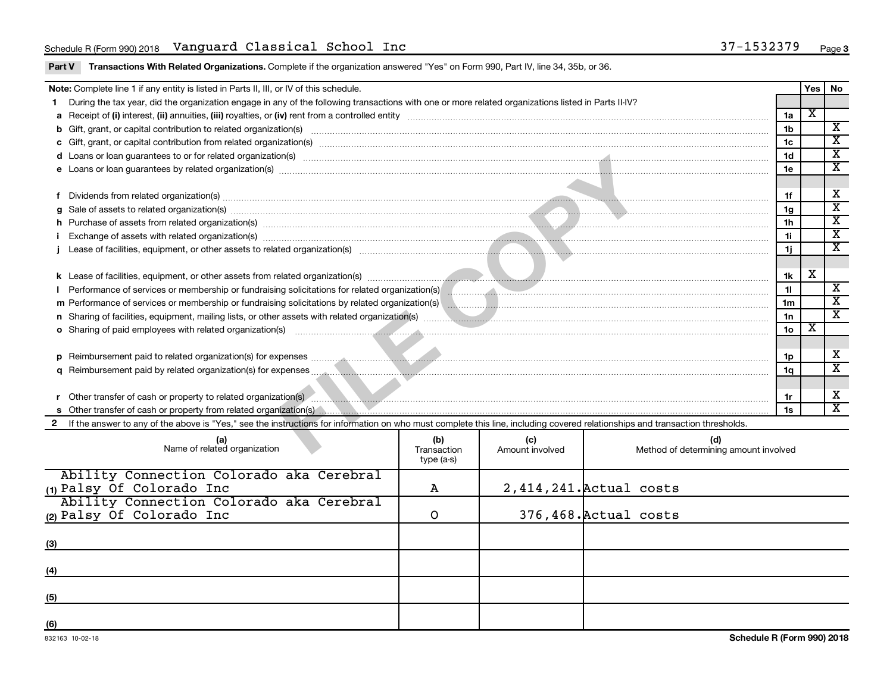Part V Transactions With Related Organizations. Complete if the organization answered "Yes" on Form 990, Part IV, line 34, 35b, or 36.

|                                                                                                                                                                                                                                                 | Note: Complete line 1 if any entity is listed in Parts II, III, or IV of this schedule.                                                                                                                                              |                 | Yes                     | No                          |  |  |  |
|-------------------------------------------------------------------------------------------------------------------------------------------------------------------------------------------------------------------------------------------------|--------------------------------------------------------------------------------------------------------------------------------------------------------------------------------------------------------------------------------------|-----------------|-------------------------|-----------------------------|--|--|--|
|                                                                                                                                                                                                                                                 | During the tax year, did the organization engage in any of the following transactions with one or more related organizations listed in Parts II-IV?                                                                                  |                 |                         |                             |  |  |  |
|                                                                                                                                                                                                                                                 |                                                                                                                                                                                                                                      | 1a              | $\overline{\mathbf{x}}$ |                             |  |  |  |
|                                                                                                                                                                                                                                                 |                                                                                                                                                                                                                                      | 1 <sub>b</sub>  |                         | $\overline{\mathbf{X}}$     |  |  |  |
|                                                                                                                                                                                                                                                 |                                                                                                                                                                                                                                      | 1c              |                         | $\overline{\texttt{x}}$     |  |  |  |
|                                                                                                                                                                                                                                                 |                                                                                                                                                                                                                                      | 1 <sub>d</sub>  |                         | $\overline{\texttt{x}}$     |  |  |  |
|                                                                                                                                                                                                                                                 | e Loans or loan guarantees by related organization(s) material content and content to content the content of the content of the content of the content of the content of the content of the content of the content of the cont       | 1e              |                         | $\overline{\textbf{x}}$     |  |  |  |
|                                                                                                                                                                                                                                                 |                                                                                                                                                                                                                                      |                 |                         |                             |  |  |  |
| Dividends from related organization(s) material content and content and content and content and content and content and content and content and content and content and content and content and content and content and conten                  |                                                                                                                                                                                                                                      |                 |                         |                             |  |  |  |
| 1f<br>Sale of assets to related organization(s) www.assettion.com/www.assettion.com/www.assettion.com/www.assettion.com/www.assettion.com/www.assettion.com/www.assettion.com/www.assettion.com/www.assettion.com/www.assettion.com/<br>1g<br>a |                                                                                                                                                                                                                                      |                 |                         |                             |  |  |  |
|                                                                                                                                                                                                                                                 | 1 <sub>h</sub>                                                                                                                                                                                                                       |                 |                         |                             |  |  |  |
|                                                                                                                                                                                                                                                 | Exchange of assets with related organization(s) www.assettion.com/www.assettion.com/www.assettion.com/www.assettion.com/www.assettion.com/www.assettion.com/www.assettion.com/www.assettion.com/www.assettion.com/www.assettio<br>11 |                 |                         |                             |  |  |  |
|                                                                                                                                                                                                                                                 | 1j                                                                                                                                                                                                                                   |                 |                         |                             |  |  |  |
|                                                                                                                                                                                                                                                 |                                                                                                                                                                                                                                      |                 |                         |                             |  |  |  |
|                                                                                                                                                                                                                                                 |                                                                                                                                                                                                                                      | 1k              | х                       |                             |  |  |  |
|                                                                                                                                                                                                                                                 | Performance of services or membership or fundraising solicitations for related organization(s) [11] performance of services or membership or fundraising solicitations for related organization(s) [11] performance of service       | 11              |                         | $\overline{\texttt{x}}$     |  |  |  |
|                                                                                                                                                                                                                                                 | m Performance of services or membership or fundraising solicitations by related organization(s) manufaction.com manufacture content and related organization(s) manufacture communities are content and related organization(s       | 1 <sub>m</sub>  |                         | $\overline{\texttt{x}}$     |  |  |  |
|                                                                                                                                                                                                                                                 |                                                                                                                                                                                                                                      | 1n              |                         | $\mathbf{x}$                |  |  |  |
|                                                                                                                                                                                                                                                 | <b>o</b> Sharing of paid employees with related organization(s)                                                                                                                                                                      | 10 <sub>o</sub> | $\overline{\textbf{x}}$ |                             |  |  |  |
|                                                                                                                                                                                                                                                 |                                                                                                                                                                                                                                      |                 |                         |                             |  |  |  |
| <b>D</b>                                                                                                                                                                                                                                        |                                                                                                                                                                                                                                      | 1p              |                         | х                           |  |  |  |
|                                                                                                                                                                                                                                                 |                                                                                                                                                                                                                                      | 1q              |                         | $\overline{\textnormal{x}}$ |  |  |  |
|                                                                                                                                                                                                                                                 |                                                                                                                                                                                                                                      |                 |                         |                             |  |  |  |
|                                                                                                                                                                                                                                                 | Other transfer of cash or property to related organization(s) Communication contracts and contracts and contracts and contracts are the contract of cash or property to related organization(s)                                      | 1r              |                         | X                           |  |  |  |
|                                                                                                                                                                                                                                                 |                                                                                                                                                                                                                                      |                 |                         | X                           |  |  |  |
|                                                                                                                                                                                                                                                 | 2 If the answer to any of the above is "Yes," see the instructions for information on who must complete this line, including covered relationships and transaction thresholds.                                                       |                 |                         |                             |  |  |  |
|                                                                                                                                                                                                                                                 | (b)<br>(d)<br>(c)<br>Name of related organization<br>Method of determining amount involved<br>Transaction<br>Amount involved                                                                                                         |                 |                         |                             |  |  |  |

| Name of related organization             | \∾,<br>Transaction<br>type (a-s) | \∽≀<br>Amount involved | w,<br>Method of determining amount involved |
|------------------------------------------|----------------------------------|------------------------|---------------------------------------------|
| Ability Connection Colorado aka Cerebral |                                  |                        |                                             |
| (1) Palsy Of Colorado Inc                | А                                |                        | 2,414,241. Actual costs                     |
| Ability Connection Colorado aka Cerebral |                                  |                        |                                             |
| (2) Palsy Of Colorado Inc                |                                  |                        | 376,468. Actual costs                       |
|                                          |                                  |                        |                                             |
| (3)                                      |                                  |                        |                                             |
|                                          |                                  |                        |                                             |
| (4)                                      |                                  |                        |                                             |
|                                          |                                  |                        |                                             |
| (5)                                      |                                  |                        |                                             |
|                                          |                                  |                        |                                             |
| (6)                                      |                                  |                        |                                             |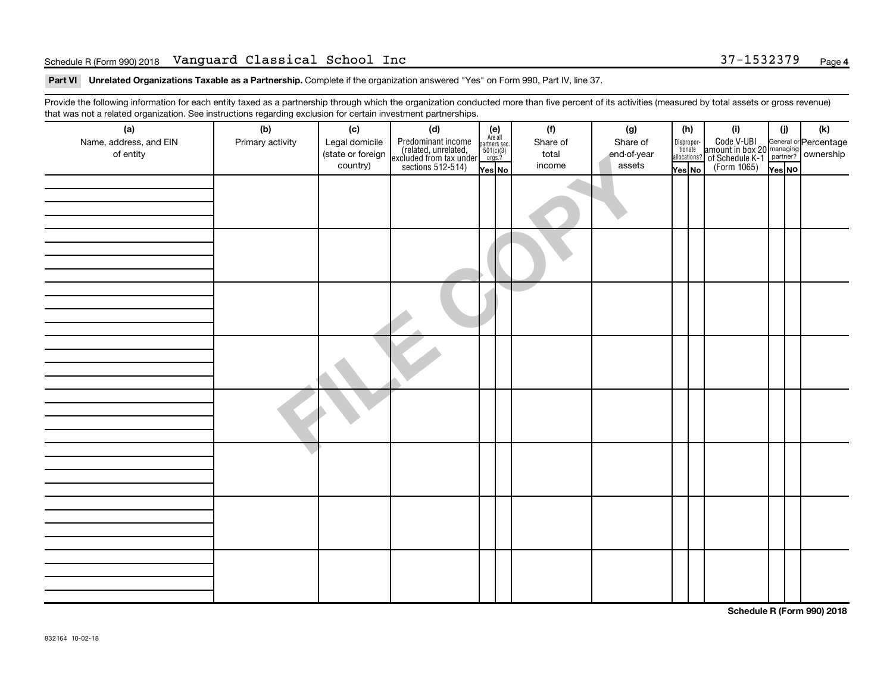#### Schedule R (Form 990) 2018 Page Vanguard Classical School Inc 37-1532379

Part VI Unrelated Organizations Taxable as a Partnership. Complete if the organization answered "Yes" on Form 990, Part IV, line 37.

Provide the following information for each entity taxed as a partnership through which the organization conducted more than five percent of its activities (measured by total assets or gross revenue) that was not a related organization. See instructions regarding exclusion for certain investment partnerships.

| hat neo hot a rolatoa organization. Ooo inotraotiono rogaranty oxolaolon for cortain invocaniont partnorompo.<br>(a) | (b)              | (c)                                             | (d)                                                                                        |                                                                    | (f)                         | (g)                               | (h)                                        |  | (i)                                                                                                  | (i)    | $(\mathsf{k})$ |
|----------------------------------------------------------------------------------------------------------------------|------------------|-------------------------------------------------|--------------------------------------------------------------------------------------------|--------------------------------------------------------------------|-----------------------------|-----------------------------------|--------------------------------------------|--|------------------------------------------------------------------------------------------------------|--------|----------------|
| Name, address, and EIN<br>of entity                                                                                  | Primary activity | Legal domicile<br>(state or foreign<br>country) | Predominant income<br>(related, unrelated,<br>excluded from tax under<br>sections 512-514) | (e)<br>Are all<br>partners sec.<br>$501(c)(3)$<br>orgs.?<br>Yes No | Share of<br>total<br>income | Share of<br>end-of-year<br>assets | Disproportionate<br>allocations?<br>Yes No |  | Code V-UBI<br>amount in box 20 managing<br>of Schedule K-1<br>(Form 1065)<br>$\overline{Y}_{res}$ No | Yes No |                |
|                                                                                                                      |                  |                                                 |                                                                                            |                                                                    |                             |                                   |                                            |  |                                                                                                      |        |                |
|                                                                                                                      |                  |                                                 |                                                                                            |                                                                    |                             |                                   |                                            |  |                                                                                                      |        |                |
|                                                                                                                      |                  |                                                 |                                                                                            |                                                                    |                             |                                   |                                            |  |                                                                                                      |        |                |
|                                                                                                                      |                  |                                                 |                                                                                            |                                                                    |                             |                                   |                                            |  |                                                                                                      |        |                |
|                                                                                                                      |                  |                                                 |                                                                                            |                                                                    |                             |                                   |                                            |  |                                                                                                      |        |                |
|                                                                                                                      |                  |                                                 |                                                                                            |                                                                    |                             |                                   |                                            |  |                                                                                                      |        |                |
|                                                                                                                      |                  |                                                 |                                                                                            |                                                                    |                             |                                   |                                            |  |                                                                                                      |        |                |
|                                                                                                                      |                  |                                                 |                                                                                            |                                                                    |                             |                                   |                                            |  |                                                                                                      |        |                |
|                                                                                                                      |                  |                                                 |                                                                                            |                                                                    |                             |                                   |                                            |  |                                                                                                      |        |                |
|                                                                                                                      |                  |                                                 |                                                                                            |                                                                    |                             |                                   |                                            |  |                                                                                                      |        |                |
|                                                                                                                      |                  |                                                 |                                                                                            |                                                                    |                             |                                   |                                            |  |                                                                                                      |        |                |
|                                                                                                                      |                  |                                                 |                                                                                            |                                                                    |                             |                                   |                                            |  |                                                                                                      |        |                |
|                                                                                                                      |                  |                                                 |                                                                                            |                                                                    |                             |                                   |                                            |  |                                                                                                      |        |                |
|                                                                                                                      |                  |                                                 |                                                                                            |                                                                    |                             |                                   |                                            |  |                                                                                                      |        |                |
|                                                                                                                      |                  |                                                 |                                                                                            |                                                                    |                             |                                   |                                            |  |                                                                                                      |        |                |
|                                                                                                                      |                  |                                                 |                                                                                            |                                                                    |                             |                                   |                                            |  |                                                                                                      |        |                |
|                                                                                                                      |                  |                                                 |                                                                                            |                                                                    |                             |                                   |                                            |  |                                                                                                      |        |                |

**Schedule R (Form 990) 2018**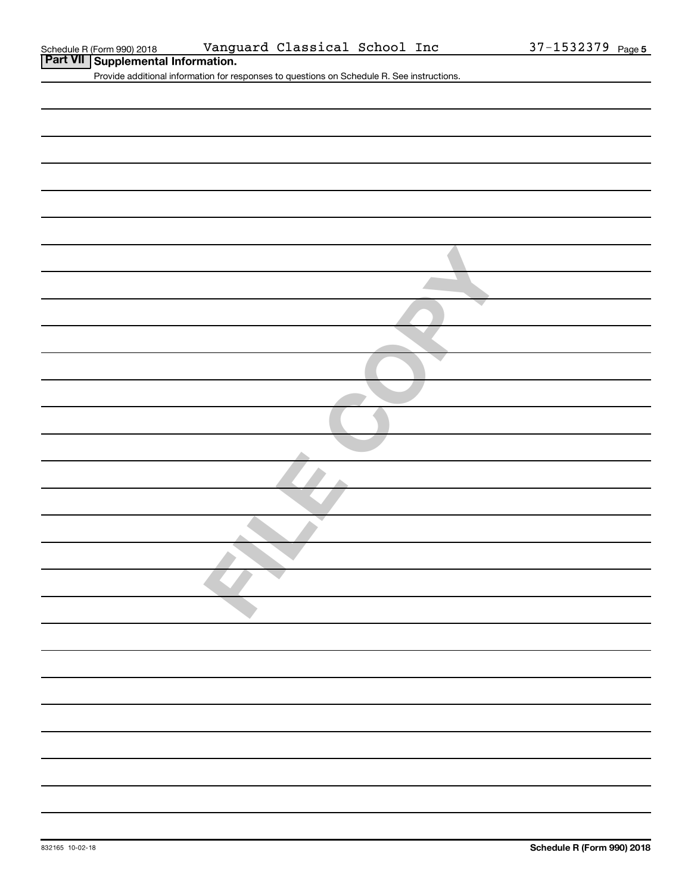| <b>Part VII</b> Supplemental Information.                                                  |
|--------------------------------------------------------------------------------------------|
| Provide additional information for responses to questions on Schedule R. See instructions. |
|                                                                                            |
|                                                                                            |
|                                                                                            |
|                                                                                            |
|                                                                                            |
|                                                                                            |
|                                                                                            |
|                                                                                            |
|                                                                                            |
|                                                                                            |
|                                                                                            |
|                                                                                            |
|                                                                                            |
|                                                                                            |
|                                                                                            |
|                                                                                            |
|                                                                                            |
|                                                                                            |
|                                                                                            |
|                                                                                            |
|                                                                                            |
|                                                                                            |
|                                                                                            |
|                                                                                            |
|                                                                                            |
|                                                                                            |
|                                                                                            |
|                                                                                            |